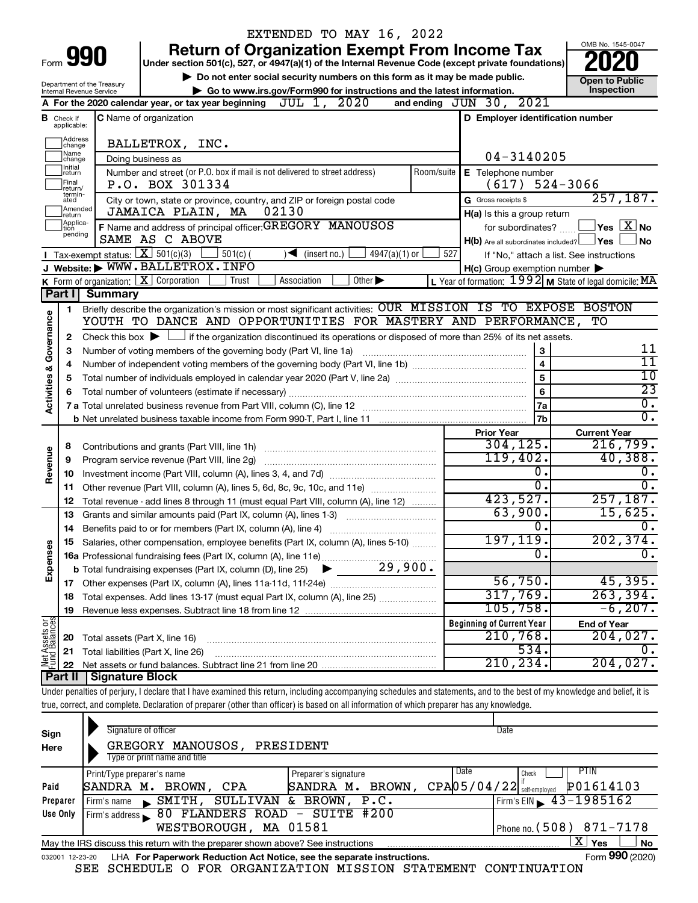|                         |                               |                                                        | EXTENDED TO MAY 16, 2022                                                                                                                                                   |            |                                                     |                                                           |  |  |  |  |
|-------------------------|-------------------------------|--------------------------------------------------------|----------------------------------------------------------------------------------------------------------------------------------------------------------------------------|------------|-----------------------------------------------------|-----------------------------------------------------------|--|--|--|--|
|                         |                               |                                                        | <b>Return of Organization Exempt From Income Tax</b>                                                                                                                       |            |                                                     | OMB No. 1545-0047                                         |  |  |  |  |
|                         |                               | Form 990                                               | Under section 501(c), 527, or 4947(a)(1) of the Internal Revenue Code (except private foundations)                                                                         |            |                                                     |                                                           |  |  |  |  |
|                         |                               |                                                        | Do not enter social security numbers on this form as it may be made public.                                                                                                |            |                                                     | <b>Open to Public</b>                                     |  |  |  |  |
|                         |                               | Department of the Treasury<br>Internal Revenue Service | Go to www.irs.gov/Form990 for instructions and the latest information.                                                                                                     |            |                                                     | Inspection                                                |  |  |  |  |
|                         |                               |                                                        | A For the 2020 calendar year, or tax year beginning JUL 1, 2020                                                                                                            |            | and ending JUN 30, 2021                             |                                                           |  |  |  |  |
|                         | <b>B</b> Check if applicable: |                                                        | <b>C</b> Name of organization                                                                                                                                              |            | D Employer identification number                    |                                                           |  |  |  |  |
|                         | ]Address<br>]change           |                                                        | BALLETROX, INC.                                                                                                                                                            |            |                                                     |                                                           |  |  |  |  |
|                         | Name<br>change<br>Ilnitial    |                                                        | Doing business as                                                                                                                                                          |            | $04 - 3140205$                                      |                                                           |  |  |  |  |
|                         | return<br> Final              |                                                        | Number and street (or P.O. box if mail is not delivered to street address)<br>P.O. BOX 301334                                                                              | Room/suite | E Telephone number<br>$(617)$ 524-3066              |                                                           |  |  |  |  |
|                         | lreturn/<br>termin-<br>ated   |                                                        | City or town, state or province, country, and ZIP or foreign postal code                                                                                                   |            | G Gross receipts \$                                 | 257, 187.                                                 |  |  |  |  |
|                         | Amended<br>Ireturn            |                                                        | 02130<br>JAMAICA PLAIN, MA                                                                                                                                                 |            | H(a) Is this a group return                         |                                                           |  |  |  |  |
|                         | Applica-<br>ltion             |                                                        | F Name and address of principal officer: GREGORY MANOUSOS                                                                                                                  |            | for subordinates?                                   | $\,$ Yes $\,$ $\,$ $\rm X$ $\,$ No $\,$                   |  |  |  |  |
|                         | pending                       |                                                        | SAME AS C ABOVE                                                                                                                                                            |            | $H(b)$ Are all subordinates included? $\Box$ Yes    | No.                                                       |  |  |  |  |
|                         |                               |                                                        | Tax-exempt status: $X \over 301(c)(3)$<br>$  501(c)$ (<br>$\sqrt{\frac{1}{1}}$ (insert no.)<br>$4947(a)(1)$ or                                                             | 527        |                                                     | If "No," attach a list. See instructions                  |  |  |  |  |
|                         |                               |                                                        | J Website: WWW.BALLETROX.INFO                                                                                                                                              |            | $H(c)$ Group exemption number $\blacktriangleright$ |                                                           |  |  |  |  |
|                         |                               |                                                        | K Form of organization:   X Corporation<br>Other $\blacktriangleright$<br>Trust<br>Association                                                                             |            |                                                     | L Year of formation: $1992$ M State of legal domicile: MA |  |  |  |  |
|                         | Part I                        | <b>Summary</b>                                         |                                                                                                                                                                            |            |                                                     |                                                           |  |  |  |  |
|                         | 1                             |                                                        | Briefly describe the organization's mission or most significant activities: OUR MISSION IS TO EXPOSE BOSTON                                                                |            |                                                     |                                                           |  |  |  |  |
|                         |                               |                                                        | YOUTH TO DANCE AND OPPORTUNITIES FOR MASTERY AND PERFORMANCE,                                                                                                              |            |                                                     | TO                                                        |  |  |  |  |
| Governance              | 2                             |                                                        | Check this box $\blacktriangleright \Box$ if the organization discontinued its operations or disposed of more than 25% of its net assets.                                  |            |                                                     |                                                           |  |  |  |  |
|                         | 3                             |                                                        | Number of voting members of the governing body (Part VI, line 1a)                                                                                                          |            | 3                                                   | 11                                                        |  |  |  |  |
|                         | 4                             |                                                        |                                                                                                                                                                            |            | $\overline{\mathbf{4}}$                             | $\overline{11}$<br>$\overline{10}$                        |  |  |  |  |
|                         | 5                             |                                                        | 5<br>6<br>Total number of volunteers (estimate if necessary)                                                                                                               |            |                                                     |                                                           |  |  |  |  |
|                         | 6                             |                                                        |                                                                                                                                                                            |            |                                                     |                                                           |  |  |  |  |
| <b>Activities &amp;</b> |                               |                                                        |                                                                                                                                                                            | 7a         | $\overline{0}$ .                                    |                                                           |  |  |  |  |
|                         |                               |                                                        |                                                                                                                                                                            |            | 7b                                                  | $\overline{0}$ .                                          |  |  |  |  |
|                         |                               |                                                        |                                                                                                                                                                            |            | <b>Prior Year</b>                                   | <b>Current Year</b>                                       |  |  |  |  |
|                         | 8                             |                                                        |                                                                                                                                                                            |            | 304, 125.                                           | 216,799.                                                  |  |  |  |  |
| Revenue                 | 9                             |                                                        | Program service revenue (Part VIII, line 2g)                                                                                                                               |            | 119,402.                                            | 40,388.                                                   |  |  |  |  |
|                         | 10                            |                                                        |                                                                                                                                                                            |            | $\overline{0}$ .                                    | Ο.                                                        |  |  |  |  |
|                         | 11                            |                                                        | Other revenue (Part VIII, column (A), lines 5, 6d, 8c, 9c, 10c, and 11e)                                                                                                   |            | σ.                                                  | $\overline{0}$ .                                          |  |  |  |  |
|                         | 12                            |                                                        | Total revenue - add lines 8 through 11 (must equal Part VIII, column (A), line 12)                                                                                         |            | 423,527.                                            | 257, 187.                                                 |  |  |  |  |
|                         | 13                            |                                                        | Grants and similar amounts paid (Part IX, column (A), lines 1-3)                                                                                                           |            | 63,900.                                             | 15,625.                                                   |  |  |  |  |
|                         | 14                            |                                                        |                                                                                                                                                                            |            | 0.                                                  | $\overline{0}$ .                                          |  |  |  |  |
|                         |                               |                                                        | Salaries, other compensation, employee benefits (Part IX, column (A), lines 5-10)                                                                                          |            | 197,119 <b>.</b>                                    | 202, 374.                                                 |  |  |  |  |
|                         |                               |                                                        |                                                                                                                                                                            |            | $\overline{0}$                                      | $\overline{0}$ .                                          |  |  |  |  |
| Expenses                |                               |                                                        | 29,900.<br><b>b</b> Total fundraising expenses (Part IX, column (D), line 25)                                                                                              |            |                                                     |                                                           |  |  |  |  |
|                         |                               |                                                        |                                                                                                                                                                            |            | 56,750.                                             | 45,395.                                                   |  |  |  |  |
|                         | 18                            |                                                        | Total expenses. Add lines 13-17 (must equal Part IX, column (A), line 25) <i></i>                                                                                          |            | 317,769.                                            | 263,394.                                                  |  |  |  |  |
|                         | 19                            |                                                        |                                                                                                                                                                            |            | 105,758.                                            | $-6, 207.$                                                |  |  |  |  |
|                         |                               |                                                        |                                                                                                                                                                            |            | <b>Beginning of Current Year</b>                    | <b>End of Year</b>                                        |  |  |  |  |
|                         | 20                            | Total assets (Part X, line 16)                         |                                                                                                                                                                            |            | $\overline{210,768}$                                | 204,027.                                                  |  |  |  |  |
|                         | 21                            |                                                        | Total liabilities (Part X, line 26)                                                                                                                                        |            | 534.                                                | ο.                                                        |  |  |  |  |
| Net Assets or           | 22                            |                                                        |                                                                                                                                                                            |            | 210, 234.                                           | 204,027.                                                  |  |  |  |  |
|                         | <b>Part II</b>                | Signature Block                                        |                                                                                                                                                                            |            |                                                     |                                                           |  |  |  |  |
|                         |                               |                                                        | Under penalties of perjury, I declare that I have examined this return, including accompanying schedules and statements, and to the best of my knowledge and belief, it is |            |                                                     |                                                           |  |  |  |  |
|                         |                               |                                                        | true, correct, and complete. Declaration of preparer (other than officer) is based on all information of which preparer has any knowledge.                                 |            |                                                     |                                                           |  |  |  |  |
|                         |                               |                                                        |                                                                                                                                                                            |            |                                                     |                                                           |  |  |  |  |
| Sign                    |                               |                                                        | Signature of officer                                                                                                                                                       |            | Date                                                |                                                           |  |  |  |  |
| Here                    |                               |                                                        | GREGORY MANOUSOS, PRESIDENT                                                                                                                                                |            |                                                     |                                                           |  |  |  |  |
|                         |                               |                                                        | Type or print name and title                                                                                                                                               |            |                                                     |                                                           |  |  |  |  |
|                         |                               |                                                        |                                                                                                                                                                            |            |                                                     |                                                           |  |  |  |  |

|                                                                                              | Print/Type preparer's name                                             | Preparer's signature                                   | Date<br>Check                              | <b>PTIN</b>              |  |  |  |  |
|----------------------------------------------------------------------------------------------|------------------------------------------------------------------------|--------------------------------------------------------|--------------------------------------------|--------------------------|--|--|--|--|
| Paid                                                                                         | SANDRA M. BROWN, CPA                                                   | SANDRA M. BROWN, CPA05/04/22 self-employed $P01614103$ |                                            |                          |  |  |  |  |
| Preparer                                                                                     | SMITH, SULLIVAN & BROWN, P.C.<br>Firm's name                           |                                                        | $I$ Firm's EIN $\triangleright$ 43-1985162 |                          |  |  |  |  |
| Use Only                                                                                     | Firm's address 80 FLANDERS ROAD - SUITE #200                           |                                                        |                                            |                          |  |  |  |  |
|                                                                                              | WESTBOROUGH, MA 01581                                                  |                                                        |                                            | Phone no. (508) 871-7178 |  |  |  |  |
| May the IRS discuss this return with the preparer shown above? See instructions<br>No<br>Yes |                                                                        |                                                        |                                            |                          |  |  |  |  |
| 032001 12-23-20                                                                              | LHA For Paperwork Reduction Act Notice, see the separate instructions. |                                                        |                                            | Form 990 (2020)          |  |  |  |  |

SEE SCHEDULE O FOR ORGANIZATION MISSION STATEMENT CONTINUATION

**Form 990** (2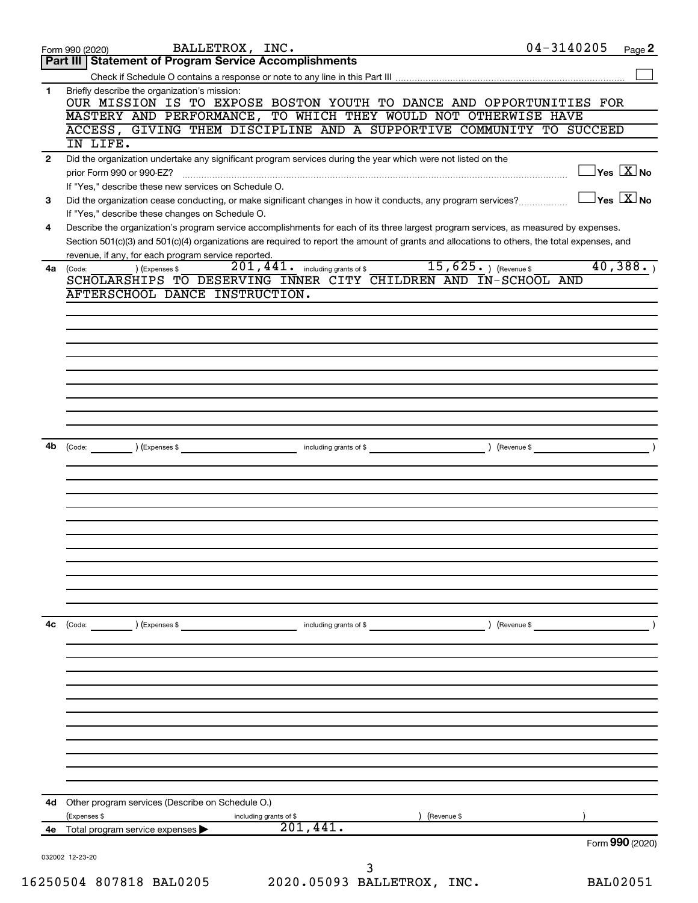|              | BALLETROX, INC.<br>Form 990 (2020)                                                                                                                                                                                                                                                   | $04 - 3140205$ | Page 2                                    |
|--------------|--------------------------------------------------------------------------------------------------------------------------------------------------------------------------------------------------------------------------------------------------------------------------------------|----------------|-------------------------------------------|
|              | Part III   Statement of Program Service Accomplishments                                                                                                                                                                                                                              |                |                                           |
| 1            | Briefly describe the organization's mission:                                                                                                                                                                                                                                         |                |                                           |
|              | OUR MISSION IS TO EXPOSE BOSTON YOUTH TO DANCE AND OPPORTUNITIES FOR                                                                                                                                                                                                                 |                |                                           |
|              | MASTERY AND PERFORMANCE, TO WHICH THEY WOULD NOT OTHERWISE HAVE                                                                                                                                                                                                                      |                |                                           |
|              | ACCESS, GIVING THEM DISCIPLINE AND A SUPPORTIVE COMMUNITY TO SUCCEED                                                                                                                                                                                                                 |                |                                           |
|              | IN LIFE.<br>Did the organization undertake any significant program services during the year which were not listed on the                                                                                                                                                             |                |                                           |
| $\mathbf{2}$ | prior Form 990 or 990-EZ?                                                                                                                                                                                                                                                            |                | $\overline{\ }$ Yes $\overline{\rm X}$ No |
|              | If "Yes," describe these new services on Schedule O.                                                                                                                                                                                                                                 |                |                                           |
| 3            | Did the organization cease conducting, or make significant changes in how it conducts, any program services?                                                                                                                                                                         |                | $\exists$ Yes $\boxed{\text{X}}$ No       |
|              | If "Yes," describe these changes on Schedule O.                                                                                                                                                                                                                                      |                |                                           |
| 4            | Describe the organization's program service accomplishments for each of its three largest program services, as measured by expenses.<br>Section 501(c)(3) and 501(c)(4) organizations are required to report the amount of grants and allocations to others, the total expenses, and |                |                                           |
|              | revenue, if any, for each program service reported.                                                                                                                                                                                                                                  |                |                                           |
| 4a           | $15,625.$ (Revenue \$<br>$201, 441$ $\cdot$ including grants of \$<br>) (Expenses \$<br>(Code:                                                                                                                                                                                       |                | 40,388.                                   |
|              | SCHOLARSHIPS TO DESERVING INNER CITY CHILDREN AND IN-SCHOOL AND                                                                                                                                                                                                                      |                |                                           |
|              | AFTERSCHOOL DANCE INSTRUCTION.                                                                                                                                                                                                                                                       |                |                                           |
|              |                                                                                                                                                                                                                                                                                      |                |                                           |
|              |                                                                                                                                                                                                                                                                                      |                |                                           |
|              |                                                                                                                                                                                                                                                                                      |                |                                           |
|              |                                                                                                                                                                                                                                                                                      |                |                                           |
|              |                                                                                                                                                                                                                                                                                      |                |                                           |
|              |                                                                                                                                                                                                                                                                                      |                |                                           |
|              |                                                                                                                                                                                                                                                                                      |                |                                           |
|              |                                                                                                                                                                                                                                                                                      |                |                                           |
| 4b           | $\begin{pmatrix} \text{Code:} \end{pmatrix}$<br>) (Expenses \$                                                                                                                                                                                                                       |                |                                           |
|              |                                                                                                                                                                                                                                                                                      |                |                                           |
|              |                                                                                                                                                                                                                                                                                      |                |                                           |
|              |                                                                                                                                                                                                                                                                                      |                |                                           |
|              |                                                                                                                                                                                                                                                                                      |                |                                           |
|              |                                                                                                                                                                                                                                                                                      |                |                                           |
|              |                                                                                                                                                                                                                                                                                      |                |                                           |
|              |                                                                                                                                                                                                                                                                                      |                |                                           |
|              |                                                                                                                                                                                                                                                                                      |                |                                           |
|              |                                                                                                                                                                                                                                                                                      |                |                                           |
|              |                                                                                                                                                                                                                                                                                      |                |                                           |
| 4с           | (Code: ) (Expenses \$<br>including grants of \$<br>) (Revenue \$                                                                                                                                                                                                                     |                |                                           |
|              |                                                                                                                                                                                                                                                                                      |                |                                           |
|              |                                                                                                                                                                                                                                                                                      |                |                                           |
|              |                                                                                                                                                                                                                                                                                      |                |                                           |
|              |                                                                                                                                                                                                                                                                                      |                |                                           |
|              |                                                                                                                                                                                                                                                                                      |                |                                           |
|              |                                                                                                                                                                                                                                                                                      |                |                                           |
|              |                                                                                                                                                                                                                                                                                      |                |                                           |
|              |                                                                                                                                                                                                                                                                                      |                |                                           |
|              |                                                                                                                                                                                                                                                                                      |                |                                           |
|              |                                                                                                                                                                                                                                                                                      |                |                                           |
|              | 4d Other program services (Describe on Schedule O.)                                                                                                                                                                                                                                  |                |                                           |
|              | (Expenses \$<br>(Revenue \$<br>including grants of \$                                                                                                                                                                                                                                |                |                                           |
|              | 201,441.<br>4e Total program service expenses $\blacktriangleright$                                                                                                                                                                                                                  |                |                                           |
|              |                                                                                                                                                                                                                                                                                      |                | Form 990 (2020)                           |
|              | 032002 12-23-20<br>3                                                                                                                                                                                                                                                                 |                |                                           |
|              | 16250504 807818 BAL0205<br>2020.05093 BALLETROX, INC.                                                                                                                                                                                                                                |                | <b>BAL02051</b>                           |
|              |                                                                                                                                                                                                                                                                                      |                |                                           |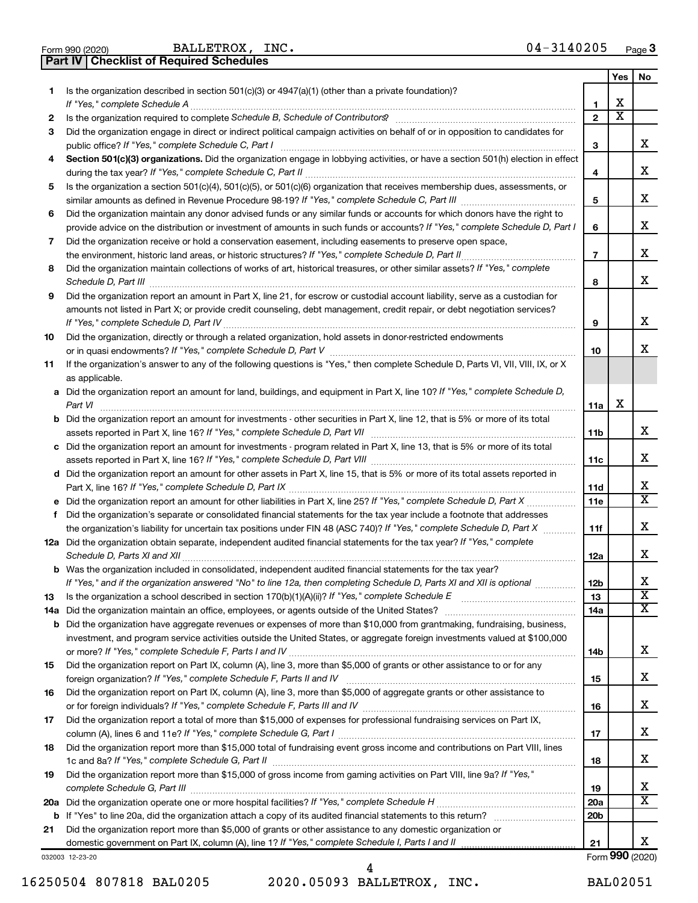|  | Form 990 (2020 |
|--|----------------|

BALLETROX, INC.

**Part IV Checklist of Required Schedules**

|     |                                                                                                                                                                                         |                 | Yes                        | No                      |
|-----|-----------------------------------------------------------------------------------------------------------------------------------------------------------------------------------------|-----------------|----------------------------|-------------------------|
| 1.  | Is the organization described in section $501(c)(3)$ or $4947(a)(1)$ (other than a private foundation)?                                                                                 |                 |                            |                         |
|     | If "Yes," complete Schedule A                                                                                                                                                           | 1               | х<br>$\overline{\text{x}}$ |                         |
| 2   |                                                                                                                                                                                         | $\overline{2}$  |                            |                         |
| 3   | Did the organization engage in direct or indirect political campaign activities on behalf of or in opposition to candidates for<br>public office? If "Yes," complete Schedule C, Part I |                 |                            | x                       |
| 4   | Section 501(c)(3) organizations. Did the organization engage in lobbying activities, or have a section 501(h) election in effect                                                        | 3               |                            |                         |
|     |                                                                                                                                                                                         | 4               |                            | x                       |
| 5   | Is the organization a section 501(c)(4), 501(c)(5), or 501(c)(6) organization that receives membership dues, assessments, or                                                            |                 |                            |                         |
|     |                                                                                                                                                                                         | 5               |                            | x                       |
| 6   | Did the organization maintain any donor advised funds or any similar funds or accounts for which donors have the right to                                                               |                 |                            |                         |
|     | provide advice on the distribution or investment of amounts in such funds or accounts? If "Yes," complete Schedule D, Part I                                                            | 6               |                            | x                       |
| 7   | Did the organization receive or hold a conservation easement, including easements to preserve open space,                                                                               |                 |                            |                         |
|     | the environment, historic land areas, or historic structures? If "Yes," complete Schedule D, Part II                                                                                    | $\overline{7}$  |                            | x                       |
| 8   | Did the organization maintain collections of works of art, historical treasures, or other similar assets? If "Yes," complete                                                            |                 |                            |                         |
|     |                                                                                                                                                                                         | 8               |                            | x                       |
| 9   | Did the organization report an amount in Part X, line 21, for escrow or custodial account liability, serve as a custodian for                                                           |                 |                            |                         |
|     | amounts not listed in Part X; or provide credit counseling, debt management, credit repair, or debt negotiation services?                                                               |                 |                            |                         |
|     |                                                                                                                                                                                         | 9               |                            | X                       |
| 10  | Did the organization, directly or through a related organization, hold assets in donor-restricted endowments                                                                            |                 |                            | x                       |
|     | If the organization's answer to any of the following questions is "Yes," then complete Schedule D, Parts VI, VII, VIII, IX, or X                                                        | 10              |                            |                         |
| 11  | as applicable.                                                                                                                                                                          |                 |                            |                         |
|     | a Did the organization report an amount for land, buildings, and equipment in Part X, line 10? If "Yes," complete Schedule D,                                                           |                 |                            |                         |
|     |                                                                                                                                                                                         | 11a             | X                          |                         |
|     | <b>b</b> Did the organization report an amount for investments - other securities in Part X, line 12, that is 5% or more of its total                                                   |                 |                            |                         |
|     |                                                                                                                                                                                         | 11 <sub>b</sub> |                            | x                       |
|     | c Did the organization report an amount for investments - program related in Part X, line 13, that is 5% or more of its total                                                           |                 |                            |                         |
|     |                                                                                                                                                                                         | 11c             |                            | x                       |
|     | d Did the organization report an amount for other assets in Part X, line 15, that is 5% or more of its total assets reported in                                                         |                 |                            |                         |
|     |                                                                                                                                                                                         | 11d             |                            | X                       |
|     |                                                                                                                                                                                         | 11e             |                            | $\overline{\mathbf{x}}$ |
| f   | Did the organization's separate or consolidated financial statements for the tax year include a footnote that addresses                                                                 |                 |                            |                         |
|     | the organization's liability for uncertain tax positions under FIN 48 (ASC 740)? If "Yes," complete Schedule D, Part X                                                                  | 11f             |                            | x                       |
|     | 12a Did the organization obtain separate, independent audited financial statements for the tax year? If "Yes," complete                                                                 |                 |                            | x                       |
|     | <b>b</b> Was the organization included in consolidated, independent audited financial statements for the tax year?                                                                      | 12a             |                            |                         |
|     | If "Yes," and if the organization answered "No" to line 12a, then completing Schedule D, Parts XI and XII is optional                                                                   | 12 <sub>b</sub> |                            | х                       |
| 13  |                                                                                                                                                                                         | 13              |                            | $\overline{\textbf{x}}$ |
| 14a |                                                                                                                                                                                         | 14a             |                            | $\overline{X}$          |
|     | <b>b</b> Did the organization have aggregate revenues or expenses of more than \$10,000 from grantmaking, fundraising, business,                                                        |                 |                            |                         |
|     | investment, and program service activities outside the United States, or aggregate foreign investments valued at \$100,000                                                              |                 |                            |                         |
|     |                                                                                                                                                                                         | 14b             |                            | x                       |
| 15  | Did the organization report on Part IX, column (A), line 3, more than \$5,000 of grants or other assistance to or for any                                                               |                 |                            |                         |
|     |                                                                                                                                                                                         | 15              |                            | x                       |
| 16  | Did the organization report on Part IX, column (A), line 3, more than \$5,000 of aggregate grants or other assistance to                                                                |                 |                            |                         |
|     |                                                                                                                                                                                         | 16              |                            | x                       |
| 17  | Did the organization report a total of more than \$15,000 of expenses for professional fundraising services on Part IX,                                                                 |                 |                            |                         |
|     |                                                                                                                                                                                         | 17              |                            | x                       |
| 18  | Did the organization report more than \$15,000 total of fundraising event gross income and contributions on Part VIII, lines                                                            | 18              |                            | x                       |
| 19  | Did the organization report more than \$15,000 of gross income from gaming activities on Part VIII, line 9a? If "Yes,"                                                                  |                 |                            |                         |
|     |                                                                                                                                                                                         | 19              |                            | x                       |
|     |                                                                                                                                                                                         | 20a             |                            | $\overline{\mathbf{x}}$ |
|     |                                                                                                                                                                                         | 20 <sub>b</sub> |                            |                         |
| 21  | Did the organization report more than \$5,000 of grants or other assistance to any domestic organization or                                                                             |                 |                            |                         |
|     |                                                                                                                                                                                         | 21              |                            | x                       |
|     | 032003 12-23-20                                                                                                                                                                         |                 |                            | Form 990 (2020)         |

16250504 807818 BAL0205 2020.05093 BALLETROX, INC. BAL02051 4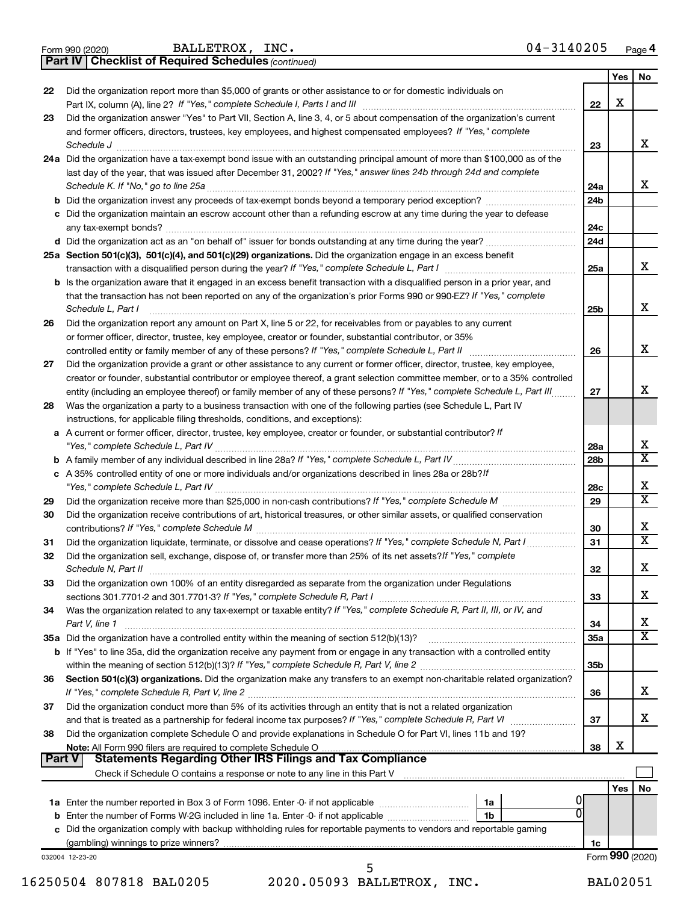|  | Form 990 (2020) |
|--|-----------------|
|  |                 |

 $\mathtt{BALLETROX}$ ,  $\mathtt{INC.}$   $\mathtt{04-3140205}$ 

**Part IV Checklist of Required Schedules**

*(continued)*

|               |                                                                                                                                                                                                    |                 | Yes | No                           |  |  |  |
|---------------|----------------------------------------------------------------------------------------------------------------------------------------------------------------------------------------------------|-----------------|-----|------------------------------|--|--|--|
| 22            | Did the organization report more than \$5,000 of grants or other assistance to or for domestic individuals on                                                                                      |                 |     |                              |  |  |  |
|               |                                                                                                                                                                                                    | 22              | X   |                              |  |  |  |
| 23            | Did the organization answer "Yes" to Part VII, Section A, line 3, 4, or 5 about compensation of the organization's current                                                                         |                 |     |                              |  |  |  |
|               | and former officers, directors, trustees, key employees, and highest compensated employees? If "Yes," complete                                                                                     |                 |     |                              |  |  |  |
|               | Schedule J <b>Execute Schedule Schedule Schedule Schedule</b> J <b>Execute Schedule J Execute Schedule J</b>                                                                                       | 23              |     | x                            |  |  |  |
|               | 24a Did the organization have a tax-exempt bond issue with an outstanding principal amount of more than \$100,000 as of the                                                                        |                 |     |                              |  |  |  |
|               | last day of the year, that was issued after December 31, 2002? If "Yes," answer lines 24b through 24d and complete                                                                                 |                 |     | x                            |  |  |  |
|               |                                                                                                                                                                                                    | 24a<br>24b      |     |                              |  |  |  |
|               | c Did the organization maintain an escrow account other than a refunding escrow at any time during the year to defease                                                                             |                 |     |                              |  |  |  |
|               |                                                                                                                                                                                                    | 24c             |     |                              |  |  |  |
|               | d Did the organization act as an "on behalf of" issuer for bonds outstanding at any time during the year?                                                                                          | 24d             |     |                              |  |  |  |
|               | 25a Section 501(c)(3), 501(c)(4), and 501(c)(29) organizations. Did the organization engage in an excess benefit                                                                                   |                 |     |                              |  |  |  |
|               |                                                                                                                                                                                                    | 25a             |     | x                            |  |  |  |
|               | <b>b</b> Is the organization aware that it engaged in an excess benefit transaction with a disqualified person in a prior year, and                                                                |                 |     |                              |  |  |  |
|               | that the transaction has not been reported on any of the organization's prior Forms 990 or 990-EZ? If "Yes," complete                                                                              |                 |     |                              |  |  |  |
|               | Schedule L, Part I                                                                                                                                                                                 | 25b             |     | x                            |  |  |  |
| 26            | Did the organization report any amount on Part X, line 5 or 22, for receivables from or payables to any current                                                                                    |                 |     |                              |  |  |  |
|               | or former officer, director, trustee, key employee, creator or founder, substantial contributor, or 35%                                                                                            |                 |     |                              |  |  |  |
|               | controlled entity or family member of any of these persons? If "Yes," complete Schedule L, Part II                                                                                                 | 26              |     | x                            |  |  |  |
| 27            | Did the organization provide a grant or other assistance to any current or former officer, director, trustee, key employee,                                                                        |                 |     |                              |  |  |  |
|               | creator or founder, substantial contributor or employee thereof, a grant selection committee member, or to a 35% controlled                                                                        |                 |     | x                            |  |  |  |
|               | entity (including an employee thereof) or family member of any of these persons? If "Yes," complete Schedule L, Part III                                                                           | 27              |     |                              |  |  |  |
| 28            | Was the organization a party to a business transaction with one of the following parties (see Schedule L, Part IV                                                                                  |                 |     |                              |  |  |  |
|               | instructions, for applicable filing thresholds, conditions, and exceptions):<br>a A current or former officer, director, trustee, key employee, creator or founder, or substantial contributor? If |                 |     |                              |  |  |  |
|               |                                                                                                                                                                                                    | 28a             |     | X                            |  |  |  |
|               |                                                                                                                                                                                                    | 28b             |     | $\overline{\mathbf{x}}$      |  |  |  |
|               | c A 35% controlled entity of one or more individuals and/or organizations described in lines 28a or 28b?If                                                                                         |                 |     |                              |  |  |  |
|               |                                                                                                                                                                                                    | 28c             |     | х<br>$\overline{\mathtt{x}}$ |  |  |  |
| 29            |                                                                                                                                                                                                    |                 |     |                              |  |  |  |
| 30            | Did the organization receive contributions of art, historical treasures, or other similar assets, or qualified conservation                                                                        |                 |     |                              |  |  |  |
|               |                                                                                                                                                                                                    | 30              |     | х                            |  |  |  |
| 31            | Did the organization liquidate, terminate, or dissolve and cease operations? If "Yes," complete Schedule N, Part I                                                                                 | 31              |     | $\overline{\mathbf{x}}$      |  |  |  |
| 32            | Did the organization sell, exchange, dispose of, or transfer more than 25% of its net assets? If "Yes," complete                                                                                   |                 |     |                              |  |  |  |
|               |                                                                                                                                                                                                    | 32              |     | x                            |  |  |  |
| 33            | Did the organization own 100% of an entity disregarded as separate from the organization under Regulations                                                                                         |                 |     |                              |  |  |  |
|               |                                                                                                                                                                                                    | 33              |     | х                            |  |  |  |
| 34            | Was the organization related to any tax-exempt or taxable entity? If "Yes," complete Schedule R, Part II, III, or IV, and                                                                          |                 |     | x                            |  |  |  |
|               | Part V, line 1                                                                                                                                                                                     | 34<br>35a       |     | $\overline{\texttt{x}}$      |  |  |  |
|               | b If "Yes" to line 35a, did the organization receive any payment from or engage in any transaction with a controlled entity                                                                        |                 |     |                              |  |  |  |
|               |                                                                                                                                                                                                    | 35 <sub>b</sub> |     |                              |  |  |  |
| 36            | Section 501(c)(3) organizations. Did the organization make any transfers to an exempt non-charitable related organization?                                                                         |                 |     |                              |  |  |  |
|               |                                                                                                                                                                                                    | 36              |     | x                            |  |  |  |
| 37            | Did the organization conduct more than 5% of its activities through an entity that is not a related organization                                                                                   |                 |     |                              |  |  |  |
|               |                                                                                                                                                                                                    | 37              |     | x                            |  |  |  |
| 38            | Did the organization complete Schedule O and provide explanations in Schedule O for Part VI, lines 11b and 19?                                                                                     |                 |     |                              |  |  |  |
|               | Note: All Form 990 filers are required to complete Schedule O.                                                                                                                                     | 38              | х   |                              |  |  |  |
| <b>Part V</b> | <b>Statements Regarding Other IRS Filings and Tax Compliance</b>                                                                                                                                   |                 |     |                              |  |  |  |
|               |                                                                                                                                                                                                    |                 |     |                              |  |  |  |
|               | 0                                                                                                                                                                                                  |                 | Yes | No                           |  |  |  |
|               | 1a<br>0<br><b>b</b> Enter the number of Forms W-2G included in line 1a. Enter -0- if not applicable<br>1b                                                                                          |                 |     |                              |  |  |  |
|               | c Did the organization comply with backup withholding rules for reportable payments to vendors and reportable gaming                                                                               |                 |     |                              |  |  |  |
|               |                                                                                                                                                                                                    | 1c              |     |                              |  |  |  |
|               | 032004 12-23-20                                                                                                                                                                                    |                 |     | Form 990 (2020)              |  |  |  |
|               | 5                                                                                                                                                                                                  |                 |     |                              |  |  |  |

16250504 807818 BAL0205 2020.05093 BALLETROX, INC. BAL02051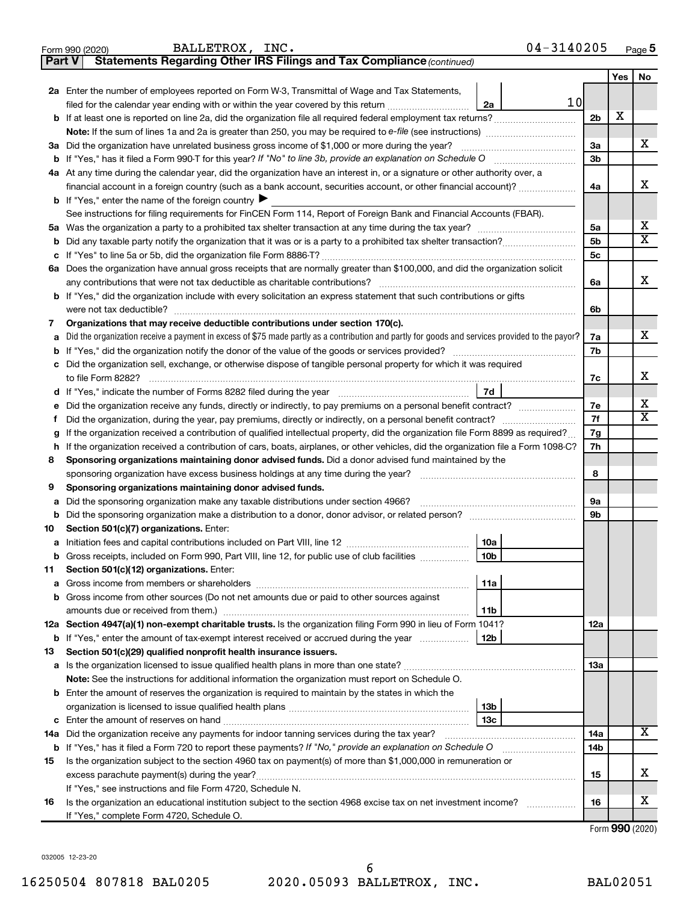|             | BALLETROX, INC.<br>Form 990 (2020)                                                                                                                                                         | 04-3140205      |     | Page 5                  |  |  |  |  |  |
|-------------|--------------------------------------------------------------------------------------------------------------------------------------------------------------------------------------------|-----------------|-----|-------------------------|--|--|--|--|--|
|             | Statements Regarding Other IRS Filings and Tax Compliance (continued)<br><b>Part V</b>                                                                                                     |                 |     |                         |  |  |  |  |  |
|             |                                                                                                                                                                                            |                 | Yes | No                      |  |  |  |  |  |
|             | 2a Enter the number of employees reported on Form W-3, Transmittal of Wage and Tax Statements,                                                                                             |                 |     |                         |  |  |  |  |  |
|             | filed for the calendar year ending with or within the year covered by this return <i>manumumumum</i><br>2a                                                                                 | 10 <sub>l</sub> |     |                         |  |  |  |  |  |
|             |                                                                                                                                                                                            | 2 <sub>b</sub>  | X   |                         |  |  |  |  |  |
|             | <b>Note:</b> If the sum of lines 1a and 2a is greater than 250, you may be required to e-file (see instructions) <i></i>                                                                   |                 |     |                         |  |  |  |  |  |
|             | 3a Did the organization have unrelated business gross income of \$1,000 or more during the year?                                                                                           | 3a              |     | X                       |  |  |  |  |  |
|             |                                                                                                                                                                                            | 3 <sub>b</sub>  |     |                         |  |  |  |  |  |
|             | 4a At any time during the calendar year, did the organization have an interest in, or a signature or other authority over, a                                                               |                 |     |                         |  |  |  |  |  |
|             | financial account in a foreign country (such as a bank account, securities account, or other financial account)?                                                                           | 4a              |     | х                       |  |  |  |  |  |
|             | <b>b</b> If "Yes," enter the name of the foreign country                                                                                                                                   |                 |     |                         |  |  |  |  |  |
|             | See instructions for filing requirements for FinCEN Form 114, Report of Foreign Bank and Financial Accounts (FBAR).                                                                        |                 |     |                         |  |  |  |  |  |
|             |                                                                                                                                                                                            | 5a              |     | x                       |  |  |  |  |  |
| b           |                                                                                                                                                                                            | 5 <sub>b</sub>  |     | $\overline{\texttt{x}}$ |  |  |  |  |  |
| с           |                                                                                                                                                                                            | 5 <sub>c</sub>  |     |                         |  |  |  |  |  |
|             | 6a Does the organization have annual gross receipts that are normally greater than \$100,000, and did the organization solicit                                                             |                 |     |                         |  |  |  |  |  |
|             | any contributions that were not tax deductible as charitable contributions?                                                                                                                | 6a              |     | х                       |  |  |  |  |  |
|             | b If "Yes," did the organization include with every solicitation an express statement that such contributions or gifts                                                                     |                 |     |                         |  |  |  |  |  |
|             | were not tax deductible?                                                                                                                                                                   | 6b              |     |                         |  |  |  |  |  |
| 7           | Organizations that may receive deductible contributions under section 170(c).                                                                                                              |                 |     |                         |  |  |  |  |  |
| a           | Did the organization receive a payment in excess of \$75 made partly as a contribution and partly for goods and services provided to the payor?                                            | 7a              |     | x                       |  |  |  |  |  |
| b           |                                                                                                                                                                                            | 7b              |     |                         |  |  |  |  |  |
| с           | Did the organization sell, exchange, or otherwise dispose of tangible personal property for which it was required                                                                          |                 |     |                         |  |  |  |  |  |
|             | to file Form 8282?                                                                                                                                                                         | 7c              |     | x                       |  |  |  |  |  |
|             | 7d<br>d If "Yes," indicate the number of Forms 8282 filed during the year manufactured in the second of the number of Forms 8282 filed during the year manufactured in the second of the S |                 |     |                         |  |  |  |  |  |
|             | Did the organization receive any funds, directly or indirectly, to pay premiums on a personal benefit contract?                                                                            | 7е              |     | x                       |  |  |  |  |  |
|             | Did the organization, during the year, pay premiums, directly or indirectly, on a personal benefit contract?                                                                               | 7f              |     | $\overline{\texttt{x}}$ |  |  |  |  |  |
| g           | If the organization received a contribution of qualified intellectual property, did the organization file Form 8899 as required?                                                           | 7g              |     |                         |  |  |  |  |  |
|             | If the organization received a contribution of cars, boats, airplanes, or other vehicles, did the organization file a Form 1098-C?                                                         | 7h              |     |                         |  |  |  |  |  |
| 8           | Sponsoring organizations maintaining donor advised funds. Did a donor advised fund maintained by the                                                                                       |                 |     |                         |  |  |  |  |  |
|             | sponsoring organization have excess business holdings at any time during the year?                                                                                                         | 8               |     |                         |  |  |  |  |  |
| 9           | Sponsoring organizations maintaining donor advised funds.                                                                                                                                  |                 |     |                         |  |  |  |  |  |
| а           | Did the sponsoring organization make any taxable distributions under section 4966?                                                                                                         | <b>9a</b>       |     |                         |  |  |  |  |  |
| $\mathbf b$ |                                                                                                                                                                                            | 9b              |     |                         |  |  |  |  |  |
| 10          | Section 501(c)(7) organizations. Enter:                                                                                                                                                    |                 |     |                         |  |  |  |  |  |
|             | 10a                                                                                                                                                                                        |                 |     |                         |  |  |  |  |  |
| b           | Gross receipts, included on Form 990, Part VIII, line 12, for public use of club facilities<br>10b                                                                                         |                 |     |                         |  |  |  |  |  |
| 11          | Section 501(c)(12) organizations. Enter:                                                                                                                                                   |                 |     |                         |  |  |  |  |  |
| а           | 11a                                                                                                                                                                                        |                 |     |                         |  |  |  |  |  |
|             | Gross income from other sources (Do not net amounts due or paid to other sources against                                                                                                   |                 |     |                         |  |  |  |  |  |
|             | amounts due or received from them.)<br>11b                                                                                                                                                 |                 |     |                         |  |  |  |  |  |
|             | 12a Section 4947(a)(1) non-exempt charitable trusts. Is the organization filing Form 990 in lieu of Form 1041?                                                                             | 12a             |     |                         |  |  |  |  |  |
|             | <b>b</b> If "Yes," enter the amount of tax-exempt interest received or accrued during the year<br>12b                                                                                      |                 |     |                         |  |  |  |  |  |
| 13          | Section 501(c)(29) qualified nonprofit health insurance issuers.                                                                                                                           |                 |     |                         |  |  |  |  |  |
| а           | Is the organization licensed to issue qualified health plans in more than one state?                                                                                                       | 13a             |     |                         |  |  |  |  |  |
|             | Note: See the instructions for additional information the organization must report on Schedule O.                                                                                          |                 |     |                         |  |  |  |  |  |
|             | <b>b</b> Enter the amount of reserves the organization is required to maintain by the states in which the<br>13b                                                                           |                 |     |                         |  |  |  |  |  |
|             | 13 <sub>c</sub><br>Enter the amount of reserves on hand                                                                                                                                    |                 |     |                         |  |  |  |  |  |
| с           | Did the organization receive any payments for indoor tanning services during the tax year?                                                                                                 | 14a             |     | х                       |  |  |  |  |  |
| 14a         | <b>b</b> If "Yes," has it filed a Form 720 to report these payments? If "No," provide an explanation on Schedule O                                                                         | 14b             |     |                         |  |  |  |  |  |
| 15          | Is the organization subject to the section 4960 tax on payment(s) of more than \$1,000,000 in remuneration or                                                                              |                 |     |                         |  |  |  |  |  |
|             | excess parachute payment(s) during the year?                                                                                                                                               | 15              |     | x                       |  |  |  |  |  |
|             | If "Yes," see instructions and file Form 4720, Schedule N.                                                                                                                                 |                 |     |                         |  |  |  |  |  |
| 16          | Is the organization an educational institution subject to the section 4968 excise tax on net investment income?                                                                            | 16              |     | x                       |  |  |  |  |  |
|             | If "Yes," complete Form 4720, Schedule O.                                                                                                                                                  |                 |     |                         |  |  |  |  |  |
|             |                                                                                                                                                                                            |                 |     |                         |  |  |  |  |  |

Form (2020) **990**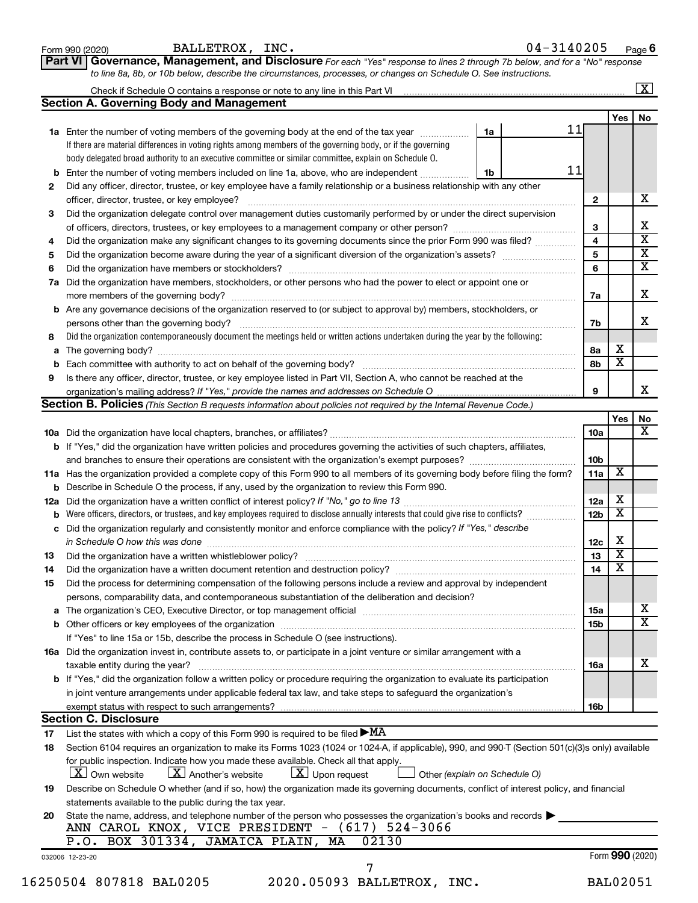|     |                                                                                                                                                                                                                                     |    |    |                 |                         | $\boxed{\text{X}}$      |  |  |
|-----|-------------------------------------------------------------------------------------------------------------------------------------------------------------------------------------------------------------------------------------|----|----|-----------------|-------------------------|-------------------------|--|--|
|     | <b>Section A. Governing Body and Management</b>                                                                                                                                                                                     |    |    |                 |                         |                         |  |  |
|     |                                                                                                                                                                                                                                     |    | 11 |                 | Yes                     | No                      |  |  |
|     | 1a Enter the number of voting members of the governing body at the end of the tax year <i>manumum</i>                                                                                                                               | 1a |    |                 |                         |                         |  |  |
|     | If there are material differences in voting rights among members of the governing body, or if the governing                                                                                                                         |    |    |                 |                         |                         |  |  |
|     | body delegated broad authority to an executive committee or similar committee, explain on Schedule O.                                                                                                                               |    | 11 |                 |                         |                         |  |  |
|     | <b>b</b> Enter the number of voting members included on line 1a, above, who are independent                                                                                                                                         | 1b |    |                 |                         |                         |  |  |
| 2   | Did any officer, director, trustee, or key employee have a family relationship or a business relationship with any other                                                                                                            |    |    |                 |                         | х                       |  |  |
|     |                                                                                                                                                                                                                                     |    |    | $\mathbf{2}$    |                         |                         |  |  |
| 3   | Did the organization delegate control over management duties customarily performed by or under the direct supervision                                                                                                               |    |    | 3               |                         | Х                       |  |  |
| 4   | Did the organization make any significant changes to its governing documents since the prior Form 990 was filed?                                                                                                                    |    |    | 4               |                         | $\overline{\mathbf{x}}$ |  |  |
| 5   |                                                                                                                                                                                                                                     |    |    | 5               |                         | $\overline{\mathbf{x}}$ |  |  |
|     |                                                                                                                                                                                                                                     |    |    | 6               |                         | $\overline{\mathbf{X}}$ |  |  |
| 6   | Did the organization have members, stockholders, or other persons who had the power to elect or appoint one or                                                                                                                      |    |    |                 |                         |                         |  |  |
| 7a  |                                                                                                                                                                                                                                     |    |    |                 |                         | Х                       |  |  |
|     | <b>b</b> Are any governance decisions of the organization reserved to (or subject to approval by) members, stockholders, or                                                                                                         |    |    | 7a              |                         |                         |  |  |
|     |                                                                                                                                                                                                                                     |    |    | 7b              |                         | x                       |  |  |
| 8   | Did the organization contemporaneously document the meetings held or written actions undertaken during the year by the following:                                                                                                   |    |    |                 |                         |                         |  |  |
| a   |                                                                                                                                                                                                                                     |    |    | 8а              | х                       |                         |  |  |
|     |                                                                                                                                                                                                                                     |    |    | 8b              | $\overline{\mathbf{X}}$ |                         |  |  |
| 9   | Is there any officer, director, trustee, or key employee listed in Part VII, Section A, who cannot be reached at the                                                                                                                |    |    |                 |                         |                         |  |  |
|     |                                                                                                                                                                                                                                     |    |    | 9               |                         | x                       |  |  |
|     | Section B. Policies (This Section B requests information about policies not required by the Internal Revenue Code.)                                                                                                                 |    |    |                 |                         |                         |  |  |
|     |                                                                                                                                                                                                                                     |    |    |                 | Yes                     | No                      |  |  |
|     |                                                                                                                                                                                                                                     |    |    | <b>10a</b>      |                         | х                       |  |  |
|     | b If "Yes," did the organization have written policies and procedures governing the activities of such chapters, affiliates,                                                                                                        |    |    |                 |                         |                         |  |  |
|     |                                                                                                                                                                                                                                     |    |    | 10b             |                         |                         |  |  |
|     | 11a Has the organization provided a complete copy of this Form 990 to all members of its governing body before filing the form?                                                                                                     |    |    | 11a             | X                       |                         |  |  |
|     | <b>b</b> Describe in Schedule O the process, if any, used by the organization to review this Form 990.                                                                                                                              |    |    |                 |                         |                         |  |  |
| 12a |                                                                                                                                                                                                                                     |    |    | 12a             | х                       |                         |  |  |
|     | <b>b</b> Were officers, directors, or trustees, and key employees required to disclose annually interests that could give rise to conflicts?                                                                                        |    |    | 12 <sub>b</sub> | $\overline{\textbf{x}}$ |                         |  |  |
|     | c Did the organization regularly and consistently monitor and enforce compliance with the policy? If "Yes," describe                                                                                                                |    |    |                 |                         |                         |  |  |
|     | in Schedule O how this was done <b>construction and construction</b> of the state of the state of the state of the state of the state of the state of the state of the state of the state of the state of the state of the state of |    |    | 12c             | Х                       |                         |  |  |
| 13  |                                                                                                                                                                                                                                     |    |    | 13              | $\overline{\mathbf{X}}$ |                         |  |  |
| 14  | Did the organization have a written document retention and destruction policy? [111] [12] manument content and the organization have a written document retention and destruction policy?                                           |    |    | 14              | $\overline{\textbf{x}}$ |                         |  |  |
| 15  | Did the process for determining compensation of the following persons include a review and approval by independent                                                                                                                  |    |    |                 |                         |                         |  |  |
|     | persons, comparability data, and contemporaneous substantiation of the deliberation and decision?                                                                                                                                   |    |    |                 |                         |                         |  |  |
| a   |                                                                                                                                                                                                                                     |    |    | 15a             |                         | х                       |  |  |
|     |                                                                                                                                                                                                                                     |    |    | 15 <sub>b</sub> |                         | $\overline{\mathbf{X}}$ |  |  |
|     | If "Yes" to line 15a or 15b, describe the process in Schedule O (see instructions).                                                                                                                                                 |    |    |                 |                         |                         |  |  |
|     | 16a Did the organization invest in, contribute assets to, or participate in a joint venture or similar arrangement with a                                                                                                           |    |    |                 |                         |                         |  |  |
|     | taxable entity during the year?                                                                                                                                                                                                     |    |    | 16a             |                         | х                       |  |  |
|     | <b>b</b> If "Yes," did the organization follow a written policy or procedure requiring the organization to evaluate its participation                                                                                               |    |    |                 |                         |                         |  |  |
|     | in joint venture arrangements under applicable federal tax law, and take steps to safeguard the organization's                                                                                                                      |    |    |                 |                         |                         |  |  |
|     | exempt status with respect to such arrangements?                                                                                                                                                                                    |    |    | 16b             |                         |                         |  |  |
|     | <b>Section C. Disclosure</b>                                                                                                                                                                                                        |    |    |                 |                         |                         |  |  |
| 17  | List the states with which a copy of this Form 990 is required to be filed $\blacktriangleright$ MA                                                                                                                                 |    |    |                 |                         |                         |  |  |
| 18  | Section 6104 requires an organization to make its Forms 1023 (1024 or 1024-A, if applicable), 990, and 990-T (Section 501(c)(3)s only) available                                                                                    |    |    |                 |                         |                         |  |  |
|     | for public inspection. Indicate how you made these available. Check all that apply.                                                                                                                                                 |    |    |                 |                         |                         |  |  |
|     | $\lfloor x \rfloor$ Upon request<br>$\lfloor X \rfloor$ Own website<br>$\lfloor X \rfloor$ Another's website<br>Other (explain on Schedule O)                                                                                       |    |    |                 |                         |                         |  |  |
| 19  | Describe on Schedule O whether (and if so, how) the organization made its governing documents, conflict of interest policy, and financial                                                                                           |    |    |                 |                         |                         |  |  |
|     | statements available to the public during the tax year.                                                                                                                                                                             |    |    |                 |                         |                         |  |  |
| 20  | State the name, address, and telephone number of the person who possesses the organization's books and records                                                                                                                      |    |    |                 |                         |                         |  |  |
|     | ANN CAROL KNOX, VICE PRESIDENT - (617) 524-3066                                                                                                                                                                                     |    |    |                 |                         |                         |  |  |
|     | P.O. BOX 301334, JAMAICA PLAIN, MA<br>02130                                                                                                                                                                                         |    |    |                 |                         |                         |  |  |
|     | 032006 12-23-20                                                                                                                                                                                                                     |    |    |                 | Form 990 (2020)         |                         |  |  |
|     | 7                                                                                                                                                                                                                                   |    |    |                 |                         |                         |  |  |
|     | 16250504 807818 BAL0205<br>2020.05093 BALLETROX, INC.                                                                                                                                                                               |    |    |                 | <b>BAL02051</b>         |                         |  |  |
|     |                                                                                                                                                                                                                                     |    |    |                 |                         |                         |  |  |

| Form 990 (2020)        | INC.<br><b>DAII</b> DED OV<br><b>DALLETRUA</b>                                                                      |  | $\mathbf{L}$<br>'' 4 U | Page C |
|------------------------|---------------------------------------------------------------------------------------------------------------------|--|------------------------|--------|
| $\sim$ $\cdot$ $\cdot$ | and the contract of the contract of the contract of the contract of the contract of the contract of the contract of |  | .<br>___               |        |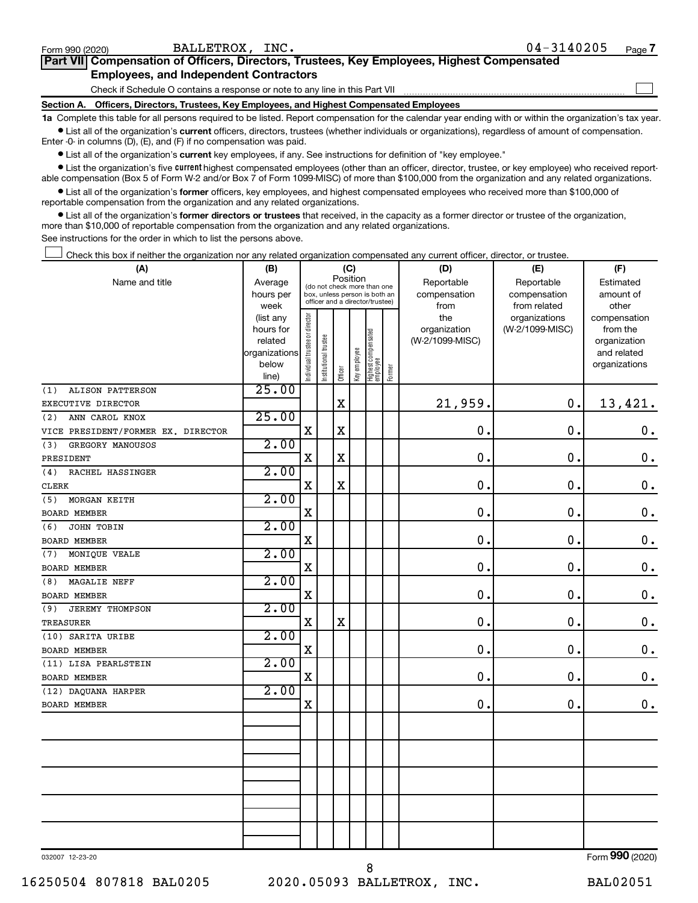$\Box$ 

| Part VII Compensation of Officers, Directors, Trustees, Key Employees, Highest Compensated |  |
|--------------------------------------------------------------------------------------------|--|
| <b>Employees, and Independent Contractors</b>                                              |  |

Check if Schedule O contains a response or note to any line in this Part VII

**Section A. Officers, Directors, Trustees, Key Employees, and Highest Compensated Employees**

**1a**  Complete this table for all persons required to be listed. Report compensation for the calendar year ending with or within the organization's tax year.  $\bullet$  List all of the organization's current officers, directors, trustees (whether individuals or organizations), regardless of amount of compensation.

Enter -0- in columns (D), (E), and (F) if no compensation was paid.

**•** List all of the organization's current key employees, if any. See instructions for definition of "key employee."

• List the organization's five *current* highest compensated employees (other than an officer, director, trustee, or key employee) who received reportable compensation (Box 5 of Form W-2 and/or Box 7 of Form 1099-MISC) of more than \$100,000 from the organization and any related organizations.

 $\bullet$  List all of the organization's former officers, key employees, and highest compensated employees who received more than \$100,000 of reportable compensation from the organization and any related organizations.

**•** List all of the organization's former directors or trustees that received, in the capacity as a former director or trustee of the organization, more than \$10,000 of reportable compensation from the organization and any related organizations.

See instructions for the order in which to list the persons above.

Check this box if neither the organization nor any related organization compensated any current officer, director, or trustee.  $\Box$ 

| (A)                                | (B)                    |                                |                      |             | (C)          |                                                                  |        | (D)                 | (E)                              | (F)                      |
|------------------------------------|------------------------|--------------------------------|----------------------|-------------|--------------|------------------------------------------------------------------|--------|---------------------|----------------------------------|--------------------------|
| Name and title                     | Average                |                                |                      | Position    |              | (do not check more than one                                      |        | Reportable          | Reportable                       | Estimated                |
|                                    | hours per              |                                |                      |             |              | box, unless person is both an<br>officer and a director/trustee) |        | compensation        | compensation                     | amount of                |
|                                    | week                   |                                |                      |             |              |                                                                  |        | from                | from related                     | other                    |
|                                    | (list any<br>hours for |                                |                      |             |              |                                                                  |        | the<br>organization | organizations<br>(W-2/1099-MISC) | compensation<br>from the |
|                                    | related                |                                |                      |             |              |                                                                  |        | (W-2/1099-MISC)     |                                  | organization             |
|                                    | organizations          | Individual trustee or director | nstitutional trustee |             |              | Highest compensated<br>employee                                  |        |                     |                                  | and related              |
|                                    | below                  |                                |                      |             | Key employee |                                                                  |        |                     |                                  | organizations            |
|                                    | line)                  |                                |                      | Officer     |              |                                                                  | Former |                     |                                  |                          |
| <b>ALISON PATTERSON</b><br>(1)     | 25.00                  |                                |                      |             |              |                                                                  |        |                     |                                  |                          |
| EXECUTIVE DIRECTOR                 |                        |                                |                      | $\mathbf X$ |              |                                                                  |        | 21,959.             | 0.                               | 13,421.                  |
| ANN CAROL KNOX<br>(2)              | 25.00                  |                                |                      |             |              |                                                                  |        |                     |                                  |                          |
| VICE PRESIDENT/FORMER EX. DIRECTOR |                        | $\mathbf X$                    |                      | $\mathbf X$ |              |                                                                  |        | $\mathbf 0$ .       | $\mathbf 0$ .                    | 0.                       |
| (3)<br>GREGORY MANOUSOS            | 2.00                   |                                |                      |             |              |                                                                  |        |                     |                                  |                          |
| PRESIDENT                          |                        | $\mathbf X$                    |                      | $\mathbf X$ |              |                                                                  |        | 0.                  | $\mathbf 0$                      | $\mathbf 0$ .            |
| RACHEL HASSINGER<br>(4)            | 2.00                   |                                |                      |             |              |                                                                  |        |                     |                                  |                          |
| CLERK                              |                        | X                              |                      | $\mathbf X$ |              |                                                                  |        | $\mathbf 0$         | $\mathbf 0$ .                    | $\boldsymbol{0}$ .       |
| MORGAN KEITH<br>(5)                | 2.00                   |                                |                      |             |              |                                                                  |        |                     |                                  |                          |
| <b>BOARD MEMBER</b>                |                        | $\mathbf X$                    |                      |             |              |                                                                  |        | 0                   | $\mathbf 0$ .                    | $\mathbf 0$ .            |
| JOHN TOBIN<br>(6)                  | 2.00                   |                                |                      |             |              |                                                                  |        |                     |                                  |                          |
| <b>BOARD MEMBER</b>                |                        | X                              |                      |             |              |                                                                  |        | $\mathbf 0$         | $\mathbf 0$ .                    | $\mathbf 0$ .            |
| MONIQUE VEALE<br>(7)               | 2.00                   |                                |                      |             |              |                                                                  |        |                     |                                  |                          |
| <b>BOARD MEMBER</b>                |                        | X                              |                      |             |              |                                                                  |        | $\mathbf 0$ .       | $\mathbf 0$ .                    | $\mathbf 0$ .            |
| MAGALIE NEFF<br>(8)                | 2.00                   |                                |                      |             |              |                                                                  |        |                     |                                  |                          |
| <b>BOARD MEMBER</b>                |                        | X                              |                      |             |              |                                                                  |        | $\mathbf 0$ .       | $\mathbf 0$ .                    | 0.                       |
| <b>JEREMY THOMPSON</b><br>(9)      | 2.00                   |                                |                      |             |              |                                                                  |        |                     |                                  |                          |
| <b>TREASURER</b>                   |                        | $\mathbf X$                    |                      | $\mathbf X$ |              |                                                                  |        | $\mathbf 0$ .       | $\mathbf 0$ .                    | $\mathbf 0$ .            |
| (10) SARITA URIBE                  | 2.00                   |                                |                      |             |              |                                                                  |        |                     |                                  |                          |
| <b>BOARD MEMBER</b>                |                        | $\mathbf X$                    |                      |             |              |                                                                  |        | $\mathbf 0$ .       | 0.                               | 0.                       |
| (11) LISA PEARLSTEIN               | 2.00                   |                                |                      |             |              |                                                                  |        |                     |                                  |                          |
| <b>BOARD MEMBER</b>                |                        | $\mathbf X$                    |                      |             |              |                                                                  |        | $\mathbf 0$         | $\mathbf 0$                      | $\mathbf 0$ .            |
| (12) DAQUANA HARPER                | 2.00                   |                                |                      |             |              |                                                                  |        |                     |                                  |                          |
| <b>BOARD MEMBER</b>                |                        | X                              |                      |             |              |                                                                  |        | 0                   | 0.                               | 0.                       |
|                                    |                        |                                |                      |             |              |                                                                  |        |                     |                                  |                          |
|                                    |                        |                                |                      |             |              |                                                                  |        |                     |                                  |                          |
|                                    |                        |                                |                      |             |              |                                                                  |        |                     |                                  |                          |
|                                    |                        |                                |                      |             |              |                                                                  |        |                     |                                  |                          |
|                                    |                        |                                |                      |             |              |                                                                  |        |                     |                                  |                          |
|                                    |                        |                                |                      |             |              |                                                                  |        |                     |                                  |                          |
|                                    |                        |                                |                      |             |              |                                                                  |        |                     |                                  |                          |
|                                    |                        |                                |                      |             |              |                                                                  |        |                     |                                  |                          |
|                                    |                        |                                |                      |             |              |                                                                  |        |                     |                                  |                          |
|                                    |                        |                                |                      |             |              |                                                                  |        |                     |                                  |                          |
| 032007 12-23-20                    |                        |                                |                      |             |              |                                                                  |        |                     |                                  | Form 990 (2020)          |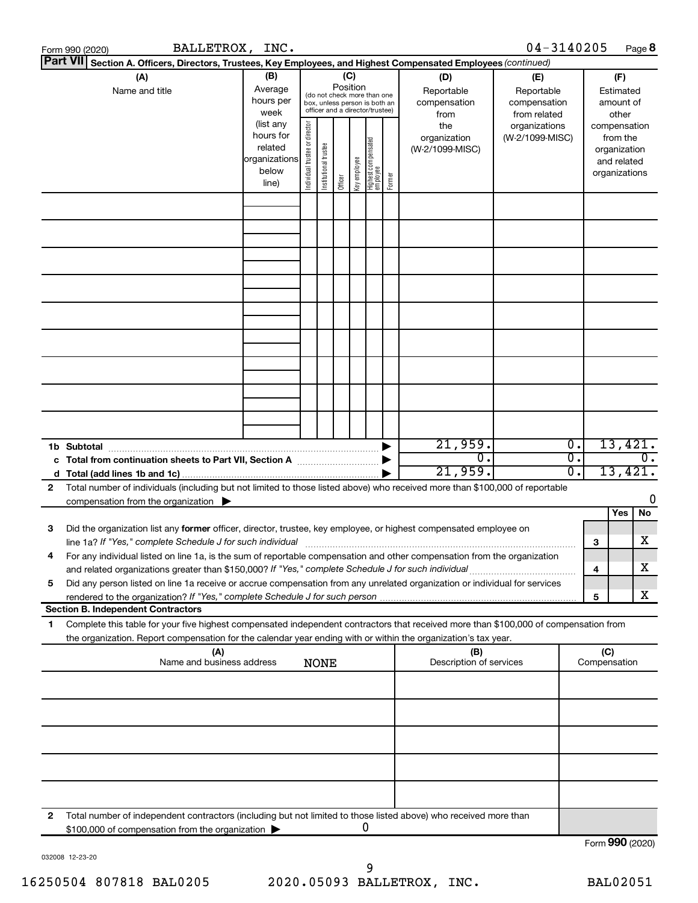|    | BALLETROX, INC.<br>Form 990 (2020)                                                                                                                                                                                                                                    |       |  |                       |         |                                |                                                                                                                                        |        |                                                                                     | 04-3140205                                                                            | Page 8                                                                                                             |
|----|-----------------------------------------------------------------------------------------------------------------------------------------------------------------------------------------------------------------------------------------------------------------------|-------|--|-----------------------|---------|--------------------------------|----------------------------------------------------------------------------------------------------------------------------------------|--------|-------------------------------------------------------------------------------------|---------------------------------------------------------------------------------------|--------------------------------------------------------------------------------------------------------------------|
|    | <b>Part VII</b><br>Section A. Officers, Directors, Trustees, Key Employees, and Highest Compensated Employees (continued)                                                                                                                                             |       |  |                       |         |                                |                                                                                                                                        |        |                                                                                     |                                                                                       |                                                                                                                    |
|    | (B)<br>(A)<br>Average<br>Name and title<br>hours per<br>week<br>(list any<br>Individual trustee or director<br>hours for<br>related<br>organizations<br>below                                                                                                         |       |  |                       |         | (C)<br>Position<br>Keyemployee | (do not check more than one<br>box, unless person is both an<br>officer and a director/trustee)<br>  Highest compensated<br>  employee |        | (D)<br>Reportable<br>compensation<br>from<br>the<br>organization<br>(W-2/1099-MISC) | (E)<br>Reportable<br>compensation<br>from related<br>organizations<br>(W-2/1099-MISC) | (F)<br>Estimated<br>amount of<br>other<br>compensation<br>from the<br>organization<br>and related<br>organizations |
|    |                                                                                                                                                                                                                                                                       | line) |  | Institutional trustee | Officer |                                |                                                                                                                                        | Former |                                                                                     |                                                                                       |                                                                                                                    |
|    |                                                                                                                                                                                                                                                                       |       |  |                       |         |                                |                                                                                                                                        |        |                                                                                     |                                                                                       |                                                                                                                    |
|    |                                                                                                                                                                                                                                                                       |       |  |                       |         |                                |                                                                                                                                        |        |                                                                                     |                                                                                       |                                                                                                                    |
|    |                                                                                                                                                                                                                                                                       |       |  |                       |         |                                |                                                                                                                                        |        |                                                                                     |                                                                                       |                                                                                                                    |
|    |                                                                                                                                                                                                                                                                       |       |  |                       |         |                                |                                                                                                                                        |        |                                                                                     |                                                                                       |                                                                                                                    |
|    |                                                                                                                                                                                                                                                                       |       |  |                       |         |                                |                                                                                                                                        |        |                                                                                     |                                                                                       |                                                                                                                    |
|    |                                                                                                                                                                                                                                                                       |       |  |                       |         |                                |                                                                                                                                        |        |                                                                                     |                                                                                       |                                                                                                                    |
|    |                                                                                                                                                                                                                                                                       |       |  |                       |         |                                |                                                                                                                                        |        |                                                                                     |                                                                                       |                                                                                                                    |
|    |                                                                                                                                                                                                                                                                       |       |  |                       |         |                                |                                                                                                                                        | ▶      | 21,959.                                                                             |                                                                                       | 13,421.<br>$\overline{0}$ .                                                                                        |
|    | c Total from continuation sheets to Part VII, Section A manuscreen by                                                                                                                                                                                                 |       |  |                       |         |                                |                                                                                                                                        |        | $\overline{0}$ .<br>21,959.                                                         |                                                                                       | $\overline{0}$ .<br>$\overline{0}$ .<br>13,421.<br>$\overline{0}$ .                                                |
| 2  | Total number of individuals (including but not limited to those listed above) who received more than \$100,000 of reportable                                                                                                                                          |       |  |                       |         |                                |                                                                                                                                        |        |                                                                                     |                                                                                       |                                                                                                                    |
|    | compensation from the organization $\blacktriangleright$                                                                                                                                                                                                              |       |  |                       |         |                                |                                                                                                                                        |        |                                                                                     |                                                                                       | 0<br>Yes<br>No                                                                                                     |
| 3  | Did the organization list any former officer, director, trustee, key employee, or highest compensated employee on                                                                                                                                                     |       |  |                       |         |                                |                                                                                                                                        |        |                                                                                     |                                                                                       |                                                                                                                    |
|    | line 1a? If "Yes," complete Schedule J for such individual manufactured content to the successive complete schedule J for such individual<br>For any individual listed on line 1a, is the sum of reportable compensation and other compensation from the organization |       |  |                       |         |                                |                                                                                                                                        |        |                                                                                     |                                                                                       | х<br>3<br>х                                                                                                        |
| 5  | and related organizations greater than \$150,000? If "Yes," complete Schedule J for such individual<br>Did any person listed on line 1a receive or accrue compensation from any unrelated organization or individual for services                                     |       |  |                       |         |                                |                                                                                                                                        |        |                                                                                     |                                                                                       | 4                                                                                                                  |
|    |                                                                                                                                                                                                                                                                       |       |  |                       |         |                                |                                                                                                                                        |        |                                                                                     |                                                                                       | х<br>5                                                                                                             |
| 1. | <b>Section B. Independent Contractors</b><br>Complete this table for your five highest compensated independent contractors that received more than \$100,000 of compensation from                                                                                     |       |  |                       |         |                                |                                                                                                                                        |        |                                                                                     |                                                                                       |                                                                                                                    |
|    | the organization. Report compensation for the calendar year ending with or within the organization's tax year.                                                                                                                                                        |       |  |                       |         |                                |                                                                                                                                        |        |                                                                                     |                                                                                       |                                                                                                                    |
|    | (A)<br>Name and business address                                                                                                                                                                                                                                      |       |  | <b>NONE</b>           |         |                                |                                                                                                                                        |        | (B)<br>Description of services                                                      |                                                                                       | (C)<br>Compensation                                                                                                |
|    |                                                                                                                                                                                                                                                                       |       |  |                       |         |                                |                                                                                                                                        |        |                                                                                     |                                                                                       |                                                                                                                    |
|    |                                                                                                                                                                                                                                                                       |       |  |                       |         |                                |                                                                                                                                        |        |                                                                                     |                                                                                       |                                                                                                                    |
|    |                                                                                                                                                                                                                                                                       |       |  |                       |         |                                |                                                                                                                                        |        |                                                                                     |                                                                                       |                                                                                                                    |
|    |                                                                                                                                                                                                                                                                       |       |  |                       |         |                                |                                                                                                                                        |        |                                                                                     |                                                                                       |                                                                                                                    |
| 2  | Total number of independent contractors (including but not limited to those listed above) who received more than                                                                                                                                                      |       |  |                       |         |                                |                                                                                                                                        |        |                                                                                     |                                                                                       |                                                                                                                    |
|    | \$100,000 of compensation from the organization                                                                                                                                                                                                                       |       |  |                       |         |                                | 0                                                                                                                                      |        |                                                                                     |                                                                                       | Form 990 (2020)                                                                                                    |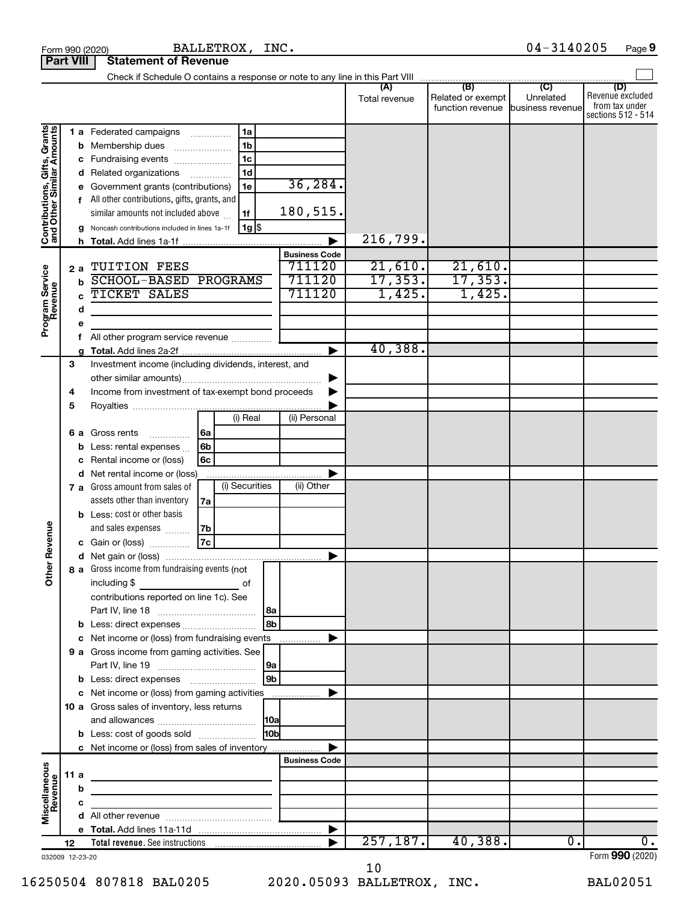| $\overline{C}$<br>(B)<br>(A)<br>(D)<br>Unrelated<br>Related or exempt<br>Total revenue<br>function revenue business revenue<br>Contributions, Gifts, Grants<br>and Other Similar Amounts<br>1a<br>1 a Federated campaigns<br>1 <sub>b</sub><br><b>b</b> Membership dues<br>1 <sub>c</sub><br>c Fundraising events<br>1 <sub>d</sub><br>d Related organizations<br>36, 284.<br>1e<br>e Government grants (contributions)<br>f All other contributions, gifts, grants, and<br>180,515.<br>similar amounts not included above<br>1f<br>$ 1g $ \$<br>Noncash contributions included in lines 1a-1f<br>g<br>216,799.<br><b>Business Code</b><br>21,610.<br>21,610.<br>711120<br>TUITION FEES<br>Program Service<br>Revenue<br>2 a<br>17,353.<br>17,353.<br>711120<br><b>SCHOOL-BASED PROGRAMS</b><br>b<br>711120<br>1,425.<br>1,425.<br><b>TICKET SALES</b><br>d<br>40,388.<br>g<br>З<br>Investment income (including dividends, interest, and<br>▶<br>Income from investment of tax-exempt bond proceeds<br>4<br>5<br>(i) Real<br>(ii) Personal<br>∣6a<br>Gross rents<br>6а<br>6b<br>Less: rental expenses<br>b<br>Rental income or (loss)<br>6с<br>с<br>d Net rental income or (loss)<br>(i) Securities<br>(ii) Other<br>7 a Gross amount from sales of<br>assets other than inventory<br>7a<br><b>b</b> Less: cost or other basis<br>Revenue<br>and sales expenses<br>l 7b<br>è<br>8 a Gross income from fundraising events (not<br>ਨੋ<br>including \$<br>оf<br>contributions reported on line 1c). See<br>8a<br>8b<br>c Net income or (loss) from fundraising events<br>9 a Gross income from gaming activities. See<br> 9a<br>9 <sub>b</sub><br>c Net income or (loss) from gaming activities<br>10 a Gross sales of inventory, less returns<br> 10a<br>10 <sub>b</sub><br><b>b</b> Less: cost of goods sold<br>c Net income or (loss) from sales of inventory<br><b>Business Code</b><br>Miscellaneous<br>Revenue<br>11 a<br>b<br>с<br>40,388.<br>257, 187.<br>0.<br>12 |  | Part VIII | Statement of Revenue |  |  |  |                                                          |
|--------------------------------------------------------------------------------------------------------------------------------------------------------------------------------------------------------------------------------------------------------------------------------------------------------------------------------------------------------------------------------------------------------------------------------------------------------------------------------------------------------------------------------------------------------------------------------------------------------------------------------------------------------------------------------------------------------------------------------------------------------------------------------------------------------------------------------------------------------------------------------------------------------------------------------------------------------------------------------------------------------------------------------------------------------------------------------------------------------------------------------------------------------------------------------------------------------------------------------------------------------------------------------------------------------------------------------------------------------------------------------------------------------------------------------------------------------------------------------------------------------------------------------------------------------------------------------------------------------------------------------------------------------------------------------------------------------------------------------------------------------------------------------------------------------------------------------------------------------------------------------------------------------------------------------------------------------------------------|--|-----------|----------------------|--|--|--|----------------------------------------------------------|
|                                                                                                                                                                                                                                                                                                                                                                                                                                                                                                                                                                                                                                                                                                                                                                                                                                                                                                                                                                                                                                                                                                                                                                                                                                                                                                                                                                                                                                                                                                                                                                                                                                                                                                                                                                                                                                                                                                                                                                          |  |           |                      |  |  |  | Revenue excluded<br>from tax under<br>sections 512 - 514 |
|                                                                                                                                                                                                                                                                                                                                                                                                                                                                                                                                                                                                                                                                                                                                                                                                                                                                                                                                                                                                                                                                                                                                                                                                                                                                                                                                                                                                                                                                                                                                                                                                                                                                                                                                                                                                                                                                                                                                                                          |  |           |                      |  |  |  |                                                          |
|                                                                                                                                                                                                                                                                                                                                                                                                                                                                                                                                                                                                                                                                                                                                                                                                                                                                                                                                                                                                                                                                                                                                                                                                                                                                                                                                                                                                                                                                                                                                                                                                                                                                                                                                                                                                                                                                                                                                                                          |  |           |                      |  |  |  |                                                          |
|                                                                                                                                                                                                                                                                                                                                                                                                                                                                                                                                                                                                                                                                                                                                                                                                                                                                                                                                                                                                                                                                                                                                                                                                                                                                                                                                                                                                                                                                                                                                                                                                                                                                                                                                                                                                                                                                                                                                                                          |  |           |                      |  |  |  |                                                          |
|                                                                                                                                                                                                                                                                                                                                                                                                                                                                                                                                                                                                                                                                                                                                                                                                                                                                                                                                                                                                                                                                                                                                                                                                                                                                                                                                                                                                                                                                                                                                                                                                                                                                                                                                                                                                                                                                                                                                                                          |  |           |                      |  |  |  |                                                          |
|                                                                                                                                                                                                                                                                                                                                                                                                                                                                                                                                                                                                                                                                                                                                                                                                                                                                                                                                                                                                                                                                                                                                                                                                                                                                                                                                                                                                                                                                                                                                                                                                                                                                                                                                                                                                                                                                                                                                                                          |  |           |                      |  |  |  |                                                          |
|                                                                                                                                                                                                                                                                                                                                                                                                                                                                                                                                                                                                                                                                                                                                                                                                                                                                                                                                                                                                                                                                                                                                                                                                                                                                                                                                                                                                                                                                                                                                                                                                                                                                                                                                                                                                                                                                                                                                                                          |  |           |                      |  |  |  |                                                          |
|                                                                                                                                                                                                                                                                                                                                                                                                                                                                                                                                                                                                                                                                                                                                                                                                                                                                                                                                                                                                                                                                                                                                                                                                                                                                                                                                                                                                                                                                                                                                                                                                                                                                                                                                                                                                                                                                                                                                                                          |  |           |                      |  |  |  |                                                          |
|                                                                                                                                                                                                                                                                                                                                                                                                                                                                                                                                                                                                                                                                                                                                                                                                                                                                                                                                                                                                                                                                                                                                                                                                                                                                                                                                                                                                                                                                                                                                                                                                                                                                                                                                                                                                                                                                                                                                                                          |  |           |                      |  |  |  |                                                          |
|                                                                                                                                                                                                                                                                                                                                                                                                                                                                                                                                                                                                                                                                                                                                                                                                                                                                                                                                                                                                                                                                                                                                                                                                                                                                                                                                                                                                                                                                                                                                                                                                                                                                                                                                                                                                                                                                                                                                                                          |  |           |                      |  |  |  |                                                          |
|                                                                                                                                                                                                                                                                                                                                                                                                                                                                                                                                                                                                                                                                                                                                                                                                                                                                                                                                                                                                                                                                                                                                                                                                                                                                                                                                                                                                                                                                                                                                                                                                                                                                                                                                                                                                                                                                                                                                                                          |  |           |                      |  |  |  |                                                          |
|                                                                                                                                                                                                                                                                                                                                                                                                                                                                                                                                                                                                                                                                                                                                                                                                                                                                                                                                                                                                                                                                                                                                                                                                                                                                                                                                                                                                                                                                                                                                                                                                                                                                                                                                                                                                                                                                                                                                                                          |  |           |                      |  |  |  |                                                          |
|                                                                                                                                                                                                                                                                                                                                                                                                                                                                                                                                                                                                                                                                                                                                                                                                                                                                                                                                                                                                                                                                                                                                                                                                                                                                                                                                                                                                                                                                                                                                                                                                                                                                                                                                                                                                                                                                                                                                                                          |  |           |                      |  |  |  |                                                          |
|                                                                                                                                                                                                                                                                                                                                                                                                                                                                                                                                                                                                                                                                                                                                                                                                                                                                                                                                                                                                                                                                                                                                                                                                                                                                                                                                                                                                                                                                                                                                                                                                                                                                                                                                                                                                                                                                                                                                                                          |  |           |                      |  |  |  |                                                          |
|                                                                                                                                                                                                                                                                                                                                                                                                                                                                                                                                                                                                                                                                                                                                                                                                                                                                                                                                                                                                                                                                                                                                                                                                                                                                                                                                                                                                                                                                                                                                                                                                                                                                                                                                                                                                                                                                                                                                                                          |  |           |                      |  |  |  |                                                          |
|                                                                                                                                                                                                                                                                                                                                                                                                                                                                                                                                                                                                                                                                                                                                                                                                                                                                                                                                                                                                                                                                                                                                                                                                                                                                                                                                                                                                                                                                                                                                                                                                                                                                                                                                                                                                                                                                                                                                                                          |  |           |                      |  |  |  |                                                          |
|                                                                                                                                                                                                                                                                                                                                                                                                                                                                                                                                                                                                                                                                                                                                                                                                                                                                                                                                                                                                                                                                                                                                                                                                                                                                                                                                                                                                                                                                                                                                                                                                                                                                                                                                                                                                                                                                                                                                                                          |  |           |                      |  |  |  |                                                          |
|                                                                                                                                                                                                                                                                                                                                                                                                                                                                                                                                                                                                                                                                                                                                                                                                                                                                                                                                                                                                                                                                                                                                                                                                                                                                                                                                                                                                                                                                                                                                                                                                                                                                                                                                                                                                                                                                                                                                                                          |  |           |                      |  |  |  |                                                          |
|                                                                                                                                                                                                                                                                                                                                                                                                                                                                                                                                                                                                                                                                                                                                                                                                                                                                                                                                                                                                                                                                                                                                                                                                                                                                                                                                                                                                                                                                                                                                                                                                                                                                                                                                                                                                                                                                                                                                                                          |  |           |                      |  |  |  |                                                          |
|                                                                                                                                                                                                                                                                                                                                                                                                                                                                                                                                                                                                                                                                                                                                                                                                                                                                                                                                                                                                                                                                                                                                                                                                                                                                                                                                                                                                                                                                                                                                                                                                                                                                                                                                                                                                                                                                                                                                                                          |  |           |                      |  |  |  |                                                          |
|                                                                                                                                                                                                                                                                                                                                                                                                                                                                                                                                                                                                                                                                                                                                                                                                                                                                                                                                                                                                                                                                                                                                                                                                                                                                                                                                                                                                                                                                                                                                                                                                                                                                                                                                                                                                                                                                                                                                                                          |  |           |                      |  |  |  |                                                          |
|                                                                                                                                                                                                                                                                                                                                                                                                                                                                                                                                                                                                                                                                                                                                                                                                                                                                                                                                                                                                                                                                                                                                                                                                                                                                                                                                                                                                                                                                                                                                                                                                                                                                                                                                                                                                                                                                                                                                                                          |  |           |                      |  |  |  |                                                          |
|                                                                                                                                                                                                                                                                                                                                                                                                                                                                                                                                                                                                                                                                                                                                                                                                                                                                                                                                                                                                                                                                                                                                                                                                                                                                                                                                                                                                                                                                                                                                                                                                                                                                                                                                                                                                                                                                                                                                                                          |  |           |                      |  |  |  |                                                          |
|                                                                                                                                                                                                                                                                                                                                                                                                                                                                                                                                                                                                                                                                                                                                                                                                                                                                                                                                                                                                                                                                                                                                                                                                                                                                                                                                                                                                                                                                                                                                                                                                                                                                                                                                                                                                                                                                                                                                                                          |  |           |                      |  |  |  |                                                          |
|                                                                                                                                                                                                                                                                                                                                                                                                                                                                                                                                                                                                                                                                                                                                                                                                                                                                                                                                                                                                                                                                                                                                                                                                                                                                                                                                                                                                                                                                                                                                                                                                                                                                                                                                                                                                                                                                                                                                                                          |  |           |                      |  |  |  |                                                          |
|                                                                                                                                                                                                                                                                                                                                                                                                                                                                                                                                                                                                                                                                                                                                                                                                                                                                                                                                                                                                                                                                                                                                                                                                                                                                                                                                                                                                                                                                                                                                                                                                                                                                                                                                                                                                                                                                                                                                                                          |  |           |                      |  |  |  |                                                          |
|                                                                                                                                                                                                                                                                                                                                                                                                                                                                                                                                                                                                                                                                                                                                                                                                                                                                                                                                                                                                                                                                                                                                                                                                                                                                                                                                                                                                                                                                                                                                                                                                                                                                                                                                                                                                                                                                                                                                                                          |  |           |                      |  |  |  |                                                          |
|                                                                                                                                                                                                                                                                                                                                                                                                                                                                                                                                                                                                                                                                                                                                                                                                                                                                                                                                                                                                                                                                                                                                                                                                                                                                                                                                                                                                                                                                                                                                                                                                                                                                                                                                                                                                                                                                                                                                                                          |  |           |                      |  |  |  |                                                          |
|                                                                                                                                                                                                                                                                                                                                                                                                                                                                                                                                                                                                                                                                                                                                                                                                                                                                                                                                                                                                                                                                                                                                                                                                                                                                                                                                                                                                                                                                                                                                                                                                                                                                                                                                                                                                                                                                                                                                                                          |  |           |                      |  |  |  |                                                          |
| 032009 12-23-20                                                                                                                                                                                                                                                                                                                                                                                                                                                                                                                                                                                                                                                                                                                                                                                                                                                                                                                                                                                                                                                                                                                                                                                                                                                                                                                                                                                                                                                                                                                                                                                                                                                                                                                                                                                                                                                                                                                                                          |  |           |                      |  |  |  | 0.<br>Form 990 (2020)                                    |

#### 032009 12-23-20

16250504 807818 BAL0205 2020.05093 BALLETROX, INC. BAL02051 10

**Porm 990 (2020)**<br>**Part VIII State**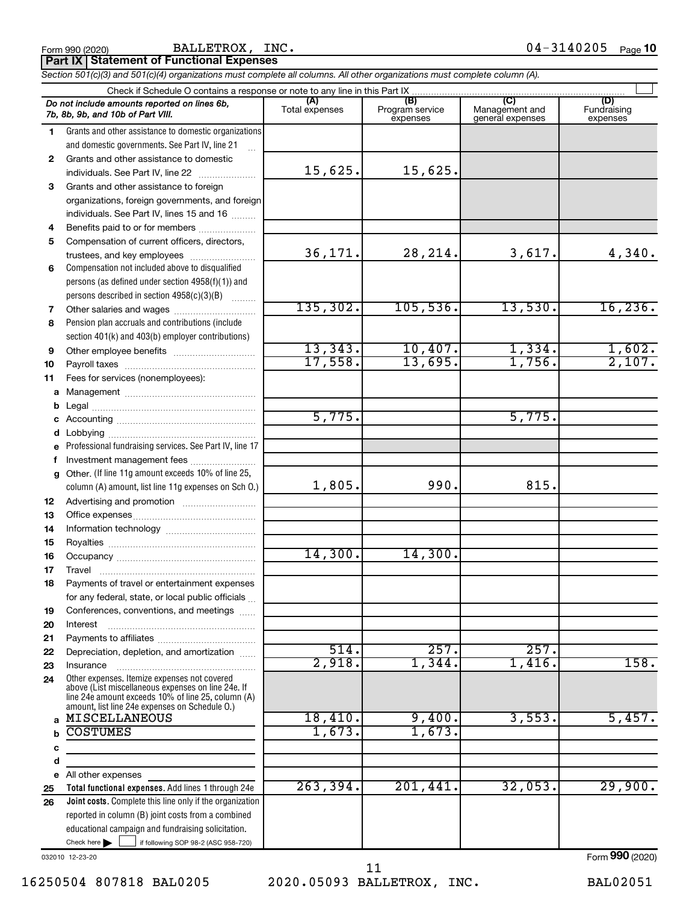|  | Form 990 (2020) |
|--|-----------------|
|  |                 |

**(A) (B) (C) (D)** Management and general expenses *Section 501(c)(3) and 501(c)(4) organizations must complete all columns. All other organizations must complete column (A).* Check if Schedule O contains a response or note to any line in this Part IX<br>
amounts reported on lines 6b,<br>
Total expenses Program Total expenses Program service expenses Fundraising expenses .<br>... *Do not include amounts reported on lines 6b,* **Part IX Statement of Functional Expenses**  $\Box$ 15,625. 15,625.

|          | 7b, 8b, 9b, and 10b of Part VIII.                                                                    | Total experises | Program service<br>expenses | management and<br>general expenses | <b>Fundraising</b><br>expenses |  |
|----------|------------------------------------------------------------------------------------------------------|-----------------|-----------------------------|------------------------------------|--------------------------------|--|
| 1        | Grants and other assistance to domestic organizations                                                |                 |                             |                                    |                                |  |
|          | and domestic governments. See Part IV, line 21                                                       |                 |                             |                                    |                                |  |
| 2        | Grants and other assistance to domestic                                                              |                 |                             |                                    |                                |  |
|          | individuals. See Part IV, line 22                                                                    | 15,625.         | 15,625.                     |                                    |                                |  |
| 3        | Grants and other assistance to foreign                                                               |                 |                             |                                    |                                |  |
|          | organizations, foreign governments, and foreign                                                      |                 |                             |                                    |                                |  |
|          | individuals. See Part IV, lines 15 and 16                                                            |                 |                             |                                    |                                |  |
| 4        | Benefits paid to or for members                                                                      |                 |                             |                                    |                                |  |
| 5        | Compensation of current officers, directors,                                                         |                 |                             |                                    |                                |  |
|          | trustees, and key employees                                                                          | 36,171.         | 28, 214.                    | 3,617.                             | 4,340.                         |  |
| 6        | Compensation not included above to disqualified                                                      |                 |                             |                                    |                                |  |
|          | persons (as defined under section $4958(f)(1)$ ) and                                                 |                 |                             |                                    |                                |  |
|          | persons described in section 4958(c)(3)(B)                                                           |                 |                             |                                    |                                |  |
| 7        |                                                                                                      | 135, 302.       | 105,536.                    | 13,530.                            | 16, 236.                       |  |
| 8        | Pension plan accruals and contributions (include                                                     |                 |                             |                                    |                                |  |
|          | section 401(k) and 403(b) employer contributions)                                                    |                 |                             |                                    |                                |  |
| 9        |                                                                                                      | 13,343.         | 10,407.                     | 1,334.                             | $\frac{1,602}{2,107}$          |  |
| 10       |                                                                                                      | 17,558.         | 13,695.                     | 1,756.                             |                                |  |
| 11       | Fees for services (nonemployees):                                                                    |                 |                             |                                    |                                |  |
|          |                                                                                                      |                 |                             |                                    |                                |  |
| b        |                                                                                                      |                 |                             |                                    |                                |  |
|          |                                                                                                      | 5,775.          |                             | 5,775.                             |                                |  |
|          |                                                                                                      |                 |                             |                                    |                                |  |
| е        | Professional fundraising services. See Part IV, line 17                                              |                 |                             |                                    |                                |  |
| f        | Investment management fees                                                                           |                 |                             |                                    |                                |  |
| g        | Other. (If line 11g amount exceeds 10% of line 25,                                                   | 1,805.          | 990.                        | 815.                               |                                |  |
|          | column (A) amount, list line 11g expenses on Sch O.)                                                 |                 |                             |                                    |                                |  |
| 12       |                                                                                                      |                 |                             |                                    |                                |  |
| 13       |                                                                                                      |                 |                             |                                    |                                |  |
| 14<br>15 |                                                                                                      |                 |                             |                                    |                                |  |
| 16       |                                                                                                      | 14,300.         | 14,300.                     |                                    |                                |  |
| 17       |                                                                                                      |                 |                             |                                    |                                |  |
| 18       | Payments of travel or entertainment expenses                                                         |                 |                             |                                    |                                |  |
|          | for any federal, state, or local public officials                                                    |                 |                             |                                    |                                |  |
| 19       | Conferences, conventions, and meetings                                                               |                 |                             |                                    |                                |  |
| 20       | Interest                                                                                             |                 |                             |                                    |                                |  |
| 21       |                                                                                                      |                 |                             |                                    |                                |  |
| 22       | Depreciation, depletion, and amortization                                                            | 514.            | 257.                        | 257.                               |                                |  |
| 23       | Insurance                                                                                            | 2,918.          | 1,344.                      | 1,416.                             | 158.                           |  |
| 24       | Other expenses. Itemize expenses not covered<br>above (List miscellaneous expenses on line 24e. If   |                 |                             |                                    |                                |  |
|          | line 24e amount exceeds 10% of line 25, column (A)<br>amount, list line 24e expenses on Schedule O.) |                 |                             |                                    |                                |  |
| a        | MISCELLANEOUS                                                                                        | 18,410.         | 9,400.                      | 3,553.                             | 5,457.                         |  |
| b        | <b>COSTUMES</b>                                                                                      | 1,673.          | 1,673.                      |                                    |                                |  |
| C        |                                                                                                      |                 |                             |                                    |                                |  |
| d        |                                                                                                      |                 |                             |                                    |                                |  |
| е        | All other expenses                                                                                   |                 |                             |                                    |                                |  |
| 25       | Total functional expenses. Add lines 1 through 24e                                                   | 263,394.        | 201,441.                    | 32,053.                            | 29,900.                        |  |
| 26       | <b>Joint costs.</b> Complete this line only if the organization                                      |                 |                             |                                    |                                |  |
|          | reported in column (B) joint costs from a combined                                                   |                 |                             |                                    |                                |  |
|          | educational campaign and fundraising solicitation.                                                   |                 |                             |                                    |                                |  |
|          | Check here $\blacktriangleright$<br>if following SOP 98-2 (ASC 958-720)                              |                 |                             |                                    | $\mathbf{on}$ .                |  |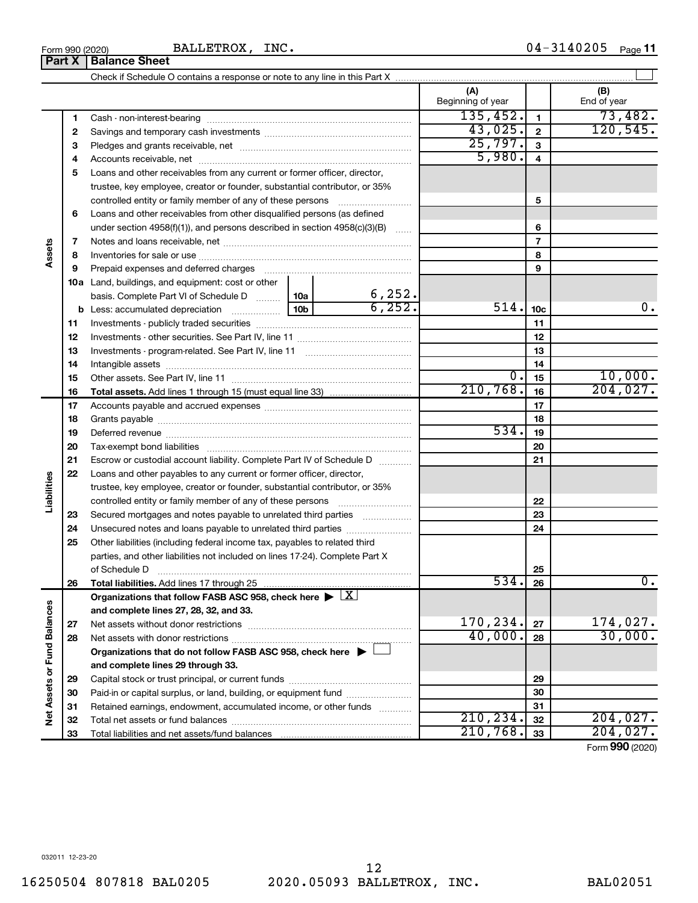$\overline{\phantom{0}}$ 

|                             |    | Part X   Balance Sheet                                                                                                                               |        |                       |                          |                 |                    |
|-----------------------------|----|------------------------------------------------------------------------------------------------------------------------------------------------------|--------|-----------------------|--------------------------|-----------------|--------------------|
|                             |    |                                                                                                                                                      |        |                       |                          |                 |                    |
|                             |    |                                                                                                                                                      |        |                       | (A)<br>Beginning of year |                 | (B)<br>End of year |
|                             | 1  |                                                                                                                                                      |        |                       | 135,452.                 | $\mathbf{1}$    | 73,482.            |
|                             | 2  |                                                                                                                                                      |        |                       | 43,025.                  | $\mathbf{2}$    | 120, 545.          |
|                             | з  |                                                                                                                                                      |        | 25,797.               | $\mathbf{3}$             |                 |                    |
|                             | 4  |                                                                                                                                                      |        | 5,980.                | $\overline{\mathbf{4}}$  |                 |                    |
|                             | 5  | Loans and other receivables from any current or former officer, director,                                                                            |        |                       |                          |                 |                    |
|                             |    | trustee, key employee, creator or founder, substantial contributor, or 35%                                                                           |        |                       |                          |                 |                    |
|                             |    | controlled entity or family member of any of these persons                                                                                           |        | 5                     |                          |                 |                    |
|                             | 6  | Loans and other receivables from other disqualified persons (as defined                                                                              |        |                       |                          |                 |                    |
|                             |    | under section $4958(f)(1)$ , and persons described in section $4958(c)(3)(B)$                                                                        | $\sim$ |                       | 6                        |                 |                    |
|                             | 7  |                                                                                                                                                      |        |                       | $\overline{7}$           |                 |                    |
| Assets                      | 8  |                                                                                                                                                      |        |                       | 8                        |                 |                    |
|                             | 9  |                                                                                                                                                      |        |                       |                          | 9               |                    |
|                             |    | <b>10a</b> Land, buildings, and equipment: cost or other                                                                                             |        |                       |                          |                 |                    |
|                             |    | basis. Complete Part VI of Schedule D  10a                                                                                                           |        | $\frac{6,252}{6,252}$ |                          |                 |                    |
|                             | b  |                                                                                                                                                      |        |                       | 514.                     | 10 <sub>c</sub> | 0.                 |
|                             | 11 |                                                                                                                                                      |        |                       |                          | 11              |                    |
|                             | 12 |                                                                                                                                                      |        | 12                    |                          |                 |                    |
|                             | 13 |                                                                                                                                                      |        |                       |                          | 13              |                    |
|                             | 14 |                                                                                                                                                      |        |                       |                          | 14              |                    |
|                             | 15 |                                                                                                                                                      |        |                       | Ο.                       | 15              | 10,000.            |
|                             | 16 |                                                                                                                                                      |        |                       | 210,768.                 | 16              | 204,027.           |
|                             | 17 |                                                                                                                                                      |        |                       |                          | 17              |                    |
|                             | 18 |                                                                                                                                                      |        |                       | 18                       |                 |                    |
|                             | 19 |                                                                                                                                                      |        | 534.                  | 19                       |                 |                    |
|                             | 20 |                                                                                                                                                      |        |                       |                          | 20              |                    |
|                             | 21 | Escrow or custodial account liability. Complete Part IV of Schedule D                                                                                |        |                       |                          | 21              |                    |
|                             | 22 | Loans and other payables to any current or former officer, director,                                                                                 |        |                       |                          |                 |                    |
| Liabilities                 |    | trustee, key employee, creator or founder, substantial contributor, or 35%                                                                           |        |                       |                          |                 |                    |
|                             |    |                                                                                                                                                      |        |                       |                          | 22              |                    |
|                             | 23 | Secured mortgages and notes payable to unrelated third parties                                                                                       |        |                       |                          | 23              |                    |
|                             | 24 | Unsecured notes and loans payable to unrelated third parties                                                                                         |        |                       |                          | 24              |                    |
|                             | 25 | Other liabilities (including federal income tax, payables to related third                                                                           |        |                       |                          |                 |                    |
|                             |    | parties, and other liabilities not included on lines 17-24). Complete Part X                                                                         |        |                       |                          |                 |                    |
|                             |    | of Schedule D                                                                                                                                        |        |                       | 534.                     | 25              | $\overline{0}$ .   |
|                             | 26 | Total liabilities. Add lines 17 through 25<br>Organizations that follow FASB ASC 958, check here $\blacktriangleright \lfloor \underline{X} \rfloor$ |        |                       |                          | 26              |                    |
|                             |    | and complete lines 27, 28, 32, and 33.                                                                                                               |        |                       |                          |                 |                    |
|                             | 27 |                                                                                                                                                      |        |                       | 170,234.                 | 27              | 174,027.           |
|                             | 28 |                                                                                                                                                      |        |                       | 40,000.                  | 28              | 30,000.            |
|                             |    | Organizations that do not follow FASB ASC 958, check here $\blacktriangleright$                                                                      |        |                       |                          |                 |                    |
|                             |    | and complete lines 29 through 33.                                                                                                                    |        |                       |                          |                 |                    |
| Net Assets or Fund Balances | 29 |                                                                                                                                                      |        |                       |                          | 29              |                    |
|                             | 30 | Paid-in or capital surplus, or land, building, or equipment fund                                                                                     |        |                       |                          | 30              |                    |
|                             | 31 | Retained earnings, endowment, accumulated income, or other funds                                                                                     |        |                       |                          | 31              |                    |
|                             | 32 |                                                                                                                                                      |        |                       | 210, 234.                | 32              | 204,027.           |
|                             | 33 |                                                                                                                                                      |        | 210,768.              | 33                       | 204,027.        |                    |

Form (2020) **990**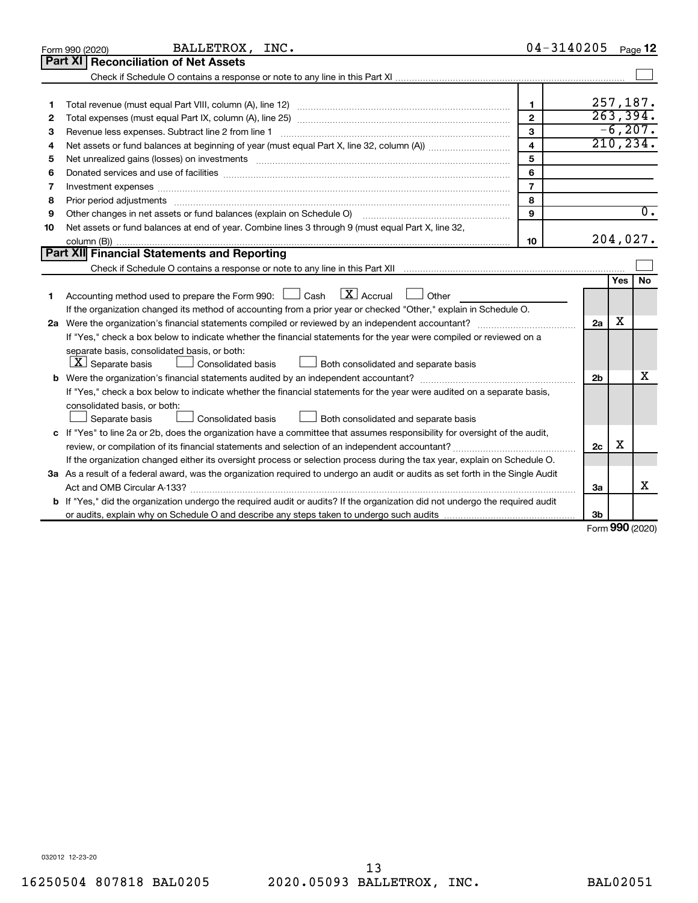|    | BALLETROX, INC.<br>Form 990 (2020)                                                                                                                                                                                             | $04 - 3140205$          |                |                    | Page 12          |
|----|--------------------------------------------------------------------------------------------------------------------------------------------------------------------------------------------------------------------------------|-------------------------|----------------|--------------------|------------------|
|    | Part XI<br><b>Reconciliation of Net Assets</b>                                                                                                                                                                                 |                         |                |                    |                  |
|    |                                                                                                                                                                                                                                |                         |                |                    |                  |
|    |                                                                                                                                                                                                                                |                         |                |                    |                  |
| 1  |                                                                                                                                                                                                                                | $\mathbf{1}$            |                |                    | 257, 187.        |
| 2  |                                                                                                                                                                                                                                | $\overline{2}$          |                |                    | 263,394.         |
| З  | Revenue less expenses. Subtract line 2 from line 1                                                                                                                                                                             | 3                       |                |                    | $-6, 207.$       |
| 4  |                                                                                                                                                                                                                                | $\overline{\mathbf{4}}$ |                |                    | 210, 234.        |
| 5  |                                                                                                                                                                                                                                | 5                       |                |                    |                  |
| 6  |                                                                                                                                                                                                                                | 6                       |                |                    |                  |
| 7  | Investment expenses www.communication.com/www.communication.com/www.communication.com/www.com                                                                                                                                  | $\overline{7}$          |                |                    |                  |
| 8  | Prior period adjustments material contents and content and content and content and content and content and content and content and content and content and content and content and content and content and content and content | 8                       |                |                    |                  |
| 9  | Other changes in net assets or fund balances (explain on Schedule O)                                                                                                                                                           | 9                       |                |                    | $\overline{0}$ . |
| 10 | Net assets or fund balances at end of year. Combine lines 3 through 9 (must equal Part X, line 32,                                                                                                                             |                         |                |                    |                  |
|    |                                                                                                                                                                                                                                | 10                      |                |                    | 204,027.         |
|    | <b>Part XII</b> Financial Statements and Reporting                                                                                                                                                                             |                         |                |                    |                  |
|    |                                                                                                                                                                                                                                |                         |                |                    |                  |
|    |                                                                                                                                                                                                                                |                         |                | <b>Yes</b>         | <b>No</b>        |
| 1. | $\mathbf{X}$ Accrual<br>Accounting method used to prepare the Form 990: [130] Cash<br>$\Box$ Other                                                                                                                             |                         |                |                    |                  |
|    | If the organization changed its method of accounting from a prior year or checked "Other," explain in Schedule O.                                                                                                              |                         |                |                    |                  |
|    |                                                                                                                                                                                                                                |                         | 2a             | х                  |                  |
|    | If "Yes," check a box below to indicate whether the financial statements for the year were compiled or reviewed on a                                                                                                           |                         |                |                    |                  |
|    | separate basis, consolidated basis, or both:                                                                                                                                                                                   |                         |                |                    |                  |
|    | $ \mathbf{X} $ Separate basis<br>Both consolidated and separate basis<br>Consolidated basis                                                                                                                                    |                         |                |                    |                  |
|    |                                                                                                                                                                                                                                |                         | 2 <sub>b</sub> |                    | x                |
|    | If "Yes," check a box below to indicate whether the financial statements for the year were audited on a separate basis,                                                                                                        |                         |                |                    |                  |
|    | consolidated basis, or both:                                                                                                                                                                                                   |                         |                |                    |                  |
|    | Consolidated basis<br>Separate basis<br>Both consolidated and separate basis                                                                                                                                                   |                         |                |                    |                  |
|    | c If "Yes" to line 2a or 2b, does the organization have a committee that assumes responsibility for oversight of the audit,                                                                                                    |                         |                | х                  |                  |
|    | review, or compilation of its financial statements and selection of an independent accountant?                                                                                                                                 |                         | 2c             |                    |                  |
|    | If the organization changed either its oversight process or selection process during the tax year, explain on Schedule O.                                                                                                      |                         |                |                    |                  |
|    | 3a As a result of a federal award, was the organization required to undergo an audit or audits as set forth in the Single Audit                                                                                                |                         |                |                    | x                |
|    |                                                                                                                                                                                                                                |                         | За             |                    |                  |
|    | b If "Yes," did the organization undergo the required audit or audits? If the organization did not undergo the required audit                                                                                                  |                         |                |                    |                  |
|    |                                                                                                                                                                                                                                |                         | Зb             | $000 \text{ days}$ |                  |

Form (2020) **990**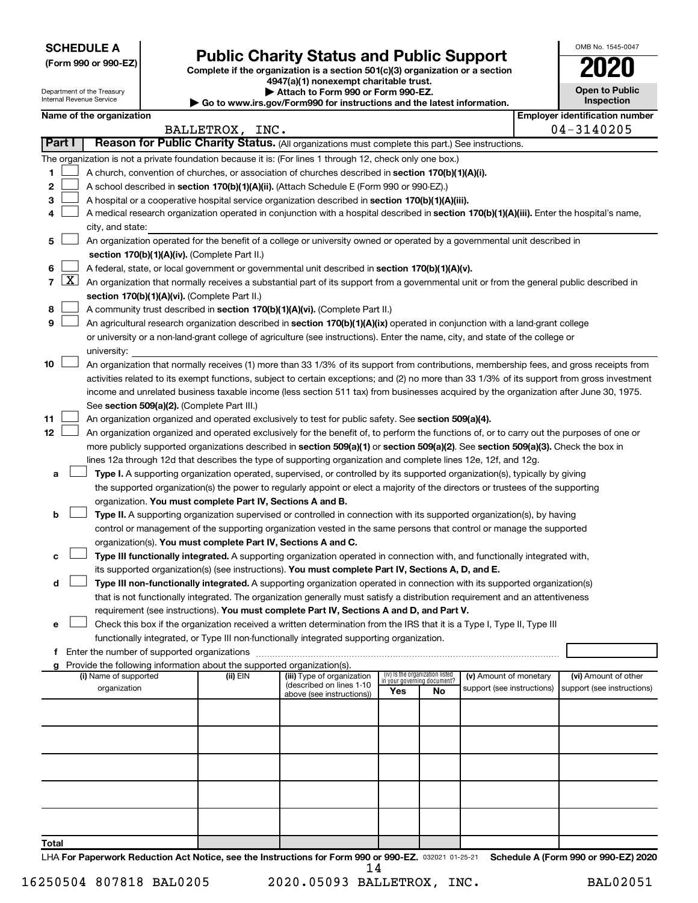**SCHEDULE A**

Department of the Treasury

| (Form 990 or 990-EZ) |  |  |  |  |
|----------------------|--|--|--|--|
|----------------------|--|--|--|--|

## Form 990 or 990-EZ) **Public Charity Status and Public Support**<br>
Complete if the organization is a section 501(c)(3) organization or a section<br> **2020**

**4947(a)(1) nonexempt charitable trust. | Attach to Form 990 or Form 990-EZ.** 

| OMB No 1545-0047                    |
|-------------------------------------|
|                                     |
| <b>Open to Public</b><br>Inspection |
| antification nu                     |

|               | Internal Revenue Service |                          |                                             | Go to www.irs.gov/Form990 for instructions and the latest information.                                              |                                                                                                                                                                                                                                                      |                                                                |     |                            |  |  | Inspection                            |
|---------------|--------------------------|--------------------------|---------------------------------------------|---------------------------------------------------------------------------------------------------------------------|------------------------------------------------------------------------------------------------------------------------------------------------------------------------------------------------------------------------------------------------------|----------------------------------------------------------------|-----|----------------------------|--|--|---------------------------------------|
|               |                          | Name of the organization |                                             |                                                                                                                     |                                                                                                                                                                                                                                                      |                                                                |     |                            |  |  | <b>Employer identification number</b> |
|               |                          |                          |                                             | BALLETROX, INC.<br>Reason for Public Charity Status. (All organizations must complete this part.) See instructions. |                                                                                                                                                                                                                                                      |                                                                |     |                            |  |  | 04-3140205                            |
| <b>Part I</b> |                          |                          |                                             |                                                                                                                     |                                                                                                                                                                                                                                                      |                                                                |     |                            |  |  |                                       |
|               |                          |                          |                                             |                                                                                                                     | The organization is not a private foundation because it is: (For lines 1 through 12, check only one box.)                                                                                                                                            |                                                                |     |                            |  |  |                                       |
| 1             |                          |                          |                                             |                                                                                                                     | A church, convention of churches, or association of churches described in <b>section 170(b)(1)(A)(i).</b>                                                                                                                                            |                                                                |     |                            |  |  |                                       |
| 2             |                          |                          |                                             |                                                                                                                     | A school described in section 170(b)(1)(A)(ii). (Attach Schedule E (Form 990 or 990-EZ).)                                                                                                                                                            |                                                                |     |                            |  |  |                                       |
| з             |                          |                          |                                             |                                                                                                                     | A hospital or a cooperative hospital service organization described in section 170(b)(1)(A)(iii).                                                                                                                                                    |                                                                |     |                            |  |  |                                       |
| 4             |                          |                          |                                             |                                                                                                                     | A medical research organization operated in conjunction with a hospital described in section 170(b)(1)(A)(iii). Enter the hospital's name,                                                                                                           |                                                                |     |                            |  |  |                                       |
|               |                          | city, and state:         |                                             |                                                                                                                     |                                                                                                                                                                                                                                                      |                                                                |     |                            |  |  |                                       |
| 5             |                          |                          |                                             |                                                                                                                     | An organization operated for the benefit of a college or university owned or operated by a governmental unit described in                                                                                                                            |                                                                |     |                            |  |  |                                       |
|               |                          |                          |                                             | section 170(b)(1)(A)(iv). (Complete Part II.)                                                                       |                                                                                                                                                                                                                                                      |                                                                |     |                            |  |  |                                       |
| 6             |                          |                          |                                             |                                                                                                                     | A federal, state, or local government or governmental unit described in section 170(b)(1)(A)(v).                                                                                                                                                     |                                                                |     |                            |  |  |                                       |
| 7             |                          |                          |                                             |                                                                                                                     | $\lfloor x \rfloor$ An organization that normally receives a substantial part of its support from a governmental unit or from the general public described in                                                                                        |                                                                |     |                            |  |  |                                       |
|               |                          |                          |                                             | section 170(b)(1)(A)(vi). (Complete Part II.)                                                                       |                                                                                                                                                                                                                                                      |                                                                |     |                            |  |  |                                       |
| 8             |                          |                          |                                             |                                                                                                                     | A community trust described in section 170(b)(1)(A)(vi). (Complete Part II.)                                                                                                                                                                         |                                                                |     |                            |  |  |                                       |
| 9             |                          |                          |                                             |                                                                                                                     | An agricultural research organization described in section 170(b)(1)(A)(ix) operated in conjunction with a land-grant college                                                                                                                        |                                                                |     |                            |  |  |                                       |
|               |                          |                          |                                             |                                                                                                                     | or university or a non-land-grant college of agriculture (see instructions). Enter the name, city, and state of the college or                                                                                                                       |                                                                |     |                            |  |  |                                       |
|               |                          | university:              |                                             |                                                                                                                     |                                                                                                                                                                                                                                                      |                                                                |     |                            |  |  |                                       |
| 10            |                          |                          |                                             |                                                                                                                     | An organization that normally receives (1) more than 33 1/3% of its support from contributions, membership fees, and gross receipts from                                                                                                             |                                                                |     |                            |  |  |                                       |
|               |                          |                          |                                             |                                                                                                                     | activities related to its exempt functions, subject to certain exceptions; and (2) no more than 33 1/3% of its support from gross investment                                                                                                         |                                                                |     |                            |  |  |                                       |
|               |                          |                          |                                             |                                                                                                                     | income and unrelated business taxable income (less section 511 tax) from businesses acquired by the organization after June 30, 1975.                                                                                                                |                                                                |     |                            |  |  |                                       |
|               |                          |                          |                                             | See section 509(a)(2). (Complete Part III.)                                                                         |                                                                                                                                                                                                                                                      |                                                                |     |                            |  |  |                                       |
| 11            |                          |                          |                                             |                                                                                                                     | An organization organized and operated exclusively to test for public safety. See section 509(a)(4).                                                                                                                                                 |                                                                |     |                            |  |  |                                       |
| 12            |                          |                          |                                             |                                                                                                                     | An organization organized and operated exclusively for the benefit of, to perform the functions of, or to carry out the purposes of one or                                                                                                           |                                                                |     |                            |  |  |                                       |
|               |                          |                          |                                             |                                                                                                                     | more publicly supported organizations described in section 509(a)(1) or section 509(a)(2). See section 509(a)(3). Check the box in<br>lines 12a through 12d that describes the type of supporting organization and complete lines 12e, 12f, and 12g. |                                                                |     |                            |  |  |                                       |
|               |                          |                          |                                             |                                                                                                                     | Type I. A supporting organization operated, supervised, or controlled by its supported organization(s), typically by giving                                                                                                                          |                                                                |     |                            |  |  |                                       |
| а             |                          |                          |                                             |                                                                                                                     | the supported organization(s) the power to regularly appoint or elect a majority of the directors or trustees of the supporting                                                                                                                      |                                                                |     |                            |  |  |                                       |
|               |                          |                          |                                             | organization. You must complete Part IV, Sections A and B.                                                          |                                                                                                                                                                                                                                                      |                                                                |     |                            |  |  |                                       |
| b             |                          |                          |                                             |                                                                                                                     | Type II. A supporting organization supervised or controlled in connection with its supported organization(s), by having                                                                                                                              |                                                                |     |                            |  |  |                                       |
|               |                          |                          |                                             |                                                                                                                     | control or management of the supporting organization vested in the same persons that control or manage the supported                                                                                                                                 |                                                                |     |                            |  |  |                                       |
|               |                          |                          |                                             | organization(s). You must complete Part IV, Sections A and C.                                                       |                                                                                                                                                                                                                                                      |                                                                |     |                            |  |  |                                       |
|               |                          |                          |                                             |                                                                                                                     | Type III functionally integrated. A supporting organization operated in connection with, and functionally integrated with,                                                                                                                           |                                                                |     |                            |  |  |                                       |
|               |                          |                          |                                             |                                                                                                                     | its supported organization(s) (see instructions). You must complete Part IV, Sections A, D, and E.                                                                                                                                                   |                                                                |     |                            |  |  |                                       |
| d             |                          |                          |                                             |                                                                                                                     | Type III non-functionally integrated. A supporting organization operated in connection with its supported organization(s)                                                                                                                            |                                                                |     |                            |  |  |                                       |
|               |                          |                          |                                             |                                                                                                                     | that is not functionally integrated. The organization generally must satisfy a distribution requirement and an attentiveness                                                                                                                         |                                                                |     |                            |  |  |                                       |
|               |                          |                          |                                             |                                                                                                                     | requirement (see instructions). You must complete Part IV, Sections A and D, and Part V.                                                                                                                                                             |                                                                |     |                            |  |  |                                       |
| е             |                          |                          |                                             |                                                                                                                     | Check this box if the organization received a written determination from the IRS that it is a Type I, Type II, Type III                                                                                                                              |                                                                |     |                            |  |  |                                       |
|               |                          |                          |                                             |                                                                                                                     | functionally integrated, or Type III non-functionally integrated supporting organization.                                                                                                                                                            |                                                                |     |                            |  |  |                                       |
| f.            |                          |                          | Enter the number of supported organizations |                                                                                                                     |                                                                                                                                                                                                                                                      |                                                                |     |                            |  |  |                                       |
|               |                          |                          |                                             | Provide the following information about the supported organization(s).                                              |                                                                                                                                                                                                                                                      |                                                                |     |                            |  |  |                                       |
|               |                          | (i) Name of supported    |                                             | (ii) EIN                                                                                                            | (iii) Type of organization<br>(described on lines 1-10                                                                                                                                                                                               | (iv) Is the organization listed<br>in your governing document? |     | (v) Amount of monetary     |  |  | (vi) Amount of other                  |
|               |                          | organization             |                                             |                                                                                                                     | above (see instructions))                                                                                                                                                                                                                            | Yes                                                            | No. | support (see instructions) |  |  | support (see instructions)            |
|               |                          |                          |                                             |                                                                                                                     |                                                                                                                                                                                                                                                      |                                                                |     |                            |  |  |                                       |
|               |                          |                          |                                             |                                                                                                                     |                                                                                                                                                                                                                                                      |                                                                |     |                            |  |  |                                       |
|               |                          |                          |                                             |                                                                                                                     |                                                                                                                                                                                                                                                      |                                                                |     |                            |  |  |                                       |
|               |                          |                          |                                             |                                                                                                                     |                                                                                                                                                                                                                                                      |                                                                |     |                            |  |  |                                       |
|               |                          |                          |                                             |                                                                                                                     |                                                                                                                                                                                                                                                      |                                                                |     |                            |  |  |                                       |
|               |                          |                          |                                             |                                                                                                                     |                                                                                                                                                                                                                                                      |                                                                |     |                            |  |  |                                       |
|               |                          |                          |                                             |                                                                                                                     |                                                                                                                                                                                                                                                      |                                                                |     |                            |  |  |                                       |
|               |                          |                          |                                             |                                                                                                                     |                                                                                                                                                                                                                                                      |                                                                |     |                            |  |  |                                       |
|               |                          |                          |                                             |                                                                                                                     |                                                                                                                                                                                                                                                      |                                                                |     |                            |  |  |                                       |
| Total         |                          |                          |                                             |                                                                                                                     |                                                                                                                                                                                                                                                      |                                                                |     |                            |  |  |                                       |

LHA For Paperwork Reduction Act Notice, see the Instructions for Form 990 or 990-EZ. 032021 01-25-21 Schedule A (Form 990 or 990-EZ) 2020 14

16250504 807818 BAL0205 2020.05093 BALLETROX, INC. BAL02051

 $\Box$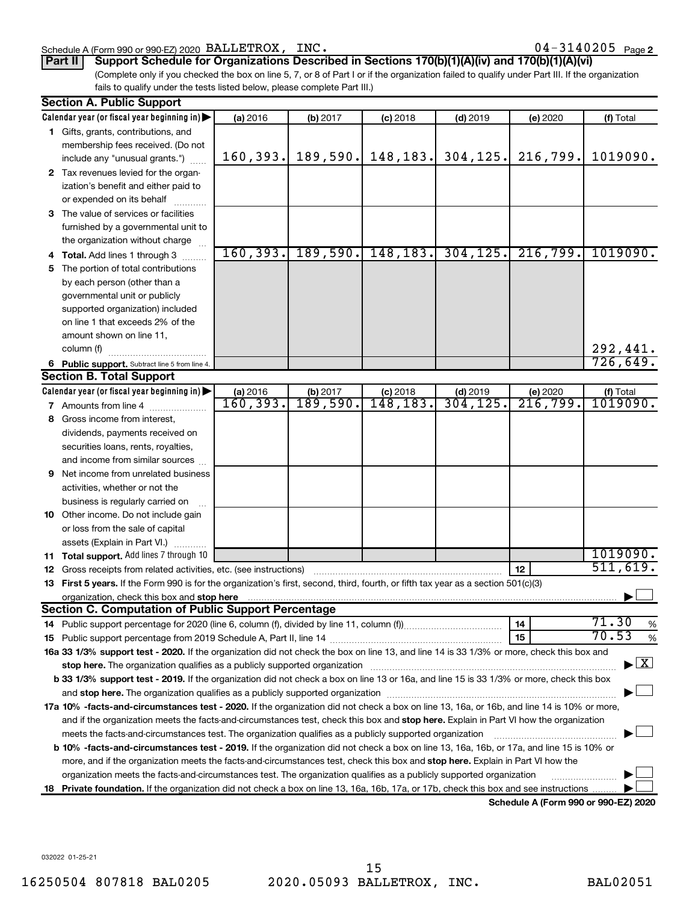#### Schedule A (Form 990 or 990-EZ) 2020 BALLETROX, INC.  $04-3140205$  Page

**Part II Support Schedule for Organizations Described in Sections 170(b)(1)(A)(iv) and 170(b)(1)(A)(vi)**

(Complete only if you checked the box on line 5, 7, or 8 of Part I or if the organization failed to qualify under Part III. If the organization fails to qualify under the tests listed below, please complete Part III.)

|   | <b>Section A. Public Support</b>                                                                                                                                                                                               |           |          |            |            |                        |                                    |
|---|--------------------------------------------------------------------------------------------------------------------------------------------------------------------------------------------------------------------------------|-----------|----------|------------|------------|------------------------|------------------------------------|
|   | Calendar year (or fiscal year beginning in)                                                                                                                                                                                    | (a) 2016  | (b) 2017 | $(c)$ 2018 | $(d)$ 2019 | (e) 2020               | (f) Total                          |
|   | 1 Gifts, grants, contributions, and                                                                                                                                                                                            |           |          |            |            |                        |                                    |
|   | membership fees received. (Do not                                                                                                                                                                                              |           |          |            |            |                        |                                    |
|   | include any "unusual grants.")                                                                                                                                                                                                 | 160, 393. | 189,590. | 148, 183.  | 304, 125.  | 216,799.               | 1019090.                           |
|   | 2 Tax revenues levied for the organ-                                                                                                                                                                                           |           |          |            |            |                        |                                    |
|   | ization's benefit and either paid to                                                                                                                                                                                           |           |          |            |            |                        |                                    |
|   | or expended on its behalf                                                                                                                                                                                                      |           |          |            |            |                        |                                    |
|   | 3 The value of services or facilities                                                                                                                                                                                          |           |          |            |            |                        |                                    |
|   | furnished by a governmental unit to                                                                                                                                                                                            |           |          |            |            |                        |                                    |
|   | the organization without charge                                                                                                                                                                                                |           |          |            |            |                        |                                    |
|   | 4 Total. Add lines 1 through 3                                                                                                                                                                                                 | 160, 393. | 189,590. | 148, 183.  | 304, 125.  | 216,799.               | 1019090.                           |
|   | 5 The portion of total contributions                                                                                                                                                                                           |           |          |            |            |                        |                                    |
|   | by each person (other than a                                                                                                                                                                                                   |           |          |            |            |                        |                                    |
|   | governmental unit or publicly                                                                                                                                                                                                  |           |          |            |            |                        |                                    |
|   | supported organization) included                                                                                                                                                                                               |           |          |            |            |                        |                                    |
|   | on line 1 that exceeds 2% of the                                                                                                                                                                                               |           |          |            |            |                        |                                    |
|   | amount shown on line 11,                                                                                                                                                                                                       |           |          |            |            |                        |                                    |
|   | column (f)                                                                                                                                                                                                                     |           |          |            |            |                        | 292,441.                           |
|   | 6 Public support. Subtract line 5 from line 4.                                                                                                                                                                                 |           |          |            |            |                        | 726,649.                           |
|   | <b>Section B. Total Support</b>                                                                                                                                                                                                |           |          |            |            |                        |                                    |
|   | Calendar year (or fiscal year beginning in)                                                                                                                                                                                    | (a) 2016  | (b) 2017 | $(c)$ 2018 | $(d)$ 2019 | (e) 2020               | (f) Total                          |
|   | <b>7</b> Amounts from line 4                                                                                                                                                                                                   | 160,393.  | 189,590. | 148,183.   | 304, 125.  | $\overline{216,799}$ . | 1019090.                           |
| 8 | Gross income from interest,                                                                                                                                                                                                    |           |          |            |            |                        |                                    |
|   | dividends, payments received on                                                                                                                                                                                                |           |          |            |            |                        |                                    |
|   | securities loans, rents, royalties,                                                                                                                                                                                            |           |          |            |            |                        |                                    |
|   | and income from similar sources                                                                                                                                                                                                |           |          |            |            |                        |                                    |
|   | <b>9</b> Net income from unrelated business                                                                                                                                                                                    |           |          |            |            |                        |                                    |
|   | activities, whether or not the                                                                                                                                                                                                 |           |          |            |            |                        |                                    |
|   | business is regularly carried on                                                                                                                                                                                               |           |          |            |            |                        |                                    |
|   | 10 Other income. Do not include gain                                                                                                                                                                                           |           |          |            |            |                        |                                    |
|   | or loss from the sale of capital                                                                                                                                                                                               |           |          |            |            |                        |                                    |
|   | assets (Explain in Part VI.)                                                                                                                                                                                                   |           |          |            |            |                        |                                    |
|   | 11 Total support. Add lines 7 through 10                                                                                                                                                                                       |           |          |            |            |                        | 1019090.                           |
|   | <b>12</b> Gross receipts from related activities, etc. (see instructions)                                                                                                                                                      |           |          |            |            | 12                     | 511,619.                           |
|   | 13 First 5 years. If the Form 990 is for the organization's first, second, third, fourth, or fifth tax year as a section 501(c)(3)                                                                                             |           |          |            |            |                        |                                    |
|   | organization, check this box and stop here                                                                                                                                                                                     |           |          |            |            |                        |                                    |
|   | Section C. Computation of Public Support Percentage                                                                                                                                                                            |           |          |            |            |                        |                                    |
|   |                                                                                                                                                                                                                                |           |          |            |            | 14                     | 71.30<br>%                         |
|   |                                                                                                                                                                                                                                |           |          |            |            | 15                     | 70.53<br>%                         |
|   | 16a 33 1/3% support test - 2020. If the organization did not check the box on line 13, and line 14 is 33 1/3% or more, check this box and                                                                                      |           |          |            |            |                        |                                    |
|   | stop here. The organization qualifies as a publicly supported organization manufaction manufacture or the organization manufacture or the organization manufacture or the organization manufacture or the state of the state o |           |          |            |            |                        | $\blacktriangleright$ $\mathbf{X}$ |
|   | b 33 1/3% support test - 2019. If the organization did not check a box on line 13 or 16a, and line 15 is 33 1/3% or more, check this box                                                                                       |           |          |            |            |                        |                                    |
|   |                                                                                                                                                                                                                                |           |          |            |            |                        |                                    |
|   | 17a 10% -facts-and-circumstances test - 2020. If the organization did not check a box on line 13, 16a, or 16b, and line 14 is 10% or more,                                                                                     |           |          |            |            |                        |                                    |
|   | and if the organization meets the facts-and-circumstances test, check this box and stop here. Explain in Part VI how the organization                                                                                          |           |          |            |            |                        |                                    |
|   | meets the facts-and-circumstances test. The organization qualifies as a publicly supported organization                                                                                                                        |           |          |            |            |                        |                                    |
|   | <b>b 10%</b> -facts-and-circumstances test - 2019. If the organization did not check a box on line 13, 16a, 16b, or 17a, and line 15 is 10% or                                                                                 |           |          |            |            |                        |                                    |
|   | more, and if the organization meets the facts-and-circumstances test, check this box and stop here. Explain in Part VI how the                                                                                                 |           |          |            |            |                        |                                    |
|   | organization meets the facts-and-circumstances test. The organization qualifies as a publicly supported organization                                                                                                           |           |          |            |            |                        |                                    |
|   | 18 Private foundation. If the organization did not check a box on line 13, 16a, 16b, 17a, or 17b, check this box and see instructions                                                                                          |           |          |            |            |                        |                                    |
|   |                                                                                                                                                                                                                                |           |          |            |            |                        |                                    |

**Schedule A (Form 990 or 990-EZ) 2020**

032022 01-25-21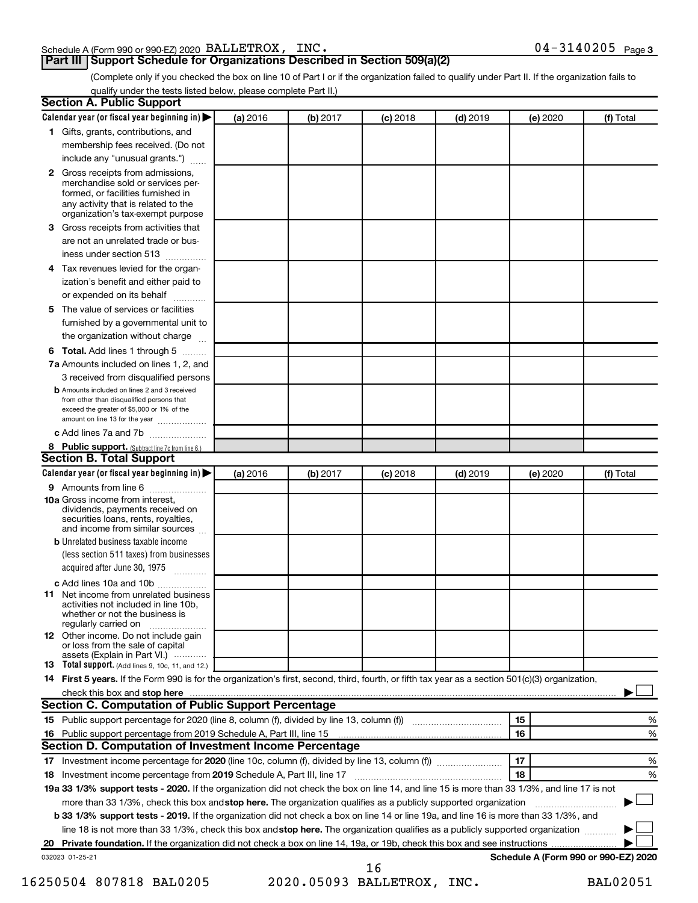| $04 - 3140205$ Page<br>Schedule A (Form 990 or 990-EZ) 2020 $\,$ $\rm BALLETROX$ , $\,$ $\,$ $\rm INC$ . |  |  |  |
|----------------------------------------------------------------------------------------------------------|--|--|--|
|----------------------------------------------------------------------------------------------------------|--|--|--|

(Complete only if you checked the box on line 10 of Part I or if the organization failed to qualify under Part II. If the organization fails to qualify under the tests listed below, please complete Part II.)

| <b>Section A. Public Support</b>                                                                                                                                                                                               |          |          |            |            |          |                                      |
|--------------------------------------------------------------------------------------------------------------------------------------------------------------------------------------------------------------------------------|----------|----------|------------|------------|----------|--------------------------------------|
| Calendar year (or fiscal year beginning in)                                                                                                                                                                                    | (a) 2016 | (b) 2017 | $(c)$ 2018 | $(d)$ 2019 | (e) 2020 | (f) Total                            |
| 1 Gifts, grants, contributions, and                                                                                                                                                                                            |          |          |            |            |          |                                      |
| membership fees received. (Do not                                                                                                                                                                                              |          |          |            |            |          |                                      |
| include any "unusual grants.")                                                                                                                                                                                                 |          |          |            |            |          |                                      |
| 2 Gross receipts from admissions,<br>merchandise sold or services per-<br>formed, or facilities furnished in<br>any activity that is related to the<br>organization's tax-exempt purpose                                       |          |          |            |            |          |                                      |
| 3 Gross receipts from activities that                                                                                                                                                                                          |          |          |            |            |          |                                      |
| are not an unrelated trade or bus-                                                                                                                                                                                             |          |          |            |            |          |                                      |
| iness under section 513                                                                                                                                                                                                        |          |          |            |            |          |                                      |
| 4 Tax revenues levied for the organ-                                                                                                                                                                                           |          |          |            |            |          |                                      |
| ization's benefit and either paid to                                                                                                                                                                                           |          |          |            |            |          |                                      |
| or expended on its behalf<br>.                                                                                                                                                                                                 |          |          |            |            |          |                                      |
| 5 The value of services or facilities                                                                                                                                                                                          |          |          |            |            |          |                                      |
| furnished by a governmental unit to                                                                                                                                                                                            |          |          |            |            |          |                                      |
| the organization without charge                                                                                                                                                                                                |          |          |            |            |          |                                      |
| <b>6 Total.</b> Add lines 1 through 5                                                                                                                                                                                          |          |          |            |            |          |                                      |
| 7a Amounts included on lines 1, 2, and                                                                                                                                                                                         |          |          |            |            |          |                                      |
| 3 received from disqualified persons                                                                                                                                                                                           |          |          |            |            |          |                                      |
| <b>b</b> Amounts included on lines 2 and 3 received<br>from other than disqualified persons that<br>exceed the greater of \$5,000 or 1% of the<br>amount on line 13 for the year                                               |          |          |            |            |          |                                      |
| c Add lines 7a and 7b                                                                                                                                                                                                          |          |          |            |            |          |                                      |
| 8 Public support. (Subtract line 7c from line 6.)                                                                                                                                                                              |          |          |            |            |          |                                      |
| <b>Section B. Total Support</b>                                                                                                                                                                                                |          |          |            |            |          |                                      |
| Calendar year (or fiscal year beginning in)                                                                                                                                                                                    | (a) 2016 | (b) 2017 | (c) 2018   | $(d)$ 2019 | (e) 2020 | (f) Total                            |
| <b>9</b> Amounts from line 6                                                                                                                                                                                                   |          |          |            |            |          |                                      |
| <b>10a</b> Gross income from interest,<br>dividends, payments received on<br>securities loans, rents, royalties,<br>and income from similar sources                                                                            |          |          |            |            |          |                                      |
| <b>b</b> Unrelated business taxable income                                                                                                                                                                                     |          |          |            |            |          |                                      |
| (less section 511 taxes) from businesses<br>acquired after June 30, 1975                                                                                                                                                       |          |          |            |            |          |                                      |
| c Add lines 10a and 10b                                                                                                                                                                                                        |          |          |            |            |          |                                      |
| <b>11</b> Net income from unrelated business<br>activities not included in line 10b.<br>whether or not the business is<br>regularly carried on                                                                                 |          |          |            |            |          |                                      |
| 12 Other income. Do not include gain<br>or loss from the sale of capital<br>assets (Explain in Part VI.)                                                                                                                       |          |          |            |            |          |                                      |
| <b>13</b> Total support. (Add lines 9, 10c, 11, and 12.)                                                                                                                                                                       |          |          |            |            |          |                                      |
| 14 First 5 years. If the Form 990 is for the organization's first, second, third, fourth, or fifth tax year as a section 501(c)(3) organization,                                                                               |          |          |            |            |          |                                      |
| check this box and stop here measurements and stop here and stop here are all the statements of the statement of the statement of the statement of the statement of the statement of the statement of the statement of the sta |          |          |            |            |          |                                      |
| <b>Section C. Computation of Public Support Percentage</b>                                                                                                                                                                     |          |          |            |            |          |                                      |
|                                                                                                                                                                                                                                |          |          |            |            | 15       | %                                    |
| 16 Public support percentage from 2019 Schedule A, Part III, line 15                                                                                                                                                           |          |          |            |            | 16       | %                                    |
| Section D. Computation of Investment Income Percentage                                                                                                                                                                         |          |          |            |            |          |                                      |
|                                                                                                                                                                                                                                |          |          |            |            | 17       | %                                    |
| 18 Investment income percentage from 2019 Schedule A, Part III, line 17                                                                                                                                                        |          |          |            |            | 18       | %                                    |
| 19a 33 1/3% support tests - 2020. If the organization did not check the box on line 14, and line 15 is more than 33 1/3%, and line 17 is not                                                                                   |          |          |            |            |          |                                      |
| more than 33 1/3%, check this box and stop here. The organization qualifies as a publicly supported organization                                                                                                               |          |          |            |            |          |                                      |
| b 33 1/3% support tests - 2019. If the organization did not check a box on line 14 or line 19a, and line 16 is more than 33 1/3%, and                                                                                          |          |          |            |            |          |                                      |
| line 18 is not more than 33 1/3%, check this box and stop here. The organization qualifies as a publicly supported organization                                                                                                |          |          |            |            |          |                                      |
|                                                                                                                                                                                                                                |          |          |            |            |          |                                      |
| 032023 01-25-21                                                                                                                                                                                                                |          |          | 16         |            |          | Schedule A (Form 990 or 990-EZ) 2020 |

16250504 807818 BAL0205 2020.05093 BALLETROX, INC. BAL02051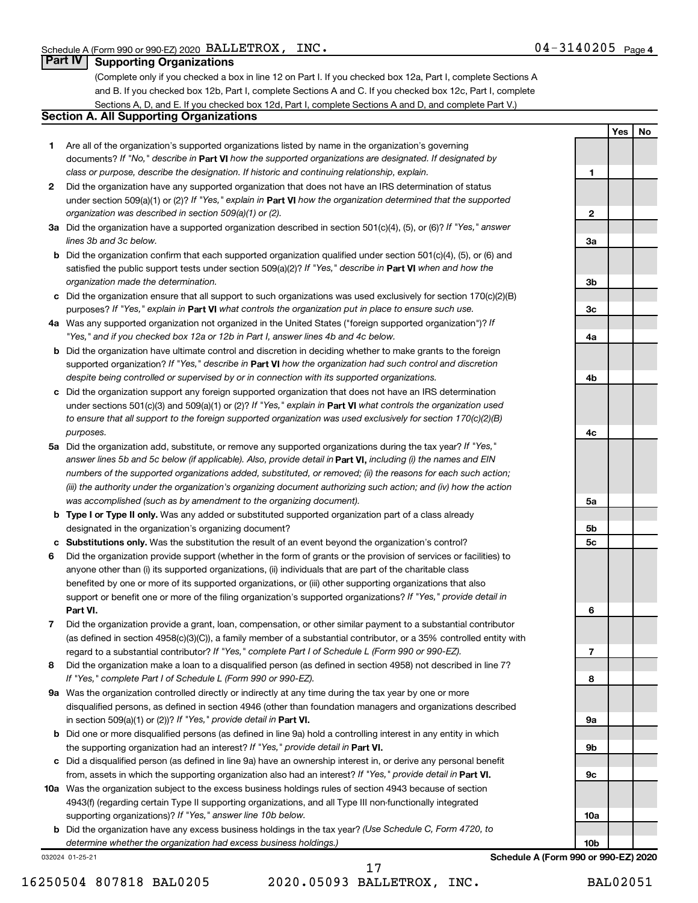**1**

**2**

**3a**

**3b**

**3c**

**4a**

**4b**

**4c**

**5a**

**5b 5c**

**6**

**7**

**8**

**9a**

**9b**

**9c**

**10a**

**Yes No**

### **Part IV Supporting Organizations**

(Complete only if you checked a box in line 12 on Part I. If you checked box 12a, Part I, complete Sections A and B. If you checked box 12b, Part I, complete Sections A and C. If you checked box 12c, Part I, complete Sections A, D, and E. If you checked box 12d, Part I, complete Sections A and D, and complete Part V.)

## **Section A. All Supporting Organizations**

- **1** Are all of the organization's supported organizations listed by name in the organization's governing documents? If "No," describe in Part VI how the supported organizations are designated. If designated by *class or purpose, describe the designation. If historic and continuing relationship, explain.*
- **2** Did the organization have any supported organization that does not have an IRS determination of status under section 509(a)(1) or (2)? If "Yes," explain in Part **VI** how the organization determined that the supported *organization was described in section 509(a)(1) or (2).*
- **3a** Did the organization have a supported organization described in section 501(c)(4), (5), or (6)? If "Yes," answer *lines 3b and 3c below.*
- **b** Did the organization confirm that each supported organization qualified under section 501(c)(4), (5), or (6) and satisfied the public support tests under section 509(a)(2)? If "Yes," describe in Part VI when and how the *organization made the determination.*
- **c** Did the organization ensure that all support to such organizations was used exclusively for section 170(c)(2)(B) purposes? If "Yes," explain in Part VI what controls the organization put in place to ensure such use.
- **4 a** *If* Was any supported organization not organized in the United States ("foreign supported organization")? *"Yes," and if you checked box 12a or 12b in Part I, answer lines 4b and 4c below.*
- **b** Did the organization have ultimate control and discretion in deciding whether to make grants to the foreign supported organization? If "Yes," describe in Part VI how the organization had such control and discretion *despite being controlled or supervised by or in connection with its supported organizations.*
- **c** Did the organization support any foreign supported organization that does not have an IRS determination under sections 501(c)(3) and 509(a)(1) or (2)? If "Yes," explain in Part VI what controls the organization used *to ensure that all support to the foreign supported organization was used exclusively for section 170(c)(2)(B) purposes.*
- **5a** Did the organization add, substitute, or remove any supported organizations during the tax year? If "Yes," answer lines 5b and 5c below (if applicable). Also, provide detail in **Part VI,** including (i) the names and EIN *numbers of the supported organizations added, substituted, or removed; (ii) the reasons for each such action; (iii) the authority under the organization's organizing document authorizing such action; and (iv) how the action was accomplished (such as by amendment to the organizing document).*
- **b Type I or Type II only.** Was any added or substituted supported organization part of a class already designated in the organization's organizing document?
- **c Substitutions only.**  Was the substitution the result of an event beyond the organization's control?
- **6** Did the organization provide support (whether in the form of grants or the provision of services or facilities) to **Part VI.** support or benefit one or more of the filing organization's supported organizations? If "Yes," provide detail in anyone other than (i) its supported organizations, (ii) individuals that are part of the charitable class benefited by one or more of its supported organizations, or (iii) other supporting organizations that also
- **7** Did the organization provide a grant, loan, compensation, or other similar payment to a substantial contributor regard to a substantial contributor? If "Yes," complete Part I of Schedule L (Form 990 or 990-EZ). (as defined in section 4958(c)(3)(C)), a family member of a substantial contributor, or a 35% controlled entity with
- **8** Did the organization make a loan to a disqualified person (as defined in section 4958) not described in line 7? *If "Yes," complete Part I of Schedule L (Form 990 or 990-EZ).*
- **9 a** Was the organization controlled directly or indirectly at any time during the tax year by one or more in section 509(a)(1) or (2))? If "Yes," provide detail in **Part VI.** disqualified persons, as defined in section 4946 (other than foundation managers and organizations described
- **b** Did one or more disqualified persons (as defined in line 9a) hold a controlling interest in any entity in which the supporting organization had an interest? If "Yes," provide detail in Part VI.
- **c** Did a disqualified person (as defined in line 9a) have an ownership interest in, or derive any personal benefit from, assets in which the supporting organization also had an interest? If "Yes," provide detail in Part VI.
- **10 a** Was the organization subject to the excess business holdings rules of section 4943 because of section supporting organizations)? If "Yes," answer line 10b below. 4943(f) (regarding certain Type II supporting organizations, and all Type III non-functionally integrated
	- **b** Did the organization have any excess business holdings in the tax year? (Use Schedule C, Form 4720, to *determine whether the organization had excess business holdings.)*

032024 01-25-21

16250504 807818 BAL0205 2020.05093 BALLETROX, INC. BAL02051 17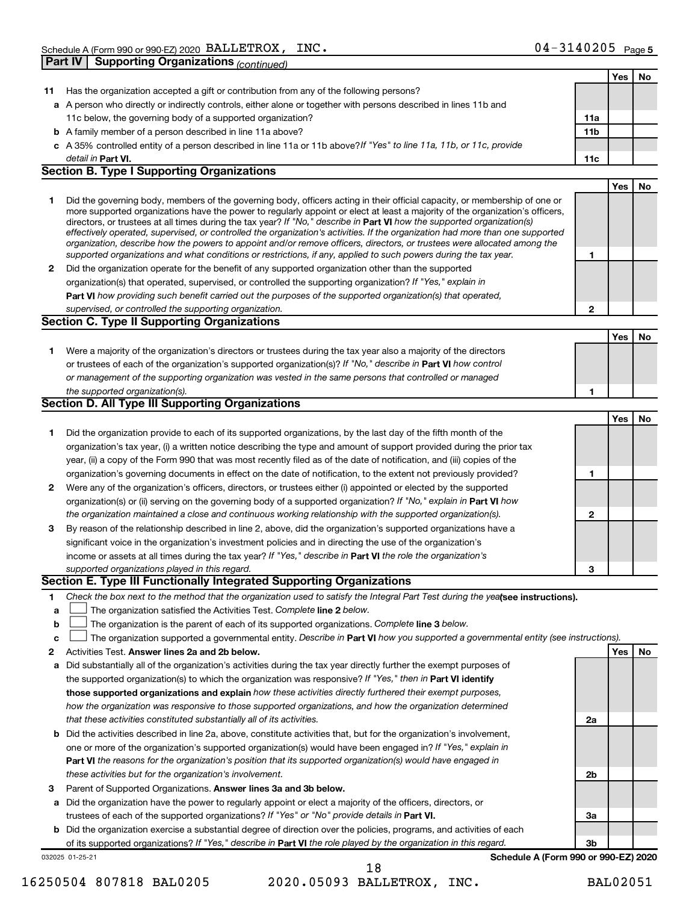|              |                                                                                                                                                                                                                                                                                                                                                                                                                                                                                                                                                                                                                                                                                                                                                                          |              | Yes | No |
|--------------|--------------------------------------------------------------------------------------------------------------------------------------------------------------------------------------------------------------------------------------------------------------------------------------------------------------------------------------------------------------------------------------------------------------------------------------------------------------------------------------------------------------------------------------------------------------------------------------------------------------------------------------------------------------------------------------------------------------------------------------------------------------------------|--------------|-----|----|
| 11           | Has the organization accepted a gift or contribution from any of the following persons?                                                                                                                                                                                                                                                                                                                                                                                                                                                                                                                                                                                                                                                                                  |              |     |    |
|              | a A person who directly or indirectly controls, either alone or together with persons described in lines 11b and                                                                                                                                                                                                                                                                                                                                                                                                                                                                                                                                                                                                                                                         |              |     |    |
|              | 11c below, the governing body of a supported organization?                                                                                                                                                                                                                                                                                                                                                                                                                                                                                                                                                                                                                                                                                                               | 11a          |     |    |
|              | <b>b</b> A family member of a person described in line 11a above?                                                                                                                                                                                                                                                                                                                                                                                                                                                                                                                                                                                                                                                                                                        | 11b          |     |    |
|              | c A 35% controlled entity of a person described in line 11a or 11b above? If "Yes" to line 11a, 11b, or 11c, provide                                                                                                                                                                                                                                                                                                                                                                                                                                                                                                                                                                                                                                                     |              |     |    |
|              | detail in Part VI.                                                                                                                                                                                                                                                                                                                                                                                                                                                                                                                                                                                                                                                                                                                                                       | 11c          |     |    |
|              | <b>Section B. Type I Supporting Organizations</b>                                                                                                                                                                                                                                                                                                                                                                                                                                                                                                                                                                                                                                                                                                                        |              |     |    |
|              |                                                                                                                                                                                                                                                                                                                                                                                                                                                                                                                                                                                                                                                                                                                                                                          |              | Yes | No |
| 1            | Did the governing body, members of the governing body, officers acting in their official capacity, or membership of one or<br>more supported organizations have the power to regularly appoint or elect at least a majority of the organization's officers,<br>directors, or trustees at all times during the tax year? If "No," describe in Part VI how the supported organization(s)<br>effectively operated, supervised, or controlled the organization's activities. If the organization had more than one supported<br>organization, describe how the powers to appoint and/or remove officers, directors, or trustees were allocated among the<br>supported organizations and what conditions or restrictions, if any, applied to such powers during the tax year. | 1            |     |    |
| $\mathbf{2}$ | Did the organization operate for the benefit of any supported organization other than the supported                                                                                                                                                                                                                                                                                                                                                                                                                                                                                                                                                                                                                                                                      |              |     |    |
|              | organization(s) that operated, supervised, or controlled the supporting organization? If "Yes," explain in                                                                                                                                                                                                                                                                                                                                                                                                                                                                                                                                                                                                                                                               |              |     |    |
|              | <b>Part VI</b> how providing such benefit carried out the purposes of the supported organization(s) that operated,                                                                                                                                                                                                                                                                                                                                                                                                                                                                                                                                                                                                                                                       |              |     |    |
|              | supervised, or controlled the supporting organization.                                                                                                                                                                                                                                                                                                                                                                                                                                                                                                                                                                                                                                                                                                                   | $\mathbf{2}$ |     |    |
|              | Section C. Type II Supporting Organizations                                                                                                                                                                                                                                                                                                                                                                                                                                                                                                                                                                                                                                                                                                                              |              |     |    |
|              |                                                                                                                                                                                                                                                                                                                                                                                                                                                                                                                                                                                                                                                                                                                                                                          |              | Yes | No |
| 1            | Were a majority of the organization's directors or trustees during the tax year also a majority of the directors<br>or trustees of each of the organization's supported organization(s)? If "No," describe in Part VI how control                                                                                                                                                                                                                                                                                                                                                                                                                                                                                                                                        |              |     |    |
|              |                                                                                                                                                                                                                                                                                                                                                                                                                                                                                                                                                                                                                                                                                                                                                                          |              |     |    |
|              | or management of the supporting organization was vested in the same persons that controlled or managed<br>the supported organization(s).                                                                                                                                                                                                                                                                                                                                                                                                                                                                                                                                                                                                                                 | 1            |     |    |
|              | Section D. All Type III Supporting Organizations                                                                                                                                                                                                                                                                                                                                                                                                                                                                                                                                                                                                                                                                                                                         |              |     |    |
|              |                                                                                                                                                                                                                                                                                                                                                                                                                                                                                                                                                                                                                                                                                                                                                                          |              | Yes |    |
|              | Did the organization provide to each of its supported organizations, by the last day of the fifth month of the                                                                                                                                                                                                                                                                                                                                                                                                                                                                                                                                                                                                                                                           |              |     | No |
| 1            |                                                                                                                                                                                                                                                                                                                                                                                                                                                                                                                                                                                                                                                                                                                                                                          |              |     |    |
|              | organization's tax year, (i) a written notice describing the type and amount of support provided during the prior tax                                                                                                                                                                                                                                                                                                                                                                                                                                                                                                                                                                                                                                                    |              |     |    |
|              | year, (ii) a copy of the Form 990 that was most recently filed as of the date of notification, and (iii) copies of the                                                                                                                                                                                                                                                                                                                                                                                                                                                                                                                                                                                                                                                   |              |     |    |
|              | organization's governing documents in effect on the date of notification, to the extent not previously provided?                                                                                                                                                                                                                                                                                                                                                                                                                                                                                                                                                                                                                                                         | 1            |     |    |
| $\mathbf{2}$ | Were any of the organization's officers, directors, or trustees either (i) appointed or elected by the supported                                                                                                                                                                                                                                                                                                                                                                                                                                                                                                                                                                                                                                                         |              |     |    |
|              | organization(s) or (ii) serving on the governing body of a supported organization? If "No," explain in Part VI how<br>the organization maintained a close and continuous working relationship with the supported organization(s).                                                                                                                                                                                                                                                                                                                                                                                                                                                                                                                                        | 2            |     |    |
|              |                                                                                                                                                                                                                                                                                                                                                                                                                                                                                                                                                                                                                                                                                                                                                                          |              |     |    |
| 3            | By reason of the relationship described in line 2, above, did the organization's supported organizations have a<br>significant voice in the organization's investment policies and in directing the use of the organization's                                                                                                                                                                                                                                                                                                                                                                                                                                                                                                                                            |              |     |    |
|              | income or assets at all times during the tax year? If "Yes," describe in Part VI the role the organization's                                                                                                                                                                                                                                                                                                                                                                                                                                                                                                                                                                                                                                                             |              |     |    |
|              | supported organizations played in this regard.                                                                                                                                                                                                                                                                                                                                                                                                                                                                                                                                                                                                                                                                                                                           | 3            |     |    |
|              | Section E. Type III Functionally Integrated Supporting Organizations                                                                                                                                                                                                                                                                                                                                                                                                                                                                                                                                                                                                                                                                                                     |              |     |    |
| 1.           | Check the box next to the method that the organization used to satisfy the Integral Part Test during the yealsee instructions).                                                                                                                                                                                                                                                                                                                                                                                                                                                                                                                                                                                                                                          |              |     |    |
| а            | The organization satisfied the Activities Test. Complete line 2 below.                                                                                                                                                                                                                                                                                                                                                                                                                                                                                                                                                                                                                                                                                                   |              |     |    |
|              | The organization is the parent of each of its supported organizations. Complete line 3 below.                                                                                                                                                                                                                                                                                                                                                                                                                                                                                                                                                                                                                                                                            |              |     |    |
| b<br>c       | The organization supported a governmental entity. Describe in Part VI how you supported a governmental entity (see instructions).                                                                                                                                                                                                                                                                                                                                                                                                                                                                                                                                                                                                                                        |              |     |    |
| 2            | Activities Test. Answer lines 2a and 2b below.                                                                                                                                                                                                                                                                                                                                                                                                                                                                                                                                                                                                                                                                                                                           |              | Yes | No |
| а            | Did substantially all of the organization's activities during the tax year directly further the exempt purposes of                                                                                                                                                                                                                                                                                                                                                                                                                                                                                                                                                                                                                                                       |              |     |    |
|              | the supported organization(s) to which the organization was responsive? If "Yes," then in Part VI identify                                                                                                                                                                                                                                                                                                                                                                                                                                                                                                                                                                                                                                                               |              |     |    |
|              | those supported organizations and explain how these activities directly furthered their exempt purposes,                                                                                                                                                                                                                                                                                                                                                                                                                                                                                                                                                                                                                                                                 |              |     |    |
|              | how the organization was responsive to those supported organizations, and how the organization determined                                                                                                                                                                                                                                                                                                                                                                                                                                                                                                                                                                                                                                                                |              |     |    |
|              | that these activities constituted substantially all of its activities.                                                                                                                                                                                                                                                                                                                                                                                                                                                                                                                                                                                                                                                                                                   | 2a           |     |    |
| b            | Did the activities described in line 2a, above, constitute activities that, but for the organization's involvement,                                                                                                                                                                                                                                                                                                                                                                                                                                                                                                                                                                                                                                                      |              |     |    |
|              | one or more of the organization's supported organization(s) would have been engaged in? If "Yes," explain in                                                                                                                                                                                                                                                                                                                                                                                                                                                                                                                                                                                                                                                             |              |     |    |
|              | Part VI the reasons for the organization's position that its supported organization(s) would have engaged in                                                                                                                                                                                                                                                                                                                                                                                                                                                                                                                                                                                                                                                             |              |     |    |
|              | these activities but for the organization's involvement.                                                                                                                                                                                                                                                                                                                                                                                                                                                                                                                                                                                                                                                                                                                 | 2b           |     |    |
| з            | Parent of Supported Organizations. Answer lines 3a and 3b below.                                                                                                                                                                                                                                                                                                                                                                                                                                                                                                                                                                                                                                                                                                         |              |     |    |
| а            | Did the organization have the power to regularly appoint or elect a majority of the officers, directors, or                                                                                                                                                                                                                                                                                                                                                                                                                                                                                                                                                                                                                                                              |              |     |    |
|              | trustees of each of the supported organizations? If "Yes" or "No" provide details in Part VI.                                                                                                                                                                                                                                                                                                                                                                                                                                                                                                                                                                                                                                                                            | За           |     |    |
| b            | Did the organization exercise a substantial degree of direction over the policies, programs, and activities of each                                                                                                                                                                                                                                                                                                                                                                                                                                                                                                                                                                                                                                                      |              |     |    |
|              | of its supported organizations? If "Yes," describe in Part VI the role played by the organization in this regard.                                                                                                                                                                                                                                                                                                                                                                                                                                                                                                                                                                                                                                                        | 3b           |     |    |
|              | Schedule A (Form 990 or 990-EZ) 2020<br>032025 01-25-21                                                                                                                                                                                                                                                                                                                                                                                                                                                                                                                                                                                                                                                                                                                  |              |     |    |
|              | 18                                                                                                                                                                                                                                                                                                                                                                                                                                                                                                                                                                                                                                                                                                                                                                       |              |     |    |

<sup>16250504 807818</sup> BAL0205 2020.05093 BALLETROX, INC. BAL02051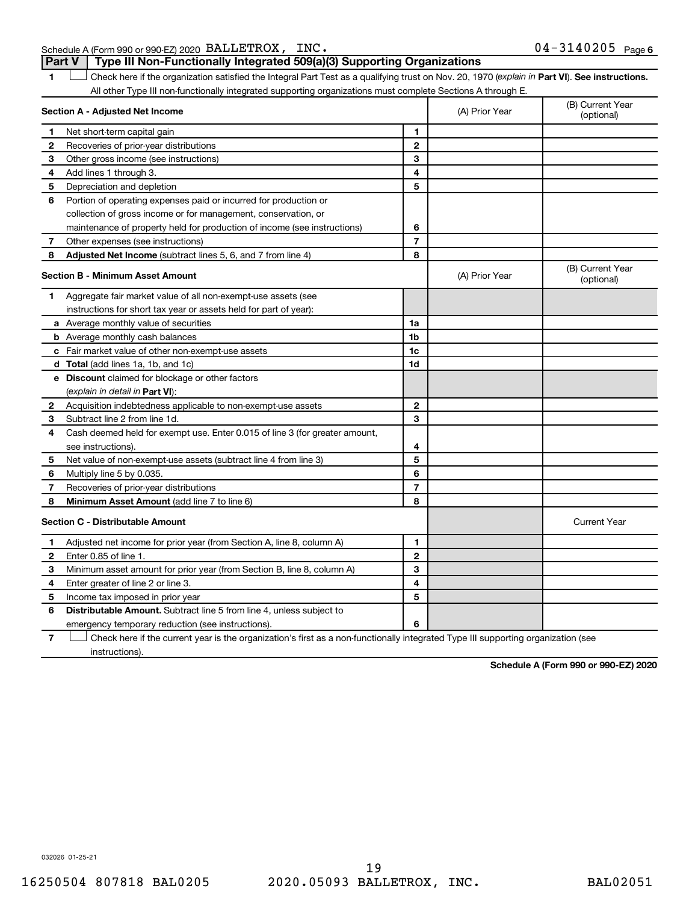Schedule A (Form 990 or 990-EZ) 2020 BALLETROX, INC. **Part V Type III Non-Functionally Integrated 509(a)(3) Supporting Organizations** 

1 **Letter See instructions.** Check here if the organization satisfied the Integral Part Test as a qualifying trust on Nov. 20, 1970 (*explain in* Part **VI**). See instructions. All other Type III non-functionally integrated supporting organizations must complete Sections A through E.

| Section A - Adjusted Net Income |                                                                                                                                   |                | (A) Prior Year | (B) Current Year<br>(optional) |
|---------------------------------|-----------------------------------------------------------------------------------------------------------------------------------|----------------|----------------|--------------------------------|
| 1                               | Net short-term capital gain                                                                                                       | 1              |                |                                |
| 2                               | Recoveries of prior-year distributions                                                                                            | $\mathbf{2}$   |                |                                |
| З                               | Other gross income (see instructions)                                                                                             | 3              |                |                                |
| 4                               | Add lines 1 through 3.                                                                                                            | 4              |                |                                |
| 5                               | Depreciation and depletion                                                                                                        | 5              |                |                                |
| 6                               | Portion of operating expenses paid or incurred for production or                                                                  |                |                |                                |
|                                 | collection of gross income or for management, conservation, or                                                                    |                |                |                                |
|                                 | maintenance of property held for production of income (see instructions)                                                          | 6              |                |                                |
| 7                               | Other expenses (see instructions)                                                                                                 | $\overline{7}$ |                |                                |
| 8                               | Adjusted Net Income (subtract lines 5, 6, and 7 from line 4)                                                                      | 8              |                |                                |
|                                 | <b>Section B - Minimum Asset Amount</b>                                                                                           |                | (A) Prior Year | (B) Current Year<br>(optional) |
| 1                               | Aggregate fair market value of all non-exempt-use assets (see                                                                     |                |                |                                |
|                                 | instructions for short tax year or assets held for part of year):                                                                 |                |                |                                |
|                                 | a Average monthly value of securities                                                                                             | 1a             |                |                                |
|                                 | <b>b</b> Average monthly cash balances                                                                                            | 1 <sub>b</sub> |                |                                |
|                                 | c Fair market value of other non-exempt-use assets                                                                                | 1c             |                |                                |
|                                 | d Total (add lines 1a, 1b, and 1c)                                                                                                | 1d             |                |                                |
|                                 | e Discount claimed for blockage or other factors                                                                                  |                |                |                                |
|                                 | (explain in detail in Part VI):                                                                                                   |                |                |                                |
| 2                               | Acquisition indebtedness applicable to non-exempt-use assets                                                                      | $\mathbf{2}$   |                |                                |
| 3                               | Subtract line 2 from line 1d.                                                                                                     | 3              |                |                                |
| 4                               | Cash deemed held for exempt use. Enter 0.015 of line 3 (for greater amount,                                                       |                |                |                                |
|                                 | see instructions).                                                                                                                | 4              |                |                                |
| 5                               | Net value of non-exempt-use assets (subtract line 4 from line 3)                                                                  | 5              |                |                                |
| 6                               | Multiply line 5 by 0.035.                                                                                                         | 6              |                |                                |
| 7                               | Recoveries of prior-year distributions                                                                                            | $\overline{7}$ |                |                                |
| 8                               | Minimum Asset Amount (add line 7 to line 6)                                                                                       | 8              |                |                                |
|                                 | <b>Section C - Distributable Amount</b>                                                                                           |                |                | <b>Current Year</b>            |
| 1                               | Adjusted net income for prior year (from Section A, line 8, column A)                                                             | 1              |                |                                |
| 2                               | Enter 0.85 of line 1.                                                                                                             | $\overline{2}$ |                |                                |
| 3                               | Minimum asset amount for prior year (from Section B, line 8, column A)                                                            | 3              |                |                                |
| 4                               | Enter greater of line 2 or line 3.                                                                                                | 4              |                |                                |
| 5                               | Income tax imposed in prior year                                                                                                  | 5              |                |                                |
| 6                               | <b>Distributable Amount.</b> Subtract line 5 from line 4, unless subject to                                                       |                |                |                                |
|                                 | emergency temporary reduction (see instructions).                                                                                 | 6              |                |                                |
| 7                               | Check here if the current year is the organization's first as a non-functionally integrated Type III supporting organization (see |                |                |                                |

instructions).

**Schedule A (Form 990 or 990-EZ) 2020**

032026 01-25-21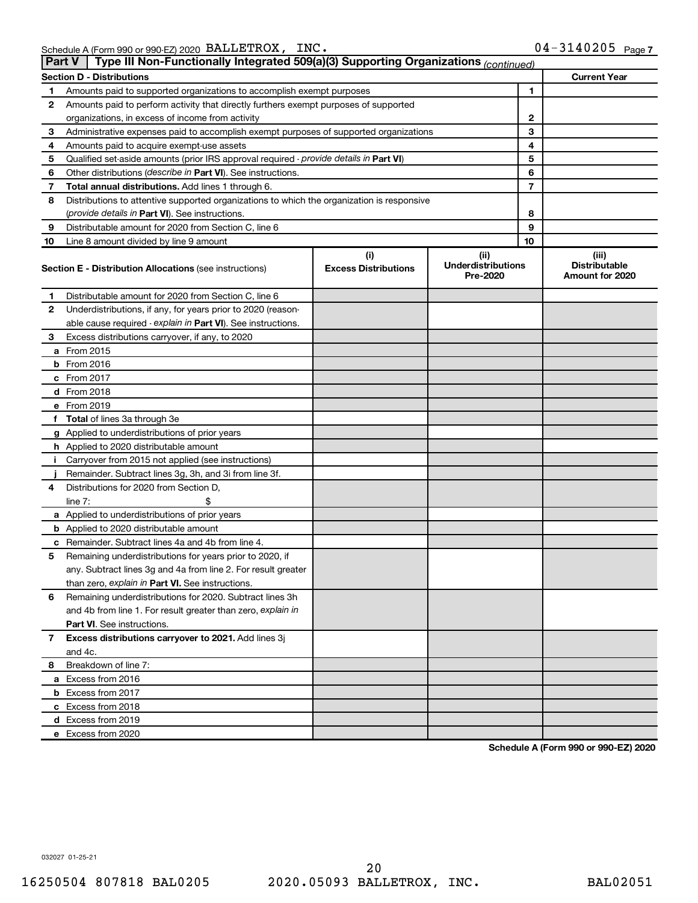| Type III Non-Functionally Integrated 509(a)(3) Supporting Organizations (continued)<br><b>Part V</b> |                                                                                            |                                    |                                               |    |                                                  |  |
|------------------------------------------------------------------------------------------------------|--------------------------------------------------------------------------------------------|------------------------------------|-----------------------------------------------|----|--------------------------------------------------|--|
|                                                                                                      | <b>Section D - Distributions</b>                                                           |                                    |                                               |    | <b>Current Year</b>                              |  |
| 1                                                                                                    | Amounts paid to supported organizations to accomplish exempt purposes                      |                                    |                                               | 1  |                                                  |  |
| 2                                                                                                    | Amounts paid to perform activity that directly furthers exempt purposes of supported       |                                    |                                               |    |                                                  |  |
|                                                                                                      | organizations, in excess of income from activity                                           |                                    | 2                                             |    |                                                  |  |
| 3                                                                                                    | Administrative expenses paid to accomplish exempt purposes of supported organizations      |                                    |                                               | 3  |                                                  |  |
| 4                                                                                                    | Amounts paid to acquire exempt-use assets                                                  |                                    | 4                                             |    |                                                  |  |
| 5                                                                                                    | Qualified set-aside amounts (prior IRS approval required - provide details in Part VI)     |                                    | 5                                             |    |                                                  |  |
| 6                                                                                                    | Other distributions ( <i>describe in Part VI</i> ). See instructions.                      |                                    |                                               | 6  |                                                  |  |
| 7                                                                                                    | Total annual distributions. Add lines 1 through 6.                                         |                                    |                                               | 7  |                                                  |  |
| 8                                                                                                    | Distributions to attentive supported organizations to which the organization is responsive |                                    |                                               |    |                                                  |  |
|                                                                                                      | (provide details in Part VI). See instructions.                                            |                                    |                                               | 8  |                                                  |  |
| 9                                                                                                    | Distributable amount for 2020 from Section C, line 6                                       |                                    |                                               | 9  |                                                  |  |
| 10                                                                                                   | Line 8 amount divided by line 9 amount                                                     |                                    |                                               | 10 |                                                  |  |
|                                                                                                      | <b>Section E - Distribution Allocations (see instructions)</b>                             | (i)<br><b>Excess Distributions</b> | (ii)<br><b>Underdistributions</b><br>Pre-2020 |    | (iii)<br><b>Distributable</b><br>Amount for 2020 |  |
| 1                                                                                                    | Distributable amount for 2020 from Section C, line 6                                       |                                    |                                               |    |                                                  |  |
| 2                                                                                                    | Underdistributions, if any, for years prior to 2020 (reason-                               |                                    |                                               |    |                                                  |  |
|                                                                                                      | able cause required - explain in Part VI). See instructions.                               |                                    |                                               |    |                                                  |  |
| 3                                                                                                    | Excess distributions carryover, if any, to 2020                                            |                                    |                                               |    |                                                  |  |
|                                                                                                      | a From 2015                                                                                |                                    |                                               |    |                                                  |  |
|                                                                                                      | <b>b</b> From 2016                                                                         |                                    |                                               |    |                                                  |  |
|                                                                                                      | c From 2017                                                                                |                                    |                                               |    |                                                  |  |
|                                                                                                      | d From 2018                                                                                |                                    |                                               |    |                                                  |  |
|                                                                                                      | e From 2019                                                                                |                                    |                                               |    |                                                  |  |
|                                                                                                      | f Total of lines 3a through 3e                                                             |                                    |                                               |    |                                                  |  |
|                                                                                                      | g Applied to underdistributions of prior years                                             |                                    |                                               |    |                                                  |  |
|                                                                                                      | <b>h</b> Applied to 2020 distributable amount                                              |                                    |                                               |    |                                                  |  |
| Ť.                                                                                                   | Carryover from 2015 not applied (see instructions)                                         |                                    |                                               |    |                                                  |  |
|                                                                                                      | Remainder. Subtract lines 3g, 3h, and 3i from line 3f.                                     |                                    |                                               |    |                                                  |  |
| 4                                                                                                    | Distributions for 2020 from Section D,                                                     |                                    |                                               |    |                                                  |  |
|                                                                                                      | line $7:$                                                                                  |                                    |                                               |    |                                                  |  |
|                                                                                                      | a Applied to underdistributions of prior years                                             |                                    |                                               |    |                                                  |  |
|                                                                                                      | <b>b</b> Applied to 2020 distributable amount                                              |                                    |                                               |    |                                                  |  |
|                                                                                                      | c Remainder. Subtract lines 4a and 4b from line 4.                                         |                                    |                                               |    |                                                  |  |
| 5                                                                                                    | Remaining underdistributions for years prior to 2020, if                                   |                                    |                                               |    |                                                  |  |
|                                                                                                      | any. Subtract lines 3g and 4a from line 2. For result greater                              |                                    |                                               |    |                                                  |  |
|                                                                                                      | than zero, explain in Part VI. See instructions.                                           |                                    |                                               |    |                                                  |  |
| 6                                                                                                    | Remaining underdistributions for 2020. Subtract lines 3h                                   |                                    |                                               |    |                                                  |  |
|                                                                                                      | and 4b from line 1. For result greater than zero, explain in                               |                                    |                                               |    |                                                  |  |
|                                                                                                      | <b>Part VI.</b> See instructions.                                                          |                                    |                                               |    |                                                  |  |
| 7                                                                                                    | Excess distributions carryover to 2021. Add lines 3j                                       |                                    |                                               |    |                                                  |  |
|                                                                                                      | and 4c.                                                                                    |                                    |                                               |    |                                                  |  |
| 8                                                                                                    | Breakdown of line 7:                                                                       |                                    |                                               |    |                                                  |  |
|                                                                                                      | a Excess from 2016                                                                         |                                    |                                               |    |                                                  |  |
|                                                                                                      | <b>b</b> Excess from 2017                                                                  |                                    |                                               |    |                                                  |  |
|                                                                                                      | c Excess from 2018                                                                         |                                    |                                               |    |                                                  |  |
|                                                                                                      | d Excess from 2019                                                                         |                                    |                                               |    |                                                  |  |
|                                                                                                      | e Excess from 2020                                                                         |                                    |                                               |    |                                                  |  |

**Schedule A (Form 990 or 990-EZ) 2020**

032027 01-25-21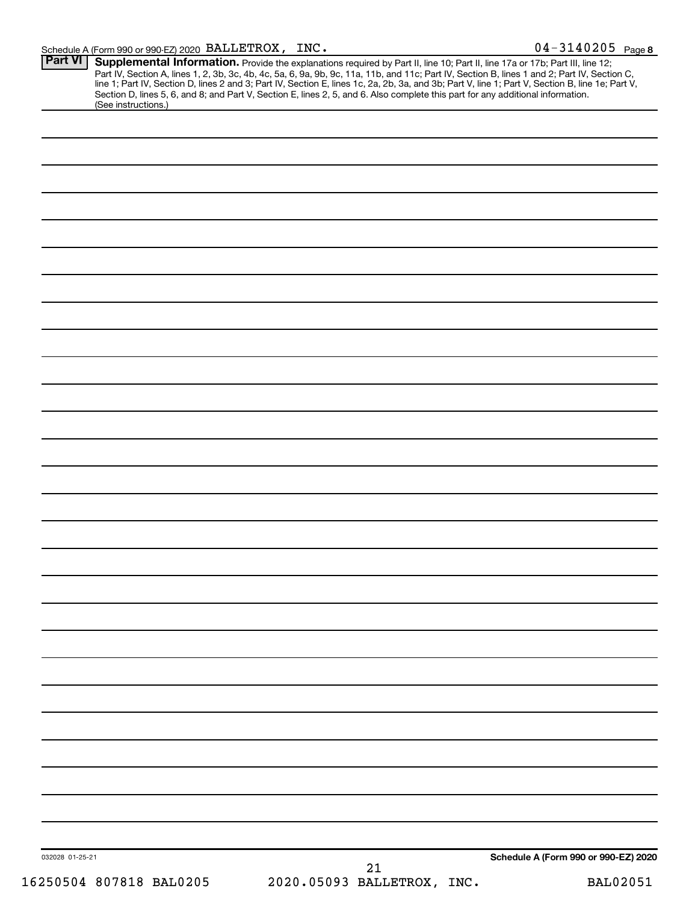| <b>Part VI</b><br>(See instructions.) | Supplemental Information. Provide the explanations required by Part II, line 10; Part II, line 17a or 17b; Part III, line 12;<br>Part IV, Section A, lines 1, 2, 3b, 3c, 4b, 4c, 5a, 6, 9a, 9b, 9c, 11a, 11b, and 11c; Part IV, Section B, lines 1 and 2; Part IV, Section C,<br>line 1; Part IV, Section D, lines 2 and 3; Part IV, Section E, lines 1c, 2a, 2b, 3a, and 3b; Part V, line 1; Part V, Section B, line 1e; Part V,<br>Section D, lines 5, 6, and 8; and Part V, Section E, lines 2, 5, and 6. Also complete this part for any additional information. |
|---------------------------------------|----------------------------------------------------------------------------------------------------------------------------------------------------------------------------------------------------------------------------------------------------------------------------------------------------------------------------------------------------------------------------------------------------------------------------------------------------------------------------------------------------------------------------------------------------------------------|
|                                       |                                                                                                                                                                                                                                                                                                                                                                                                                                                                                                                                                                      |
|                                       |                                                                                                                                                                                                                                                                                                                                                                                                                                                                                                                                                                      |
|                                       |                                                                                                                                                                                                                                                                                                                                                                                                                                                                                                                                                                      |
|                                       |                                                                                                                                                                                                                                                                                                                                                                                                                                                                                                                                                                      |
|                                       |                                                                                                                                                                                                                                                                                                                                                                                                                                                                                                                                                                      |
|                                       |                                                                                                                                                                                                                                                                                                                                                                                                                                                                                                                                                                      |
|                                       |                                                                                                                                                                                                                                                                                                                                                                                                                                                                                                                                                                      |
|                                       |                                                                                                                                                                                                                                                                                                                                                                                                                                                                                                                                                                      |
|                                       |                                                                                                                                                                                                                                                                                                                                                                                                                                                                                                                                                                      |
|                                       |                                                                                                                                                                                                                                                                                                                                                                                                                                                                                                                                                                      |
|                                       |                                                                                                                                                                                                                                                                                                                                                                                                                                                                                                                                                                      |
|                                       |                                                                                                                                                                                                                                                                                                                                                                                                                                                                                                                                                                      |
|                                       |                                                                                                                                                                                                                                                                                                                                                                                                                                                                                                                                                                      |
|                                       |                                                                                                                                                                                                                                                                                                                                                                                                                                                                                                                                                                      |
|                                       |                                                                                                                                                                                                                                                                                                                                                                                                                                                                                                                                                                      |
|                                       |                                                                                                                                                                                                                                                                                                                                                                                                                                                                                                                                                                      |
|                                       |                                                                                                                                                                                                                                                                                                                                                                                                                                                                                                                                                                      |
|                                       |                                                                                                                                                                                                                                                                                                                                                                                                                                                                                                                                                                      |
|                                       |                                                                                                                                                                                                                                                                                                                                                                                                                                                                                                                                                                      |
|                                       |                                                                                                                                                                                                                                                                                                                                                                                                                                                                                                                                                                      |
|                                       |                                                                                                                                                                                                                                                                                                                                                                                                                                                                                                                                                                      |
|                                       |                                                                                                                                                                                                                                                                                                                                                                                                                                                                                                                                                                      |
|                                       |                                                                                                                                                                                                                                                                                                                                                                                                                                                                                                                                                                      |
|                                       |                                                                                                                                                                                                                                                                                                                                                                                                                                                                                                                                                                      |
|                                       |                                                                                                                                                                                                                                                                                                                                                                                                                                                                                                                                                                      |
|                                       |                                                                                                                                                                                                                                                                                                                                                                                                                                                                                                                                                                      |
|                                       |                                                                                                                                                                                                                                                                                                                                                                                                                                                                                                                                                                      |
|                                       |                                                                                                                                                                                                                                                                                                                                                                                                                                                                                                                                                                      |
|                                       |                                                                                                                                                                                                                                                                                                                                                                                                                                                                                                                                                                      |
|                                       |                                                                                                                                                                                                                                                                                                                                                                                                                                                                                                                                                                      |
|                                       |                                                                                                                                                                                                                                                                                                                                                                                                                                                                                                                                                                      |
|                                       |                                                                                                                                                                                                                                                                                                                                                                                                                                                                                                                                                                      |
|                                       |                                                                                                                                                                                                                                                                                                                                                                                                                                                                                                                                                                      |
|                                       |                                                                                                                                                                                                                                                                                                                                                                                                                                                                                                                                                                      |
|                                       |                                                                                                                                                                                                                                                                                                                                                                                                                                                                                                                                                                      |
|                                       |                                                                                                                                                                                                                                                                                                                                                                                                                                                                                                                                                                      |
|                                       |                                                                                                                                                                                                                                                                                                                                                                                                                                                                                                                                                                      |
|                                       |                                                                                                                                                                                                                                                                                                                                                                                                                                                                                                                                                                      |
|                                       |                                                                                                                                                                                                                                                                                                                                                                                                                                                                                                                                                                      |
|                                       |                                                                                                                                                                                                                                                                                                                                                                                                                                                                                                                                                                      |
| 032028 01-25-21                       | Schedule A (Form 990 or 990-EZ) 2020<br>21                                                                                                                                                                                                                                                                                                                                                                                                                                                                                                                           |
| 16250504 807818 BAL0205               | 2020.05093 BALLETROX, INC.<br><b>BAL02051</b>                                                                                                                                                                                                                                                                                                                                                                                                                                                                                                                        |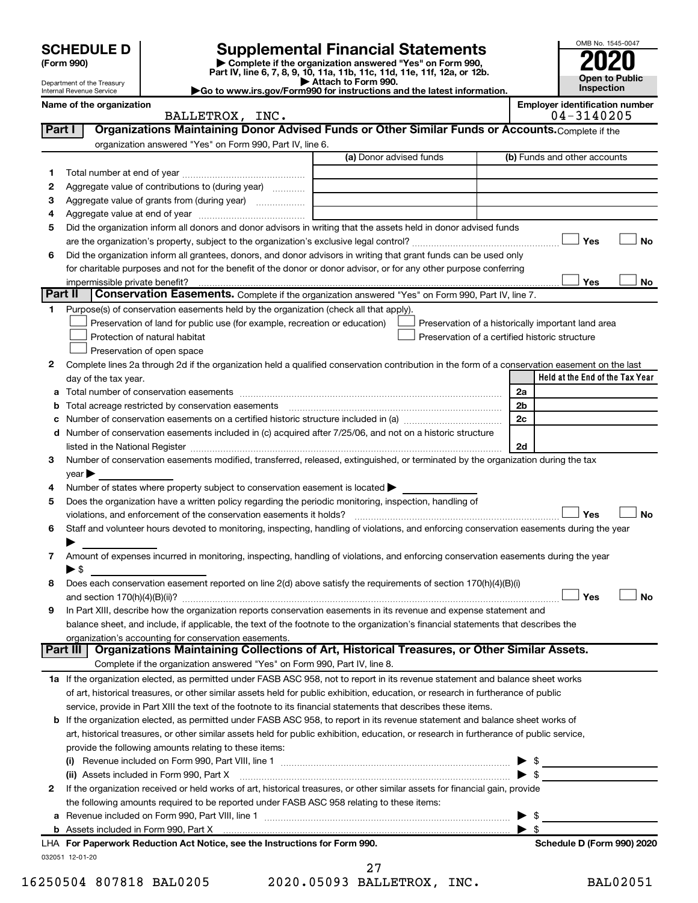| (Form 990) |  |
|------------|--|
|------------|--|

# **SCHEDULE D Supplemental Financial Statements**<br> **Form 990 2020**<br> **Part IV** line 6.7.8.9.10, 11a, 11b, 11d, 11d, 11d, 11d, 11d, 12a, 0r, 12b

**(Form 990) | Complete if the organization answered "Yes" on Form 990, Part IV, line 6, 7, 8, 9, 10, 11a, 11b, 11c, 11d, 11e, 11f, 12a, or 12b.**

**| Attach to Form 990. |Go to www.irs.gov/Form990 for instructions and the latest information.**



Department of the Treasury Internal Revenue Service

|  | BALLETROX, |  |
|--|------------|--|
|  |            |  |

**Name of the organization Employer identification number** 04-3140205

| Part I       | Organizations Maintaining Donor Advised Funds or Other Similar Funds or Accounts. Complete if the                                                                                                                                                                      |                         |    |                                                    |  |  |  |  |
|--------------|------------------------------------------------------------------------------------------------------------------------------------------------------------------------------------------------------------------------------------------------------------------------|-------------------------|----|----------------------------------------------------|--|--|--|--|
|              | organization answered "Yes" on Form 990, Part IV, line 6.                                                                                                                                                                                                              | (a) Donor advised funds |    | (b) Funds and other accounts                       |  |  |  |  |
| 1.           |                                                                                                                                                                                                                                                                        |                         |    |                                                    |  |  |  |  |
| 2            | Aggregate value of contributions to (during year)                                                                                                                                                                                                                      |                         |    |                                                    |  |  |  |  |
| З            | Aggregate value of grants from (during year)                                                                                                                                                                                                                           |                         |    |                                                    |  |  |  |  |
| 4            |                                                                                                                                                                                                                                                                        |                         |    |                                                    |  |  |  |  |
| 5            | Did the organization inform all donors and donor advisors in writing that the assets held in donor advised funds                                                                                                                                                       |                         |    |                                                    |  |  |  |  |
|              |                                                                                                                                                                                                                                                                        |                         |    | Yes<br>No                                          |  |  |  |  |
| 6            | Did the organization inform all grantees, donors, and donor advisors in writing that grant funds can be used only                                                                                                                                                      |                         |    |                                                    |  |  |  |  |
|              | for charitable purposes and not for the benefit of the donor or donor advisor, or for any other purpose conferring                                                                                                                                                     |                         |    |                                                    |  |  |  |  |
|              |                                                                                                                                                                                                                                                                        |                         |    | Yes<br>No                                          |  |  |  |  |
| Part II      | Conservation Easements. Complete if the organization answered "Yes" on Form 990, Part IV, line 7.                                                                                                                                                                      |                         |    |                                                    |  |  |  |  |
| 1            | Purpose(s) of conservation easements held by the organization (check all that apply).                                                                                                                                                                                  |                         |    |                                                    |  |  |  |  |
|              | Preservation of land for public use (for example, recreation or education)                                                                                                                                                                                             |                         |    | Preservation of a historically important land area |  |  |  |  |
|              | Protection of natural habitat                                                                                                                                                                                                                                          |                         |    | Preservation of a certified historic structure     |  |  |  |  |
|              |                                                                                                                                                                                                                                                                        |                         |    |                                                    |  |  |  |  |
|              | Preservation of open space<br>Complete lines 2a through 2d if the organization held a qualified conservation contribution in the form of a conservation easement on the last                                                                                           |                         |    |                                                    |  |  |  |  |
| 2            |                                                                                                                                                                                                                                                                        |                         |    | Held at the End of the Tax Year                    |  |  |  |  |
|              | day of the tax year.                                                                                                                                                                                                                                                   |                         |    |                                                    |  |  |  |  |
| а            |                                                                                                                                                                                                                                                                        |                         | 2a |                                                    |  |  |  |  |
|              |                                                                                                                                                                                                                                                                        |                         |    | 2b                                                 |  |  |  |  |
|              |                                                                                                                                                                                                                                                                        |                         |    | 2c                                                 |  |  |  |  |
| d            | Number of conservation easements included in (c) acquired after 7/25/06, and not on a historic structure                                                                                                                                                               |                         |    |                                                    |  |  |  |  |
|              | listed in the National Register [111] in the National Register [11] in the National Register [11] in the National Register [11] in the National Register [11] in the National Register [11] in the National Register [11] in t                                         |                         |    | 2d                                                 |  |  |  |  |
| 3            | Number of conservation easements modified, transferred, released, extinguished, or terminated by the organization during the tax                                                                                                                                       |                         |    |                                                    |  |  |  |  |
|              | year                                                                                                                                                                                                                                                                   |                         |    |                                                    |  |  |  |  |
| 4            | Number of states where property subject to conservation easement is located >                                                                                                                                                                                          |                         |    |                                                    |  |  |  |  |
| 5            | Does the organization have a written policy regarding the periodic monitoring, inspection, handling of                                                                                                                                                                 |                         |    |                                                    |  |  |  |  |
|              | violations, and enforcement of the conservation easements it holds?                                                                                                                                                                                                    |                         |    | Yes<br><b>No</b>                                   |  |  |  |  |
| 6            | Staff and volunteer hours devoted to monitoring, inspecting, handling of violations, and enforcing conservation easements during the year                                                                                                                              |                         |    |                                                    |  |  |  |  |
|              |                                                                                                                                                                                                                                                                        |                         |    |                                                    |  |  |  |  |
| 7            | Amount of expenses incurred in monitoring, inspecting, handling of violations, and enforcing conservation easements during the year                                                                                                                                    |                         |    |                                                    |  |  |  |  |
|              | $\blacktriangleright$ \$                                                                                                                                                                                                                                               |                         |    |                                                    |  |  |  |  |
| 8            | Does each conservation easement reported on line 2(d) above satisfy the requirements of section 170(h)(4)(B)(i)                                                                                                                                                        |                         |    |                                                    |  |  |  |  |
|              |                                                                                                                                                                                                                                                                        |                         |    | Yes<br>No                                          |  |  |  |  |
| 9            | In Part XIII, describe how the organization reports conservation easements in its revenue and expense statement and                                                                                                                                                    |                         |    |                                                    |  |  |  |  |
|              | balance sheet, and include, if applicable, the text of the footnote to the organization's financial statements that describes the                                                                                                                                      |                         |    |                                                    |  |  |  |  |
|              | organization's accounting for conservation easements.<br>Organizations Maintaining Collections of Art, Historical Treasures, or Other Similar Assets.<br>Part III                                                                                                      |                         |    |                                                    |  |  |  |  |
|              | Complete if the organization answered "Yes" on Form 990, Part IV, line 8.                                                                                                                                                                                              |                         |    |                                                    |  |  |  |  |
|              | 1a If the organization elected, as permitted under FASB ASC 958, not to report in its revenue statement and balance sheet works                                                                                                                                        |                         |    |                                                    |  |  |  |  |
|              | of art, historical treasures, or other similar assets held for public exhibition, education, or research in furtherance of public                                                                                                                                      |                         |    |                                                    |  |  |  |  |
|              |                                                                                                                                                                                                                                                                        |                         |    |                                                    |  |  |  |  |
|              | service, provide in Part XIII the text of the footnote to its financial statements that describes these items.                                                                                                                                                         |                         |    |                                                    |  |  |  |  |
| b            | If the organization elected, as permitted under FASB ASC 958, to report in its revenue statement and balance sheet works of<br>art, historical treasures, or other similar assets held for public exhibition, education, or research in furtherance of public service, |                         |    |                                                    |  |  |  |  |
|              | provide the following amounts relating to these items:                                                                                                                                                                                                                 |                         |    |                                                    |  |  |  |  |
|              |                                                                                                                                                                                                                                                                        |                         |    |                                                    |  |  |  |  |
|              | (ii) Assets included in Form 990, Part X                                                                                                                                                                                                                               |                         |    | $\blacktriangleright$ \$                           |  |  |  |  |
|              |                                                                                                                                                                                                                                                                        |                         |    |                                                    |  |  |  |  |
| $\mathbf{2}$ | If the organization received or held works of art, historical treasures, or other similar assets for financial gain, provide                                                                                                                                           |                         |    |                                                    |  |  |  |  |
|              | the following amounts required to be reported under FASB ASC 958 relating to these items:                                                                                                                                                                              |                         |    |                                                    |  |  |  |  |
| а            |                                                                                                                                                                                                                                                                        |                         |    | \$                                                 |  |  |  |  |
|              | b Assets included in Form 990, Part X [11, 2008] [2010] [2010] [2010] [2010] [2010] [2010] [2010] [2010] [2010                                                                                                                                                         |                         |    | $\blacktriangleright$ s                            |  |  |  |  |
|              | LHA For Paperwork Reduction Act Notice, see the Instructions for Form 990.                                                                                                                                                                                             |                         |    | Schedule D (Form 990) 2020                         |  |  |  |  |
|              | 032051 12-01-20                                                                                                                                                                                                                                                        |                         |    |                                                    |  |  |  |  |

16250504 807818 BAL0205 2020.05093 BALLETROX, INC. BAL02051 27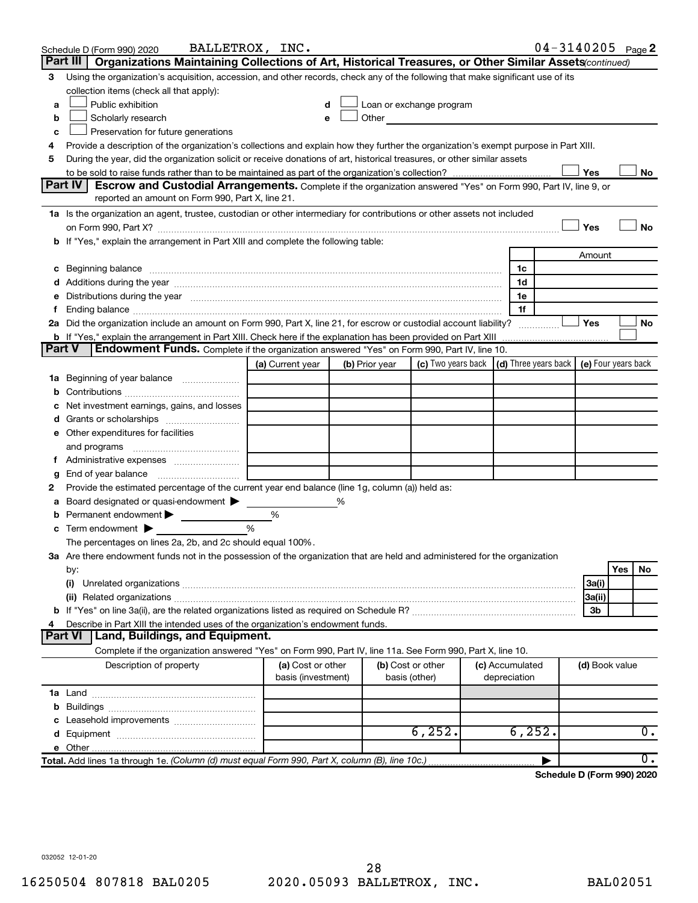|               | Schedule D (Form 990) 2020                                                                                                                                                                                                                                       | BALLETROX, INC.                         |   |                |                                                                                                                                                                                                                               |  |                                              |  | 04-3140205 Page 2 |     |                  |
|---------------|------------------------------------------------------------------------------------------------------------------------------------------------------------------------------------------------------------------------------------------------------------------|-----------------------------------------|---|----------------|-------------------------------------------------------------------------------------------------------------------------------------------------------------------------------------------------------------------------------|--|----------------------------------------------|--|-------------------|-----|------------------|
|               | Organizations Maintaining Collections of Art, Historical Treasures, or Other Similar Assets (continued)<br>Part III                                                                                                                                              |                                         |   |                |                                                                                                                                                                                                                               |  |                                              |  |                   |     |                  |
| з             | Using the organization's acquisition, accession, and other records, check any of the following that make significant use of its                                                                                                                                  |                                         |   |                |                                                                                                                                                                                                                               |  |                                              |  |                   |     |                  |
|               | collection items (check all that apply):<br>Public exhibition                                                                                                                                                                                                    |                                         |   |                |                                                                                                                                                                                                                               |  |                                              |  |                   |     |                  |
| a             |                                                                                                                                                                                                                                                                  |                                         | d |                | Loan or exchange program                                                                                                                                                                                                      |  |                                              |  |                   |     |                  |
| b             | Scholarly research                                                                                                                                                                                                                                               |                                         | е |                | Other and the contract of the contract of the contract of the contract of the contract of the contract of the contract of the contract of the contract of the contract of the contract of the contract of the contract of the |  |                                              |  |                   |     |                  |
| c             | Preservation for future generations                                                                                                                                                                                                                              |                                         |   |                |                                                                                                                                                                                                                               |  |                                              |  |                   |     |                  |
| 4<br>5        | Provide a description of the organization's collections and explain how they further the organization's exempt purpose in Part XIII.<br>During the year, did the organization solicit or receive donations of art, historical treasures, or other similar assets |                                         |   |                |                                                                                                                                                                                                                               |  |                                              |  |                   |     |                  |
|               |                                                                                                                                                                                                                                                                  |                                         |   |                |                                                                                                                                                                                                                               |  |                                              |  | Yes               |     | No               |
|               | Part IV                                                                                                                                                                                                                                                          |                                         |   |                |                                                                                                                                                                                                                               |  |                                              |  |                   |     |                  |
|               | <b>Escrow and Custodial Arrangements.</b> Complete if the organization answered "Yes" on Form 990, Part IV, line 9, or<br>reported an amount on Form 990, Part X, line 21.                                                                                       |                                         |   |                |                                                                                                                                                                                                                               |  |                                              |  |                   |     |                  |
|               | 1a Is the organization an agent, trustee, custodian or other intermediary for contributions or other assets not included                                                                                                                                         |                                         |   |                |                                                                                                                                                                                                                               |  |                                              |  |                   |     |                  |
|               | Yes<br>No                                                                                                                                                                                                                                                        |                                         |   |                |                                                                                                                                                                                                                               |  |                                              |  |                   |     |                  |
|               | b If "Yes," explain the arrangement in Part XIII and complete the following table:                                                                                                                                                                               |                                         |   |                |                                                                                                                                                                                                                               |  |                                              |  |                   |     |                  |
|               |                                                                                                                                                                                                                                                                  |                                         |   |                |                                                                                                                                                                                                                               |  |                                              |  | Amount            |     |                  |
|               | c Beginning balance measurements and the contract of the contract of the contract of the contract of the contract of the contract of the contract of the contract of the contract of the contract of the contract of the contr                                   |                                         |   |                |                                                                                                                                                                                                                               |  | 1c                                           |  |                   |     |                  |
| d             | Additions during the year manufactured and an annual contract of the year manufactured and an analyzing the year manufactured and an analyzing the year manufactured and an analyzing the year manufactured and an analyzing t                                   |                                         |   |                |                                                                                                                                                                                                                               |  | 1d                                           |  |                   |     |                  |
| е             | Distributions during the year manufactured and an account of the year manufactured and the year manufactured and the year manufactured and the year manufactured and the year manufactured and the year manufactured and the y                                   |                                         |   |                |                                                                                                                                                                                                                               |  | 1e                                           |  |                   |     |                  |
| Ť.            |                                                                                                                                                                                                                                                                  |                                         |   |                |                                                                                                                                                                                                                               |  | 1f                                           |  |                   |     |                  |
|               | 2a Did the organization include an amount on Form 990, Part X, line 21, for escrow or custodial account liability?                                                                                                                                               |                                         |   |                |                                                                                                                                                                                                                               |  | .                                            |  | <b>Yes</b>        |     | No               |
|               | <b>b</b> If "Yes," explain the arrangement in Part XIII. Check here if the explanation has been provided on Part XIII                                                                                                                                            |                                         |   |                |                                                                                                                                                                                                                               |  |                                              |  |                   |     |                  |
| <b>Part V</b> | Endowment Funds. Complete if the organization answered "Yes" on Form 990, Part IV, line 10.                                                                                                                                                                      |                                         |   |                |                                                                                                                                                                                                                               |  |                                              |  |                   |     |                  |
|               |                                                                                                                                                                                                                                                                  | (a) Current year                        |   | (b) Prior year | (c) Two years back                                                                                                                                                                                                            |  | (d) Three years back $ $ (e) Four years back |  |                   |     |                  |
|               | <b>1a</b> Beginning of year balance                                                                                                                                                                                                                              |                                         |   |                |                                                                                                                                                                                                                               |  |                                              |  |                   |     |                  |
| b             |                                                                                                                                                                                                                                                                  |                                         |   |                |                                                                                                                                                                                                                               |  |                                              |  |                   |     |                  |
| c             | Net investment earnings, gains, and losses                                                                                                                                                                                                                       |                                         |   |                |                                                                                                                                                                                                                               |  |                                              |  |                   |     |                  |
| d             | Grants or scholarships                                                                                                                                                                                                                                           |                                         |   |                |                                                                                                                                                                                                                               |  |                                              |  |                   |     |                  |
|               | e Other expenditures for facilities                                                                                                                                                                                                                              |                                         |   |                |                                                                                                                                                                                                                               |  |                                              |  |                   |     |                  |
|               | and programs                                                                                                                                                                                                                                                     |                                         |   |                |                                                                                                                                                                                                                               |  |                                              |  |                   |     |                  |
|               | f Administrative expenses                                                                                                                                                                                                                                        |                                         |   |                |                                                                                                                                                                                                                               |  |                                              |  |                   |     |                  |
| g             |                                                                                                                                                                                                                                                                  |                                         |   |                |                                                                                                                                                                                                                               |  |                                              |  |                   |     |                  |
| 2             | Provide the estimated percentage of the current year end balance (line 1g, column (a)) held as:                                                                                                                                                                  |                                         |   |                |                                                                                                                                                                                                                               |  |                                              |  |                   |     |                  |
| а             | Board designated or quasi-endowment                                                                                                                                                                                                                              |                                         | % |                |                                                                                                                                                                                                                               |  |                                              |  |                   |     |                  |
| b             | Permanent endowment                                                                                                                                                                                                                                              | %                                       |   |                |                                                                                                                                                                                                                               |  |                                              |  |                   |     |                  |
| c             | Term endowment $\blacktriangleright$                                                                                                                                                                                                                             | %                                       |   |                |                                                                                                                                                                                                                               |  |                                              |  |                   |     |                  |
|               | The percentages on lines 2a, 2b, and 2c should equal 100%.                                                                                                                                                                                                       |                                         |   |                |                                                                                                                                                                                                                               |  |                                              |  |                   |     |                  |
|               | 3a Are there endowment funds not in the possession of the organization that are held and administered for the organization                                                                                                                                       |                                         |   |                |                                                                                                                                                                                                                               |  |                                              |  |                   |     |                  |
|               | by:                                                                                                                                                                                                                                                              |                                         |   |                |                                                                                                                                                                                                                               |  |                                              |  |                   | Yes | No.              |
|               | (i)                                                                                                                                                                                                                                                              |                                         |   |                |                                                                                                                                                                                                                               |  |                                              |  | 3a(i)             |     |                  |
|               |                                                                                                                                                                                                                                                                  |                                         |   |                |                                                                                                                                                                                                                               |  |                                              |  | 3a(ii)            |     |                  |
|               |                                                                                                                                                                                                                                                                  |                                         |   |                |                                                                                                                                                                                                                               |  |                                              |  | 3b                |     |                  |
| 4             | Describe in Part XIII the intended uses of the organization's endowment funds.<br><b>Part VI</b>                                                                                                                                                                 |                                         |   |                |                                                                                                                                                                                                                               |  |                                              |  |                   |     |                  |
|               | Land, Buildings, and Equipment.                                                                                                                                                                                                                                  |                                         |   |                |                                                                                                                                                                                                                               |  |                                              |  |                   |     |                  |
|               | Complete if the organization answered "Yes" on Form 990, Part IV, line 11a. See Form 990, Part X, line 10.                                                                                                                                                       |                                         |   |                |                                                                                                                                                                                                                               |  |                                              |  |                   |     |                  |
|               | Description of property                                                                                                                                                                                                                                          | (a) Cost or other<br>basis (investment) |   |                | (b) Cost or other<br>basis (other)                                                                                                                                                                                            |  | (c) Accumulated<br>depreciation              |  | (d) Book value    |     |                  |
|               |                                                                                                                                                                                                                                                                  |                                         |   |                |                                                                                                                                                                                                                               |  |                                              |  |                   |     |                  |
| b             |                                                                                                                                                                                                                                                                  |                                         |   |                |                                                                                                                                                                                                                               |  |                                              |  |                   |     |                  |
|               |                                                                                                                                                                                                                                                                  |                                         |   |                |                                                                                                                                                                                                                               |  |                                              |  |                   |     |                  |
|               |                                                                                                                                                                                                                                                                  |                                         |   |                | 6, 252.                                                                                                                                                                                                                       |  | 6, 252.                                      |  |                   |     | $\overline{0}$ . |
|               |                                                                                                                                                                                                                                                                  |                                         |   |                |                                                                                                                                                                                                                               |  |                                              |  |                   |     |                  |
|               | Total. Add lines 1a through 1e. (Column (d) must equal Form 990, Part X, column (B), line 10c.)                                                                                                                                                                  |                                         |   |                |                                                                                                                                                                                                                               |  |                                              |  |                   |     | $\overline{0}$ . |

**Schedule D (Form 990) 2020**

032052 12-01-20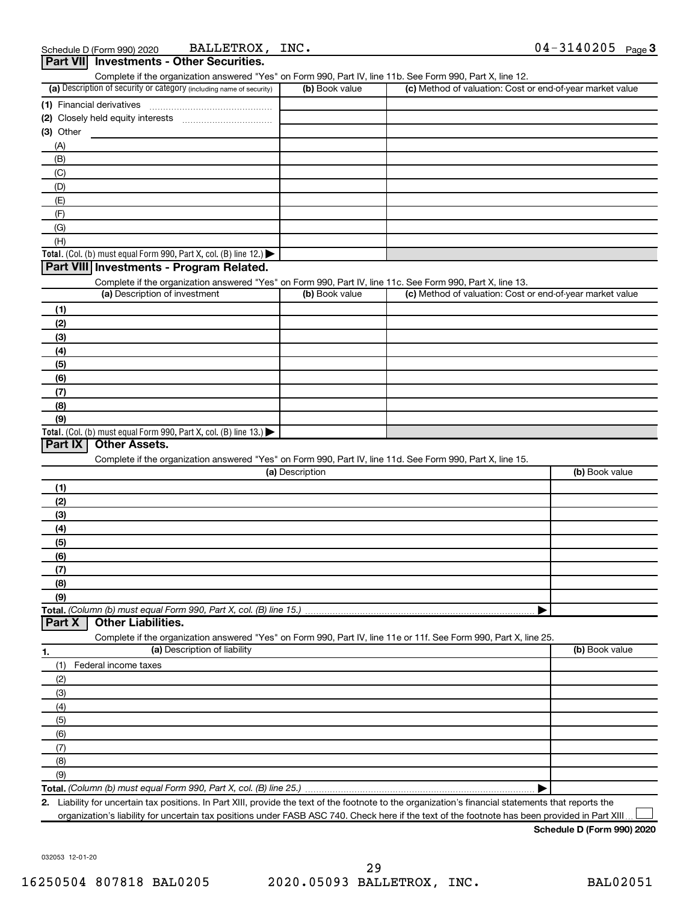| Part VII Investments - Other Securities.                                                                                                          |                 |                                                           |                |
|---------------------------------------------------------------------------------------------------------------------------------------------------|-----------------|-----------------------------------------------------------|----------------|
| Complete if the organization answered "Yes" on Form 990, Part IV, line 11b. See Form 990, Part X, line 12.                                        |                 |                                                           |                |
| (a) Description of security or category (including name of security)                                                                              | (b) Book value  | (c) Method of valuation: Cost or end-of-year market value |                |
| (1) Financial derivatives                                                                                                                         |                 |                                                           |                |
|                                                                                                                                                   |                 |                                                           |                |
| (3) Other                                                                                                                                         |                 |                                                           |                |
| (A)                                                                                                                                               |                 |                                                           |                |
| (B)                                                                                                                                               |                 |                                                           |                |
| (C)                                                                                                                                               |                 |                                                           |                |
| (D)                                                                                                                                               |                 |                                                           |                |
| (E)                                                                                                                                               |                 |                                                           |                |
| (F)                                                                                                                                               |                 |                                                           |                |
| (G)                                                                                                                                               |                 |                                                           |                |
| (H)                                                                                                                                               |                 |                                                           |                |
| <b>Total.</b> (Col. (b) must equal Form 990, Part X, col. (B) line 12.) $\blacktriangleright$                                                     |                 |                                                           |                |
| Part VIII Investments - Program Related.                                                                                                          |                 |                                                           |                |
| Complete if the organization answered "Yes" on Form 990, Part IV, line 11c. See Form 990, Part X, line 13.                                        |                 |                                                           |                |
| (a) Description of investment                                                                                                                     | (b) Book value  | (c) Method of valuation: Cost or end-of-year market value |                |
| (1)                                                                                                                                               |                 |                                                           |                |
| (2)                                                                                                                                               |                 |                                                           |                |
| (3)                                                                                                                                               |                 |                                                           |                |
| (4)                                                                                                                                               |                 |                                                           |                |
| (5)                                                                                                                                               |                 |                                                           |                |
| (6)                                                                                                                                               |                 |                                                           |                |
| (7)                                                                                                                                               |                 |                                                           |                |
| (8)                                                                                                                                               |                 |                                                           |                |
| (9)                                                                                                                                               |                 |                                                           |                |
| <b>Total.</b> (Col. (b) must equal Form 990, Part X, col. (B) line $13$ .)                                                                        |                 |                                                           |                |
| Part IX<br><b>Other Assets.</b>                                                                                                                   |                 |                                                           |                |
| Complete if the organization answered "Yes" on Form 990, Part IV, line 11d. See Form 990, Part X, line 15.                                        | (a) Description |                                                           | (b) Book value |
|                                                                                                                                                   |                 |                                                           |                |
| (1)                                                                                                                                               |                 |                                                           |                |
| (2)                                                                                                                                               |                 |                                                           |                |
| (3)                                                                                                                                               |                 |                                                           |                |
| (4)                                                                                                                                               |                 |                                                           |                |
| (5)                                                                                                                                               |                 |                                                           |                |
| (6)                                                                                                                                               |                 |                                                           |                |
| (7)                                                                                                                                               |                 |                                                           |                |
| (8)                                                                                                                                               |                 |                                                           |                |
| (9)                                                                                                                                               |                 |                                                           |                |
| Total. (Column (b) must equal Form 990, Part X, col. (B) line 15.)<br><b>Other Liabilities.</b><br>Part X                                         |                 |                                                           |                |
|                                                                                                                                                   |                 |                                                           |                |
| Complete if the organization answered "Yes" on Form 990, Part IV, line 11e or 11f. See Form 990, Part X, line 25.<br>(a) Description of liability |                 |                                                           | (b) Book value |
| 1.                                                                                                                                                |                 |                                                           |                |
| Federal income taxes<br>(1)                                                                                                                       |                 |                                                           |                |
| (2)                                                                                                                                               |                 |                                                           |                |
| (3)                                                                                                                                               |                 |                                                           |                |
| (4)                                                                                                                                               |                 |                                                           |                |
| (5)                                                                                                                                               |                 |                                                           |                |
| (6)                                                                                                                                               |                 |                                                           |                |
| (7)                                                                                                                                               |                 |                                                           |                |
| (8)                                                                                                                                               |                 |                                                           |                |
| (9)                                                                                                                                               |                 |                                                           |                |
| Total. (Column (b) must equal Form 990, Part X, col. (B) line 25.)                                                                                |                 |                                                           |                |

**2.** Liability for uncertain tax positions. In Part XIII, provide the text of the footnote to the organization's financial statements that reports the organization's liability for uncertain tax positions under FASB ASC 740. Check here if the text of the footnote has been provided in Part XIII.  $\perp$ 

**Schedule D (Form 990) 2020**

032053 12-01-20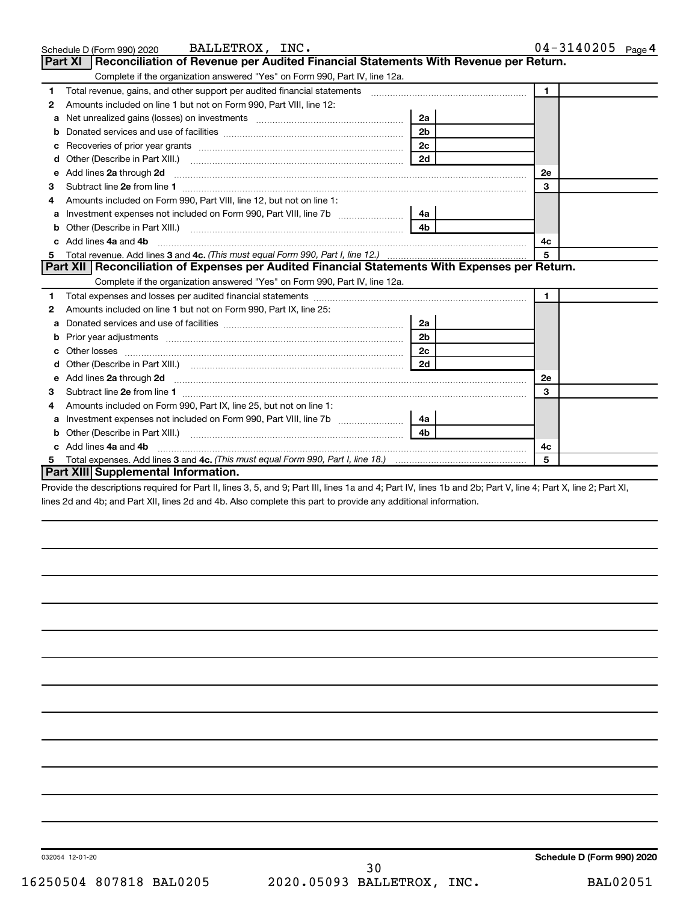|    | Schedule D (Form 990) 2020 BALLETROX, INC.                                                                    |                | $04 - 3140205$ Page 4 |
|----|---------------------------------------------------------------------------------------------------------------|----------------|-----------------------|
|    | Reconciliation of Revenue per Audited Financial Statements With Revenue per Return.<br>Part XI                |                |                       |
|    | Complete if the organization answered "Yes" on Form 990, Part IV, line 12a.                                   |                |                       |
| 1  | Total revenue, gains, and other support per audited financial statements [[[[[[[[[[[[[[[[[[[[[[[]]]]]]]]]]]]] |                | $\mathbf{1}$          |
| 2  | Amounts included on line 1 but not on Form 990, Part VIII, line 12:                                           |                |                       |
| a  |                                                                                                               | 2a             |                       |
|    |                                                                                                               | 2 <sub>b</sub> |                       |
| с  |                                                                                                               | 2 <sub>c</sub> |                       |
| d  |                                                                                                               | 2d             |                       |
| е  |                                                                                                               |                | 2е                    |
| З  |                                                                                                               |                | 3                     |
|    | Amounts included on Form 990, Part VIII, line 12, but not on line 1:                                          |                |                       |
|    |                                                                                                               | 4a             |                       |
| b  |                                                                                                               | 4 <sub>b</sub> |                       |
| c. | Add lines 4a and 4b                                                                                           | 4c             |                       |
| 5  |                                                                                                               |                | 5                     |
|    | Part XII   Reconciliation of Expenses per Audited Financial Statements With Expenses per Return.              |                |                       |
|    | Complete if the organization answered "Yes" on Form 990, Part IV, line 12a.                                   |                |                       |
| 1  |                                                                                                               |                | $\mathbf{1}$          |
| 2  | Amounts included on line 1 but not on Form 990, Part IX, line 25:                                             |                |                       |
|    |                                                                                                               | 2a             |                       |
| b  |                                                                                                               | 2 <sub>b</sub> |                       |
|    |                                                                                                               | 2c             |                       |
|    |                                                                                                               |                |                       |
| e  |                                                                                                               |                | <b>2e</b>             |
| З  | Subtract line 2e from line 1                                                                                  |                | 3                     |
| 4  | Amounts included on Form 990, Part IX, line 25, but not on line 1:                                            |                |                       |
| a  |                                                                                                               | 4a             |                       |
|    |                                                                                                               | 4 <sub>h</sub> |                       |
|    | c Add lines 4a and 4b                                                                                         |                | 4с                    |
| 5  |                                                                                                               |                | 5                     |
|    | Part XIII Supplemental Information.                                                                           |                |                       |

Provide the descriptions required for Part II, lines 3, 5, and 9; Part III, lines 1a and 4; Part IV, lines 1b and 2b; Part V, line 4; Part X, line 2; Part XI, lines 2d and 4b; and Part XII, lines 2d and 4b. Also complete this part to provide any additional information.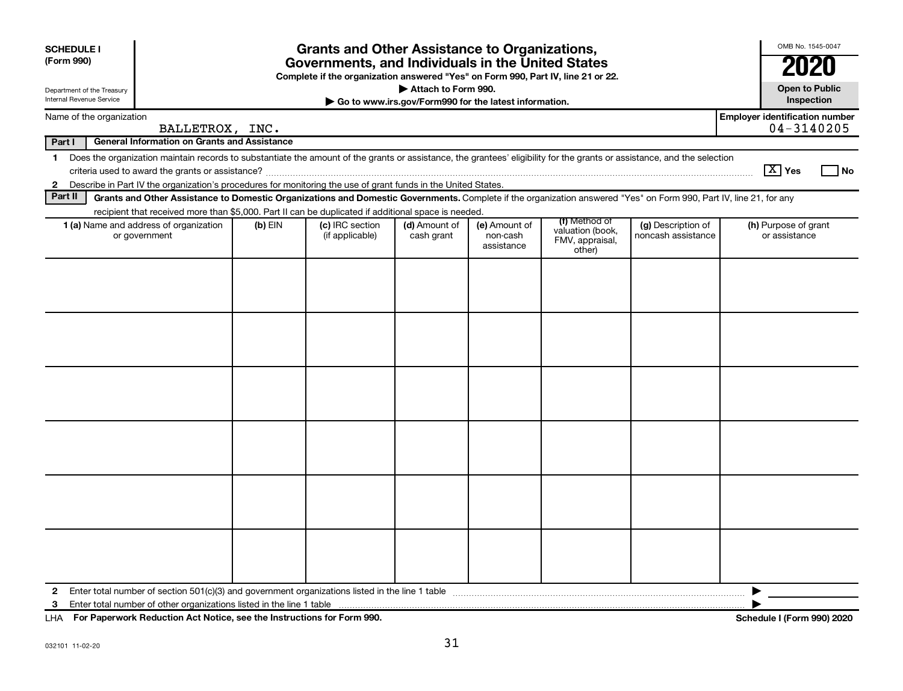| <b>SCHEDULE I</b><br>(Form 990)<br>Internal Revenue Service                                         | Department of the Treasury                                                                                                                                               | <b>Grants and Other Assistance to Organizations,</b><br>Governments, and Individuals in the United States<br>Complete if the organization answered "Yes" on Form 990, Part IV, line 21 or 22.<br>Attach to Form 990.<br>Go to www.irs.gov/Form990 for the latest information. |                                    |                             |                                         |                                                                |                                          |   |                                                         |      |  |  |  |
|-----------------------------------------------------------------------------------------------------|--------------------------------------------------------------------------------------------------------------------------------------------------------------------------|-------------------------------------------------------------------------------------------------------------------------------------------------------------------------------------------------------------------------------------------------------------------------------|------------------------------------|-----------------------------|-----------------------------------------|----------------------------------------------------------------|------------------------------------------|---|---------------------------------------------------------|------|--|--|--|
|                                                                                                     |                                                                                                                                                                          |                                                                                                                                                                                                                                                                               |                                    |                             |                                         |                                                                |                                          |   | Inspection                                              |      |  |  |  |
|                                                                                                     | Name of the organization<br>BALLETROX, INC.                                                                                                                              |                                                                                                                                                                                                                                                                               |                                    |                             |                                         |                                                                |                                          |   | <b>Employer identification number</b><br>$04 - 3140205$ |      |  |  |  |
| Part I                                                                                              | <b>General Information on Grants and Assistance</b>                                                                                                                      |                                                                                                                                                                                                                                                                               |                                    |                             |                                         |                                                                |                                          |   |                                                         |      |  |  |  |
| $\mathbf 1$                                                                                         | Does the organization maintain records to substantiate the amount of the grants or assistance, the grantees' eligibility for the grants or assistance, and the selection |                                                                                                                                                                                                                                                                               |                                    |                             |                                         |                                                                |                                          |   |                                                         |      |  |  |  |
|                                                                                                     |                                                                                                                                                                          |                                                                                                                                                                                                                                                                               |                                    |                             |                                         |                                                                |                                          |   | $\sqrt{X}$ Yes                                          | l No |  |  |  |
| $\mathbf{2}$                                                                                        | Describe in Part IV the organization's procedures for monitoring the use of grant funds in the United States.                                                            |                                                                                                                                                                                                                                                                               |                                    |                             |                                         |                                                                |                                          |   |                                                         |      |  |  |  |
| Part II                                                                                             | Grants and Other Assistance to Domestic Organizations and Domestic Governments. Complete if the organization answered "Yes" on Form 990, Part IV, line 21, for any       |                                                                                                                                                                                                                                                                               |                                    |                             |                                         |                                                                |                                          |   |                                                         |      |  |  |  |
| recipient that received more than \$5,000. Part II can be duplicated if additional space is needed. |                                                                                                                                                                          |                                                                                                                                                                                                                                                                               |                                    |                             |                                         |                                                                |                                          |   |                                                         |      |  |  |  |
| 1 (a) Name and address of organization<br>or government                                             |                                                                                                                                                                          | $(b)$ EIN                                                                                                                                                                                                                                                                     | (c) IRC section<br>(if applicable) | (d) Amount of<br>cash grant | (e) Amount of<br>non-cash<br>assistance | (f) Method of<br>valuation (book,<br>FMV, appraisal,<br>other) | (g) Description of<br>noncash assistance |   | (h) Purpose of grant<br>or assistance                   |      |  |  |  |
|                                                                                                     |                                                                                                                                                                          |                                                                                                                                                                                                                                                                               |                                    |                             |                                         |                                                                |                                          |   |                                                         |      |  |  |  |
|                                                                                                     |                                                                                                                                                                          |                                                                                                                                                                                                                                                                               |                                    |                             |                                         |                                                                |                                          |   |                                                         |      |  |  |  |
|                                                                                                     |                                                                                                                                                                          |                                                                                                                                                                                                                                                                               |                                    |                             |                                         |                                                                |                                          |   |                                                         |      |  |  |  |
|                                                                                                     |                                                                                                                                                                          |                                                                                                                                                                                                                                                                               |                                    |                             |                                         |                                                                |                                          |   |                                                         |      |  |  |  |
| $\mathbf{2}$                                                                                        |                                                                                                                                                                          |                                                                                                                                                                                                                                                                               |                                    |                             |                                         |                                                                |                                          | ▶ |                                                         |      |  |  |  |
| 3                                                                                                   |                                                                                                                                                                          |                                                                                                                                                                                                                                                                               |                                    |                             |                                         |                                                                |                                          |   |                                                         |      |  |  |  |

**For Paperwork Reduction Act Notice, see the Instructions for Form 990. Schedule I (Form 990) 2020** LHA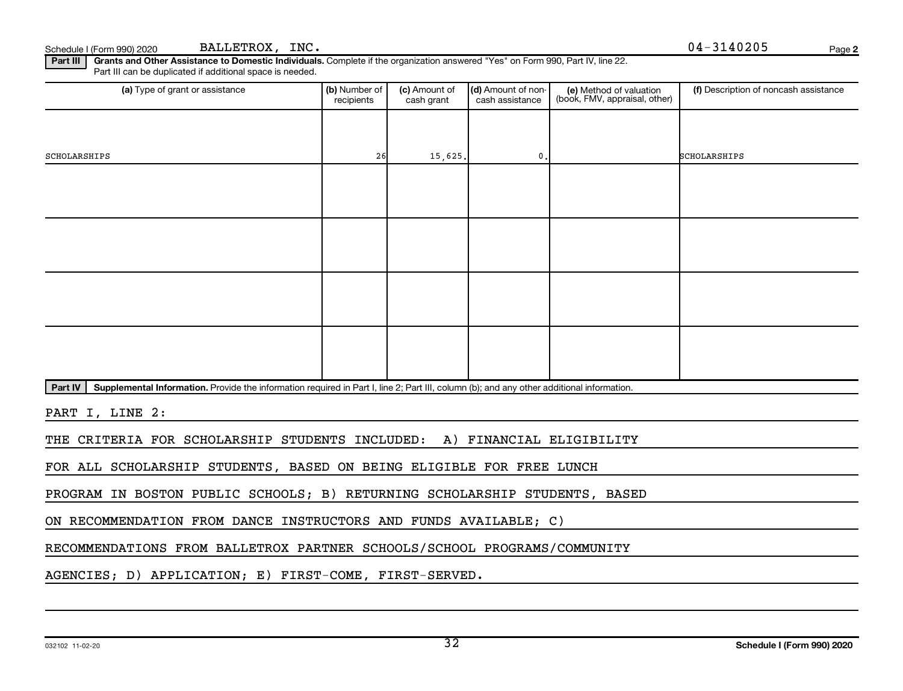Schedule I (Form 990) 2020 BALLETROX, INC.  $04-3140205$ BALLETROX, INC.

**2**

Part III | Grants and Other Assistance to Domestic Individuals. Complete if the organization answered "Yes" on Form 990, Part IV, line 22. Part III can be duplicated if additional space is needed.

| recipients | (c) Amount of<br>cash grant | cash assistance     |         | (f) Description of noncash assistance                                                |
|------------|-----------------------------|---------------------|---------|--------------------------------------------------------------------------------------|
|            |                             |                     |         |                                                                                      |
|            |                             |                     |         | <b>SCHOLARSHIPS</b>                                                                  |
|            |                             |                     |         |                                                                                      |
|            |                             |                     |         |                                                                                      |
|            |                             |                     |         |                                                                                      |
|            |                             |                     |         |                                                                                      |
|            |                             |                     |         |                                                                                      |
|            |                             |                     |         |                                                                                      |
|            |                             |                     |         |                                                                                      |
|            |                             |                     |         |                                                                                      |
|            |                             | (b) Number of<br>26 | 15,625. | (d) Amount of non-<br>(e) Method of valuation<br>(book, FMV, appraisal, other)<br>0. |

Part IV | Supplemental Information. Provide the information required in Part I, line 2; Part III, column (b); and any other additional information.

PART I, LINE 2:

THE CRITERIA FOR SCHOLARSHIP STUDENTS INCLUDED: A) FINANCIAL ELIGIBILITY

FOR ALL SCHOLARSHIP STUDENTS, BASED ON BEING ELIGIBLE FOR FREE LUNCH

PROGRAM IN BOSTON PUBLIC SCHOOLS; B) RETURNING SCHOLARSHIP STUDENTS, BASED

ON RECOMMENDATION FROM DANCE INSTRUCTORS AND FUNDS AVAILABLE; C)

RECOMMENDATIONS FROM BALLETROX PARTNER SCHOOLS/SCHOOL PROGRAMS/COMMUNITY

AGENCIES; D) APPLICATION; E) FIRST-COME, FIRST-SERVED.